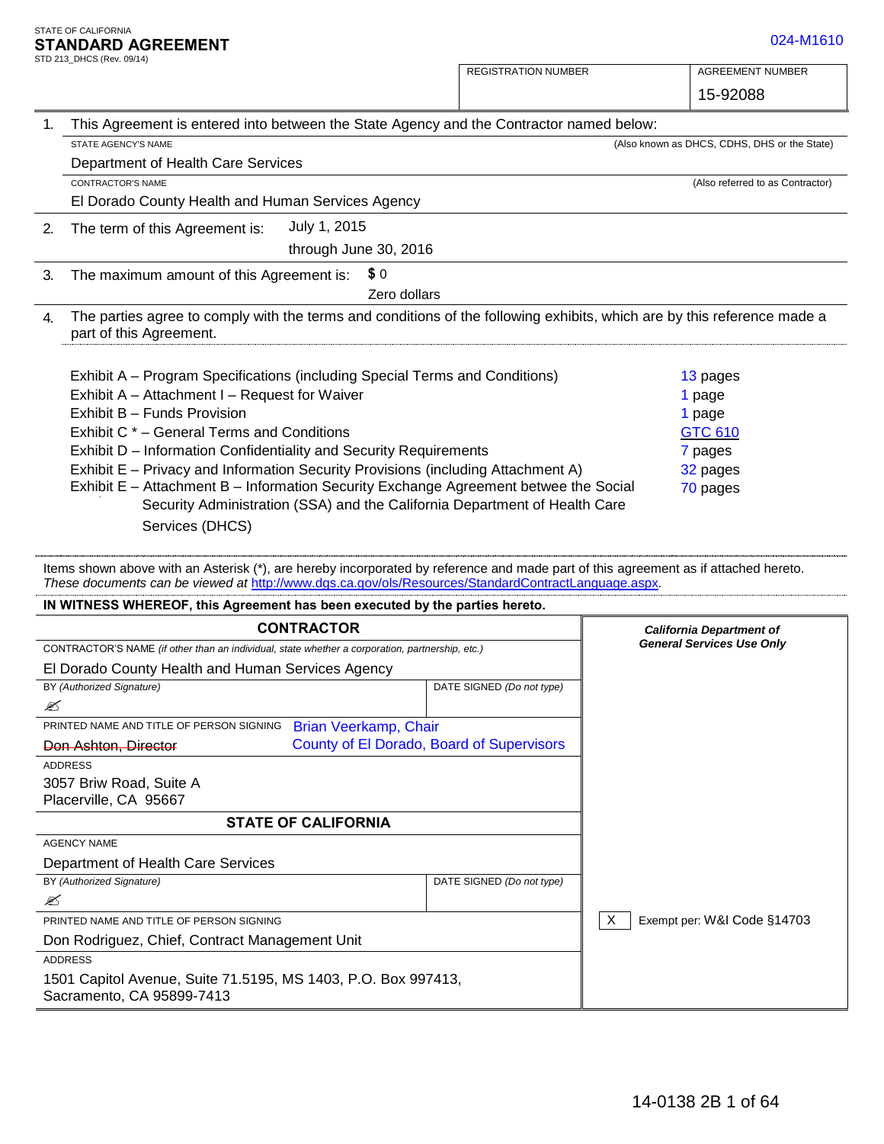|    | TANDARD AGREEMENT                                                                                                                                                                                                                                                                                                                                                                                                                                                                                                                                           |                                           | 024-M1610                                                                         |  |
|----|-------------------------------------------------------------------------------------------------------------------------------------------------------------------------------------------------------------------------------------------------------------------------------------------------------------------------------------------------------------------------------------------------------------------------------------------------------------------------------------------------------------------------------------------------------------|-------------------------------------------|-----------------------------------------------------------------------------------|--|
|    | TD 213_DHCS (Rev. 09/14)                                                                                                                                                                                                                                                                                                                                                                                                                                                                                                                                    | <b>REGISTRATION NUMBER</b>                | <b>AGREEMENT NUMBER</b>                                                           |  |
|    |                                                                                                                                                                                                                                                                                                                                                                                                                                                                                                                                                             |                                           | 15-92088                                                                          |  |
| 1. | This Agreement is entered into between the State Agency and the Contractor named below:                                                                                                                                                                                                                                                                                                                                                                                                                                                                     |                                           |                                                                                   |  |
|    | STATE AGENCY'S NAME                                                                                                                                                                                                                                                                                                                                                                                                                                                                                                                                         |                                           | (Also known as DHCS, CDHS, DHS or the State)                                      |  |
|    | Department of Health Care Services                                                                                                                                                                                                                                                                                                                                                                                                                                                                                                                          |                                           |                                                                                   |  |
|    | CONTRACTOR'S NAME                                                                                                                                                                                                                                                                                                                                                                                                                                                                                                                                           |                                           | (Also referred to as Contractor)                                                  |  |
|    | El Dorado County Health and Human Services Agency                                                                                                                                                                                                                                                                                                                                                                                                                                                                                                           |                                           |                                                                                   |  |
| 2. | July 1, 2015<br>The term of this Agreement is:                                                                                                                                                                                                                                                                                                                                                                                                                                                                                                              |                                           |                                                                                   |  |
|    | through June 30, 2016                                                                                                                                                                                                                                                                                                                                                                                                                                                                                                                                       |                                           |                                                                                   |  |
| 3. | \$0<br>The maximum amount of this Agreement is:                                                                                                                                                                                                                                                                                                                                                                                                                                                                                                             |                                           |                                                                                   |  |
|    | Zero dollars                                                                                                                                                                                                                                                                                                                                                                                                                                                                                                                                                |                                           |                                                                                   |  |
| 4. | The parties agree to comply with the terms and conditions of the following exhibits, which are by this reference made a<br>part of this Agreement.                                                                                                                                                                                                                                                                                                                                                                                                          |                                           |                                                                                   |  |
|    | Exhibit A – Program Specifications (including Special Terms and Conditions)<br>Exhibit A - Attachment I - Request for Waiver<br>Exhibit B - Funds Provision<br>Exhibit C * - General Terms and Conditions<br>Exhibit D - Information Confidentiality and Security Requirements<br>Exhibit E - Privacy and Information Security Provisions (including Attachment A)<br>Exhibit E - Attachment B - Information Security Exchange Agreement betwee the Social<br>Security Administration (SSA) and the California Department of Health Care<br>Services (DHCS) |                                           | 13 pages<br>1 page<br>1 page<br><b>GTC 610</b><br>7 pages<br>32 pages<br>70 pages |  |
|    | Items shown above with an Asterisk (*), are hereby incorporated by reference and made part of this agreement as if attached hereto.<br>These documents can be viewed at http://www.dgs.ca.gov/ols/Resources/StandardContractLanguage.aspx.                                                                                                                                                                                                                                                                                                                  |                                           |                                                                                   |  |
|    | IN WITNESS WHEREOF, this Agreement has been executed by the parties hereto.                                                                                                                                                                                                                                                                                                                                                                                                                                                                                 |                                           |                                                                                   |  |
|    | <b>CONTRACTOR</b>                                                                                                                                                                                                                                                                                                                                                                                                                                                                                                                                           |                                           | <b>California Department of</b>                                                   |  |
|    | CONTRACTOR'S NAME (if other than an individual, state whether a corporation, partnership, etc.)                                                                                                                                                                                                                                                                                                                                                                                                                                                             |                                           | <b>General Services Use Only</b>                                                  |  |
|    | El Dorado County Health and Human Services Agency                                                                                                                                                                                                                                                                                                                                                                                                                                                                                                           |                                           |                                                                                   |  |
|    | BY (Authorized Signature)                                                                                                                                                                                                                                                                                                                                                                                                                                                                                                                                   | DATE SIGNED (Do not type)                 |                                                                                   |  |
| ✍  | PRINTED NAME AND TITLE OF PERSON SIGNING                                                                                                                                                                                                                                                                                                                                                                                                                                                                                                                    |                                           |                                                                                   |  |
|    | Brian Veerkamp, Chair<br>Don Ashton, Director                                                                                                                                                                                                                                                                                                                                                                                                                                                                                                               | County of El Dorado, Board of Supervisors |                                                                                   |  |
|    |                                                                                                                                                                                                                                                                                                                                                                                                                                                                                                                                                             |                                           |                                                                                   |  |

| <b>CONTRACTOR</b>                                                                               |                                           |                           | <b>California Department of</b>  |
|-------------------------------------------------------------------------------------------------|-------------------------------------------|---------------------------|----------------------------------|
| CONTRACTOR'S NAME (if other than an individual, state whether a corporation, partnership, etc.) |                                           |                           | <b>General Services Use Only</b> |
| El Dorado County Health and Human Services Agency                                               |                                           |                           |                                  |
| BY (Authorized Signature)                                                                       |                                           | DATE SIGNED (Do not type) |                                  |
| ✍                                                                                               |                                           |                           |                                  |
| PRINTED NAME AND TITLE OF PERSON SIGNING                                                        | Brian Veerkamp, Chair                     |                           |                                  |
| Don Ashton, Director                                                                            | County of El Dorado, Board of Supervisors |                           |                                  |
| <b>ADDRESS</b>                                                                                  |                                           |                           |                                  |
| 3057 Briw Road, Suite A                                                                         |                                           |                           |                                  |
| Placerville, CA 95667                                                                           |                                           |                           |                                  |
| <b>STATE OF CALIFORNIA</b>                                                                      |                                           |                           |                                  |
| <b>AGENCY NAME</b>                                                                              |                                           |                           |                                  |
| Department of Health Care Services                                                              |                                           |                           |                                  |
| BY (Authorized Signature)                                                                       |                                           | DATE SIGNED (Do not type) |                                  |
| ⊠                                                                                               |                                           |                           |                                  |
| PRINTED NAME AND TITLE OF PERSON SIGNING                                                        |                                           |                           | Exempt per: W&I Code §14703<br>X |
| Don Rodriguez, Chief, Contract Management Unit                                                  |                                           |                           |                                  |
| <b>ADDRESS</b>                                                                                  |                                           |                           |                                  |
| 1501 Capitol Avenue, Suite 71.5195, MS 1403, P.O. Box 997413,<br>Sacramento, CA 95899-7413      |                                           |                           |                                  |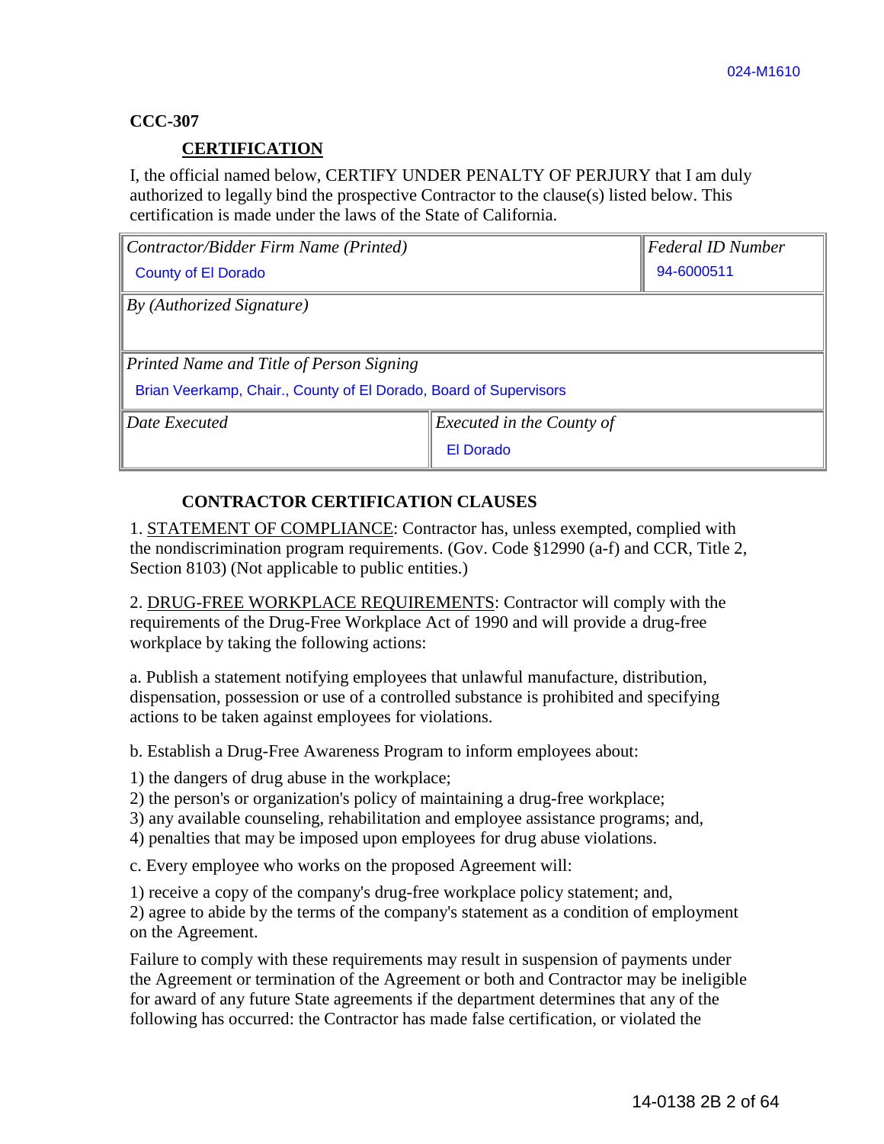### **CCC-307**

### **CERTIFICATION**

I, the official named below, CERTIFY UNDER PENALTY OF PERJURY that I am duly authorized to legally bind the prospective Contractor to the clause(s) listed below. This certification is made under the laws of the State of California.

| Contractor/Bidder Firm Name (Printed)                             |           | Federal ID Number |  |
|-------------------------------------------------------------------|-----------|-------------------|--|
| <b>County of El Dorado</b>                                        |           | 94-6000511        |  |
| By (Authorized Signature)                                         |           |                   |  |
|                                                                   |           |                   |  |
| Printed Name and Title of Person Signing                          |           |                   |  |
| Brian Veerkamp, Chair., County of El Dorado, Board of Supervisors |           |                   |  |
| Date Executed<br><i>Executed in the County of</i>                 |           |                   |  |
|                                                                   | El Dorado |                   |  |

## **CONTRACTOR CERTIFICATION CLAUSES**

1. STATEMENT OF COMPLIANCE: Contractor has, unless exempted, complied with the nondiscrimination program requirements. (Gov. Code §12990 (a-f) and CCR, Title 2, Section 8103) (Not applicable to public entities.)

2. DRUG-FREE WORKPLACE REQUIREMENTS: Contractor will comply with the requirements of the Drug-Free Workplace Act of 1990 and will provide a drug-free workplace by taking the following actions:

a. Publish a statement notifying employees that unlawful manufacture, distribution, dispensation, possession or use of a controlled substance is prohibited and specifying actions to be taken against employees for violations.

b. Establish a Drug-Free Awareness Program to inform employees about:

1) the dangers of drug abuse in the workplace;

2) the person's or organization's policy of maintaining a drug-free workplace;

3) any available counseling, rehabilitation and employee assistance programs; and,

4) penalties that may be imposed upon employees for drug abuse violations.

c. Every employee who works on the proposed Agreement will:

1) receive a copy of the company's drug-free workplace policy statement; and, 2) agree to abide by the terms of the company's statement as a condition of employment on the Agreement.

Failure to comply with these requirements may result in suspension of payments under the Agreement or termination of the Agreement or both and Contractor may be ineligible for award of any future State agreements if the department determines that any of the following has occurred: the Contractor has made false certification, or violated the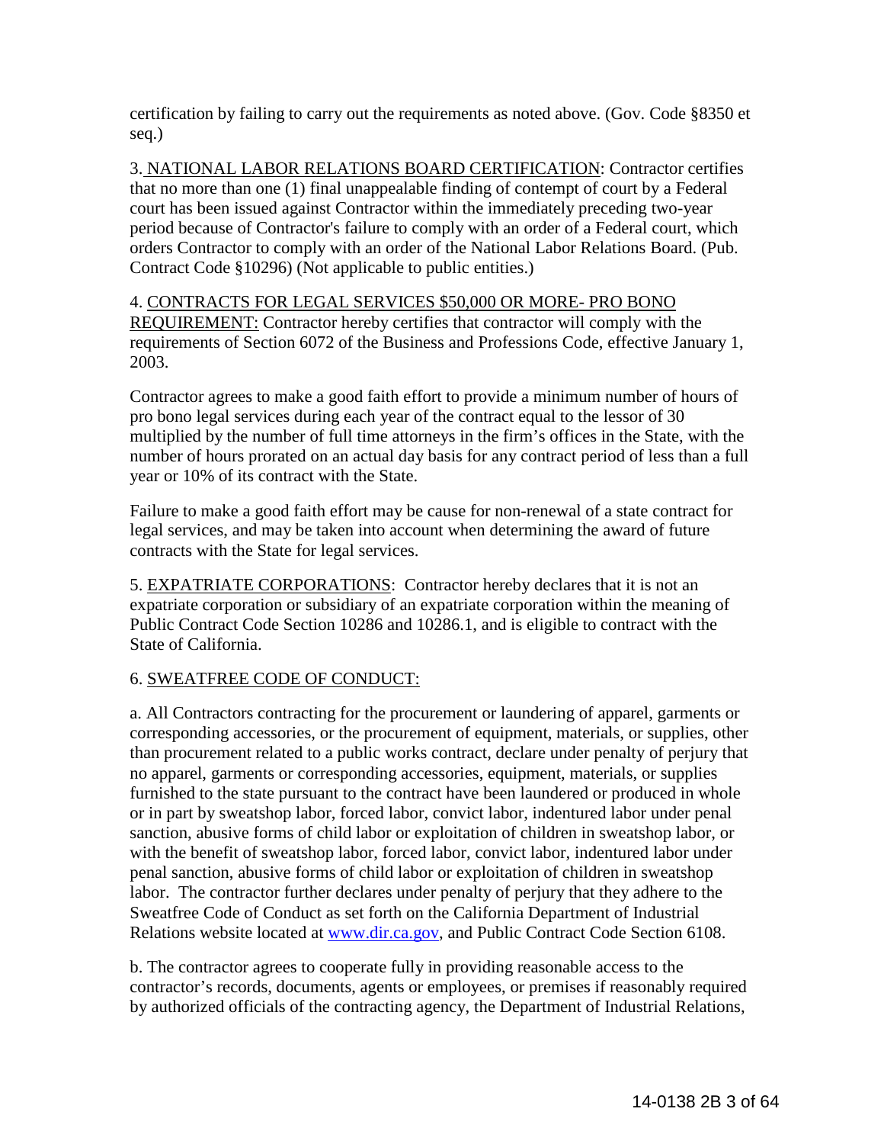certification by failing to carry out the requirements as noted above. (Gov. Code §8350 et seq.)

3. NATIONAL LABOR RELATIONS BOARD CERTIFICATION: Contractor certifies that no more than one (1) final unappealable finding of contempt of court by a Federal court has been issued against Contractor within the immediately preceding two-year period because of Contractor's failure to comply with an order of a Federal court, which orders Contractor to comply with an order of the National Labor Relations Board. (Pub. Contract Code §10296) (Not applicable to public entities.)

### 4. CONTRACTS FOR LEGAL SERVICES \$50,000 OR MORE- PRO BONO REQUIREMENT: Contractor hereby certifies that contractor will comply with the requirements of Section 6072 of the Business and Professions Code, effective January 1, 2003.

Contractor agrees to make a good faith effort to provide a minimum number of hours of pro bono legal services during each year of the contract equal to the lessor of 30 multiplied by the number of full time attorneys in the firm's offices in the State, with the number of hours prorated on an actual day basis for any contract period of less than a full year or 10% of its contract with the State.

Failure to make a good faith effort may be cause for non-renewal of a state contract for legal services, and may be taken into account when determining the award of future contracts with the State for legal services.

5. EXPATRIATE CORPORATIONS: Contractor hereby declares that it is not an expatriate corporation or subsidiary of an expatriate corporation within the meaning of Public Contract Code Section 10286 and 10286.1, and is eligible to contract with the State of California.

# 6. SWEATFREE CODE OF CONDUCT:

a. All Contractors contracting for the procurement or laundering of apparel, garments or corresponding accessories, or the procurement of equipment, materials, or supplies, other than procurement related to a public works contract, declare under penalty of perjury that no apparel, garments or corresponding accessories, equipment, materials, or supplies furnished to the state pursuant to the contract have been laundered or produced in whole or in part by sweatshop labor, forced labor, convict labor, indentured labor under penal sanction, abusive forms of child labor or exploitation of children in sweatshop labor, or with the benefit of sweatshop labor, forced labor, convict labor, indentured labor under penal sanction, abusive forms of child labor or exploitation of children in sweatshop labor. The contractor further declares under penalty of perjury that they adhere to the Sweatfree Code of Conduct as set forth on the California Department of Industrial Relations website located at [www.dir.ca.gov,](http://www.dir.ca.gov/) and Public Contract Code Section 6108.

b. The contractor agrees to cooperate fully in providing reasonable access to the contractor's records, documents, agents or employees, or premises if reasonably required by authorized officials of the contracting agency, the Department of Industrial Relations,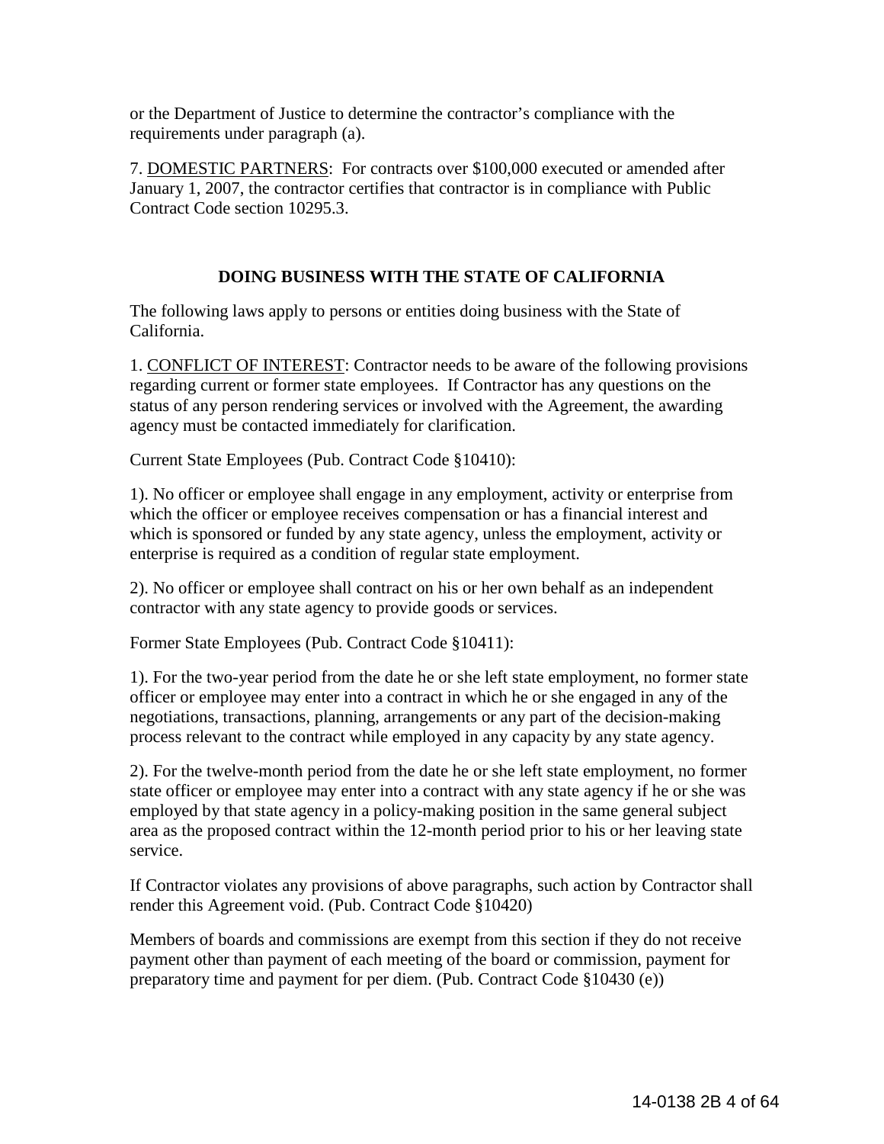or the Department of Justice to determine the contractor's compliance with the requirements under paragraph (a).

7. DOMESTIC PARTNERS: For contracts over \$100,000 executed or amended after January 1, 2007, the contractor certifies that contractor is in compliance with Public Contract Code section 10295.3.

## **DOING BUSINESS WITH THE STATE OF CALIFORNIA**

The following laws apply to persons or entities doing business with the State of California.

1. CONFLICT OF INTEREST: Contractor needs to be aware of the following provisions regarding current or former state employees. If Contractor has any questions on the status of any person rendering services or involved with the Agreement, the awarding agency must be contacted immediately for clarification.

Current State Employees (Pub. Contract Code §10410):

1). No officer or employee shall engage in any employment, activity or enterprise from which the officer or employee receives compensation or has a financial interest and which is sponsored or funded by any state agency, unless the employment, activity or enterprise is required as a condition of regular state employment.

2). No officer or employee shall contract on his or her own behalf as an independent contractor with any state agency to provide goods or services.

Former State Employees (Pub. Contract Code §10411):

1). For the two-year period from the date he or she left state employment, no former state officer or employee may enter into a contract in which he or she engaged in any of the negotiations, transactions, planning, arrangements or any part of the decision-making process relevant to the contract while employed in any capacity by any state agency.

2). For the twelve-month period from the date he or she left state employment, no former state officer or employee may enter into a contract with any state agency if he or she was employed by that state agency in a policy-making position in the same general subject area as the proposed contract within the 12-month period prior to his or her leaving state service.

If Contractor violates any provisions of above paragraphs, such action by Contractor shall render this Agreement void. (Pub. Contract Code §10420)

Members of boards and commissions are exempt from this section if they do not receive payment other than payment of each meeting of the board or commission, payment for preparatory time and payment for per diem. (Pub. Contract Code §10430 (e))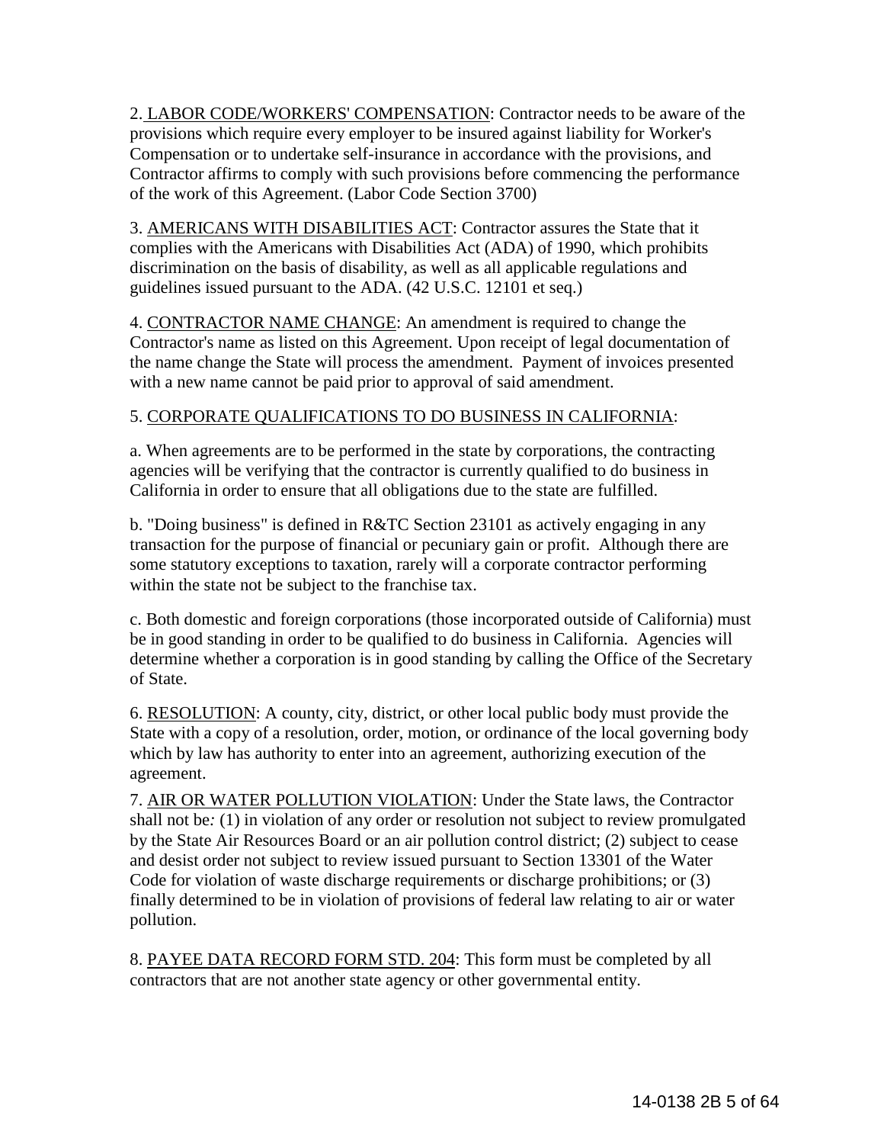2. LABOR CODE/WORKERS' COMPENSATION: Contractor needs to be aware of the provisions which require every employer to be insured against liability for Worker's Compensation or to undertake self-insurance in accordance with the provisions, and Contractor affirms to comply with such provisions before commencing the performance of the work of this Agreement. (Labor Code Section 3700)

3. AMERICANS WITH DISABILITIES ACT: Contractor assures the State that it complies with the Americans with Disabilities Act (ADA) of 1990, which prohibits discrimination on the basis of disability, as well as all applicable regulations and guidelines issued pursuant to the ADA. (42 U.S.C. 12101 et seq.)

4. CONTRACTOR NAME CHANGE: An amendment is required to change the Contractor's name as listed on this Agreement. Upon receipt of legal documentation of the name change the State will process the amendment. Payment of invoices presented with a new name cannot be paid prior to approval of said amendment.

## 5. CORPORATE QUALIFICATIONS TO DO BUSINESS IN CALIFORNIA:

a. When agreements are to be performed in the state by corporations, the contracting agencies will be verifying that the contractor is currently qualified to do business in California in order to ensure that all obligations due to the state are fulfilled.

b. "Doing business" is defined in R&TC Section 23101 as actively engaging in any transaction for the purpose of financial or pecuniary gain or profit. Although there are some statutory exceptions to taxation, rarely will a corporate contractor performing within the state not be subject to the franchise tax.

c. Both domestic and foreign corporations (those incorporated outside of California) must be in good standing in order to be qualified to do business in California. Agencies will determine whether a corporation is in good standing by calling the Office of the Secretary of State.

6. RESOLUTION: A county, city, district, or other local public body must provide the State with a copy of a resolution, order, motion, or ordinance of the local governing body which by law has authority to enter into an agreement, authorizing execution of the agreement.

7. AIR OR WATER POLLUTION VIOLATION: Under the State laws, the Contractor shall not be*:* (1) in violation of any order or resolution not subject to review promulgated by the State Air Resources Board or an air pollution control district; (2) subject to cease and desist order not subject to review issued pursuant to Section 13301 of the Water Code for violation of waste discharge requirements or discharge prohibitions; or (3) finally determined to be in violation of provisions of federal law relating to air or water pollution.

8. PAYEE DATA RECORD FORM STD. 204: This form must be completed by all contractors that are not another state agency or other governmental entity.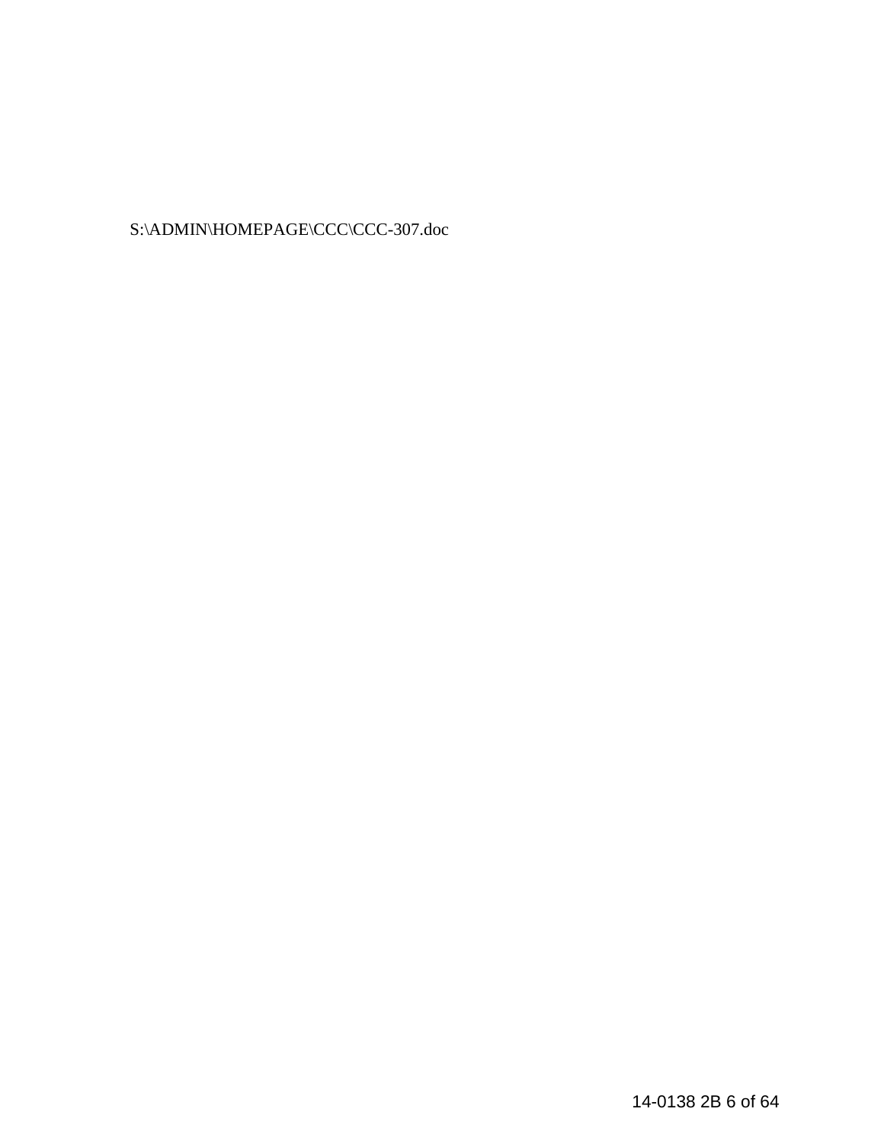S:\ADMIN\HOMEPAGE\CCC\CCC-307.doc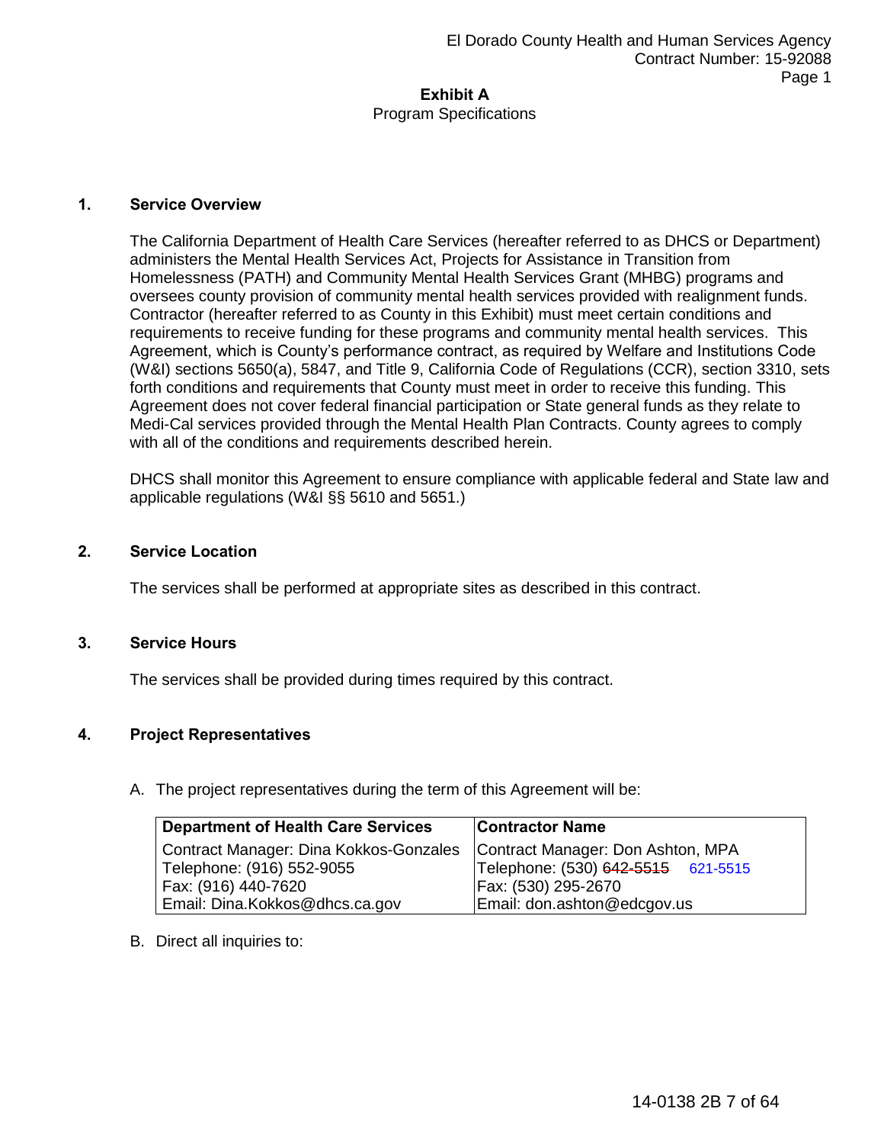Program Specifications

#### **1. Service Overview**

The California Department of Health Care Services (hereafter referred to as DHCS or Department) administers the Mental Health Services Act, Projects for Assistance in Transition from Homelessness (PATH) and Community Mental Health Services Grant (MHBG) programs and oversees county provision of community mental health services provided with realignment funds. Contractor (hereafter referred to as County in this Exhibit) must meet certain conditions and requirements to receive funding for these programs and community mental health services. This Agreement, which is County's performance contract, as required by Welfare and Institutions Code (W&I) sections 5650(a), 5847, and Title 9, California Code of Regulations (CCR), section 3310, sets forth conditions and requirements that County must meet in order to receive this funding. This Agreement does not cover federal financial participation or State general funds as they relate to Medi-Cal services provided through the Mental Health Plan Contracts. County agrees to comply with all of the conditions and requirements described herein.

DHCS shall monitor this Agreement to ensure compliance with applicable federal and State law and applicable regulations (W&I §§ 5610 and 5651.)

#### **2. Service Location**

The services shall be performed at appropriate sites as described in this contract.

### **3. Service Hours**

The services shall be provided during times required by this contract.

### **4. Project Representatives**

A. The project representatives during the term of this Agreement will be:

| <b>Department of Health Care Services</b> | <b>Contractor Name</b>             |
|-------------------------------------------|------------------------------------|
| Contract Manager: Dina Kokkos-Gonzales    | Contract Manager: Don Ashton, MPA  |
| Telephone: (916) 552-9055                 | Telephone: (530) 642-5515 621-5515 |
| Fax: (916) 440-7620                       | Fax: (530) 295-2670                |
| Email: Dina.Kokkos@dhcs.ca.gov            | Email: don.ashton@edcgov.us        |

B. Direct all inquiries to: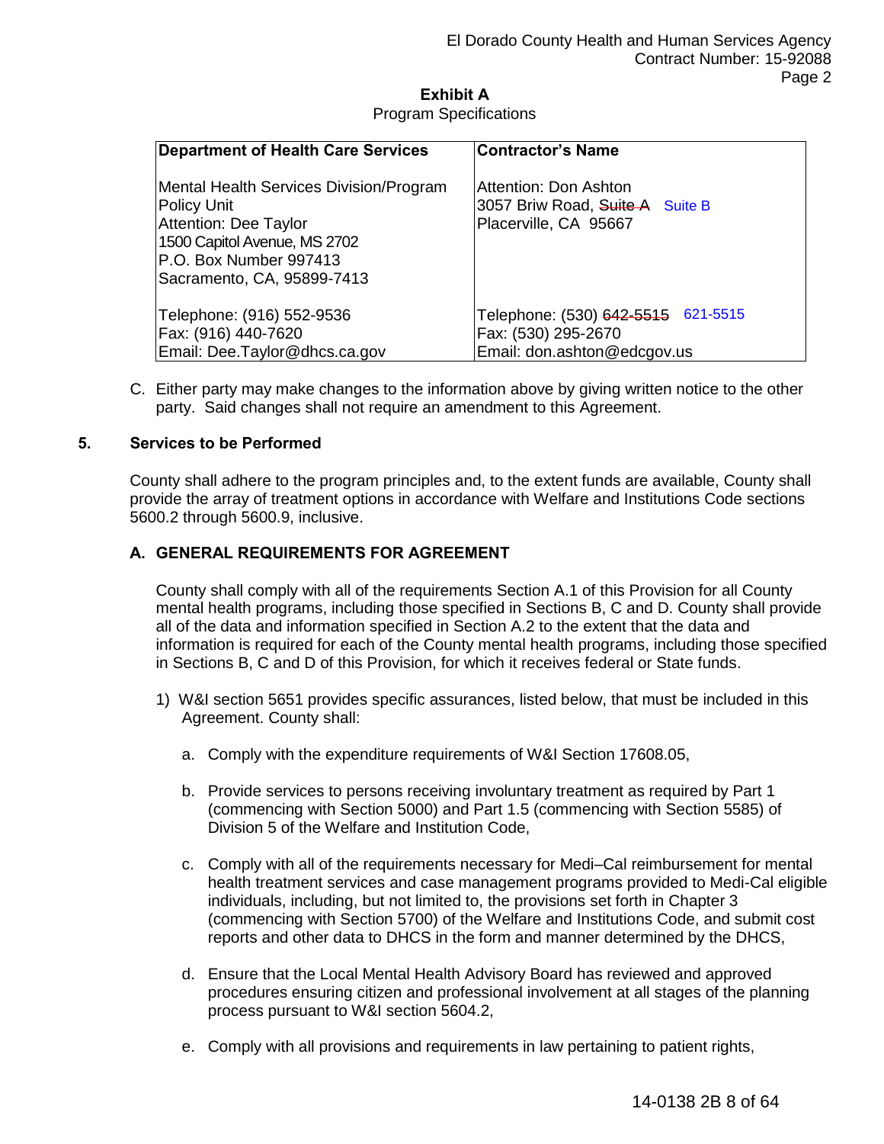Program Specifications

| <b>Department of Health Care Services</b>                                                                                                                                      | <b>Contractor's Name</b>                                                                 |
|--------------------------------------------------------------------------------------------------------------------------------------------------------------------------------|------------------------------------------------------------------------------------------|
| Mental Health Services Division/Program<br>Policy Unit<br><b>Attention: Dee Taylor</b><br>1500 Capitol Avenue, MS 2702<br>P.O. Box Number 997413<br>Sacramento, CA, 95899-7413 | Attention: Don Ashton<br>3057 Briw Road, Suite A Suite B<br>Placerville, CA 95667        |
| Telephone: (916) 552-9536<br>Fax: (916) 440-7620<br>Email: Dee.Taylor@dhcs.ca.gov                                                                                              | Telephone: (530) 642-5515 621-5515<br>Fax: (530) 295-2670<br>Email: don.ashton@edcgov.us |

C. Either party may make changes to the information above by giving written notice to the other party. Said changes shall not require an amendment to this Agreement.

### **5. Services to be Performed**

County shall adhere to the program principles and, to the extent funds are available, County shall provide the array of treatment options in accordance with Welfare and Institutions Code sections 5600.2 through 5600.9, inclusive.

### **A. GENERAL REQUIREMENTS FOR AGREEMENT**

County shall comply with all of the requirements Section A.1 of this Provision for all County mental health programs, including those specified in Sections B, C and D. County shall provide all of the data and information specified in Section A.2 to the extent that the data and information is required for each of the County mental health programs, including those specified in Sections B, C and D of this Provision, for which it receives federal or State funds.

- 1) W&I section 5651 provides specific assurances, listed below, that must be included in this Agreement. County shall:
	- a. Comply with the expenditure requirements of W&I Section 17608.05,
	- b. Provide services to persons receiving involuntary treatment as required by Part 1 (commencing with Section 5000) and Part 1.5 (commencing with Section 5585) of Division 5 of the Welfare and Institution Code,
	- c. Comply with all of the requirements necessary for Medi–Cal reimbursement for mental health treatment services and case management programs provided to Medi-Cal eligible individuals, including, but not limited to, the provisions set forth in Chapter 3 (commencing with Section 5700) of the Welfare and Institutions Code, and submit cost reports and other data to DHCS in the form and manner determined by the DHCS,
	- d. Ensure that the Local Mental Health Advisory Board has reviewed and approved procedures ensuring citizen and professional involvement at all stages of the planning process pursuant to W&I section 5604.2,
	- e. Comply with all provisions and requirements in law pertaining to patient rights,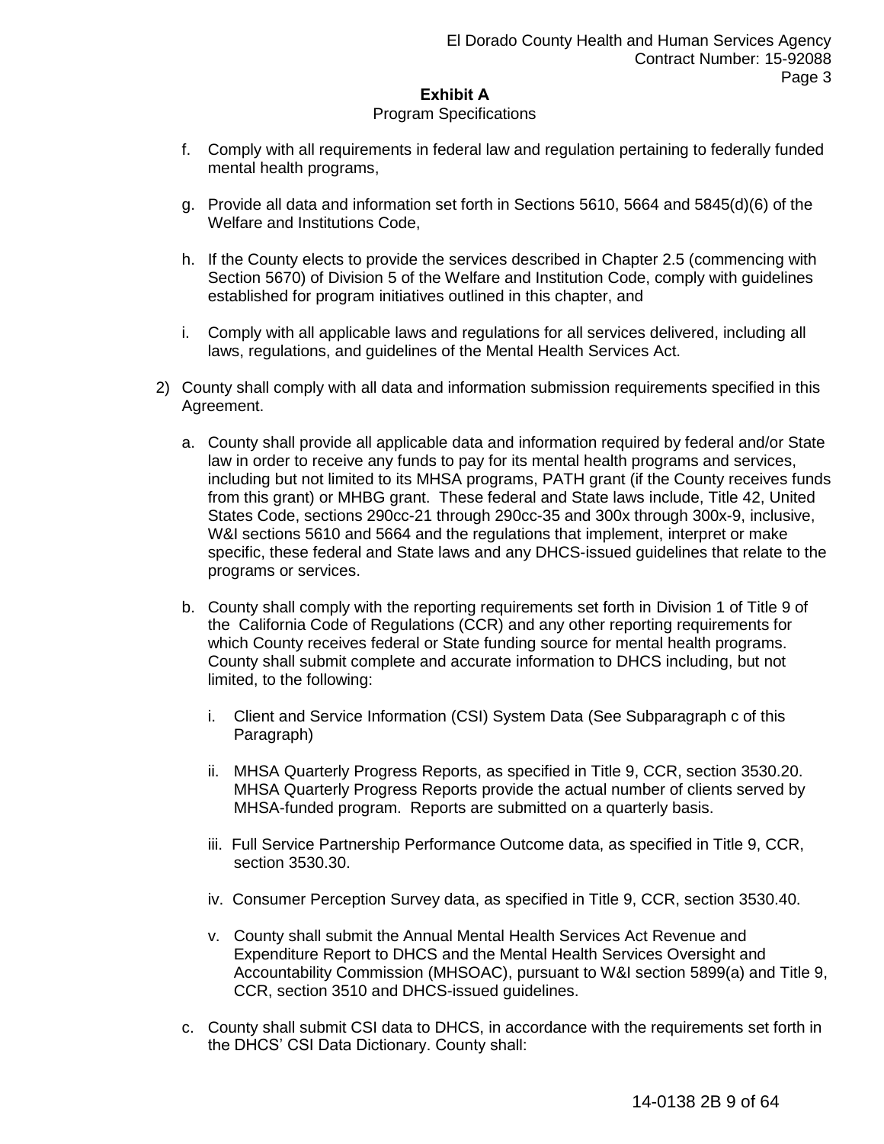#### Program Specifications

- f. Comply with all requirements in federal law and regulation pertaining to federally funded mental health programs,
- g. Provide all data and information set forth in Sections 5610, 5664 and 5845(d)(6) of the Welfare and Institutions Code,
- h. If the County elects to provide the services described in Chapter 2.5 (commencing with Section 5670) of Division 5 of the Welfare and Institution Code, comply with guidelines established for program initiatives outlined in this chapter, and
- i. Comply with all applicable laws and regulations for all services delivered, including all laws, regulations, and guidelines of the Mental Health Services Act.
- 2) County shall comply with all data and information submission requirements specified in this Agreement.
	- a. County shall provide all applicable data and information required by federal and/or State law in order to receive any funds to pay for its mental health programs and services, including but not limited to its MHSA programs, PATH grant (if the County receives funds from this grant) or MHBG grant. These federal and State laws include, Title 42, United States Code, sections 290cc-21 through 290cc-35 and 300x through 300x-9, inclusive, W&I sections 5610 and 5664 and the regulations that implement, interpret or make specific, these federal and State laws and any DHCS-issued guidelines that relate to the programs or services.
	- b. County shall comply with the reporting requirements set forth in Division 1 of Title 9 of the California Code of Regulations (CCR) and any other reporting requirements for which County receives federal or State funding source for mental health programs. County shall submit complete and accurate information to DHCS including, but not limited, to the following:
		- i. Client and Service Information (CSI) System Data (See Subparagraph c of this Paragraph)
		- ii. MHSA Quarterly Progress Reports, as specified in Title 9, CCR, section 3530.20. MHSA Quarterly Progress Reports provide the actual number of clients served by MHSA-funded program. Reports are submitted on a quarterly basis.
		- iii. Full Service Partnership Performance Outcome data, as specified in Title 9, CCR, section 3530.30.
		- iv. Consumer Perception Survey data, as specified in Title 9, CCR, section 3530.40.
		- v. County shall submit the Annual Mental Health Services Act Revenue and Expenditure Report to DHCS and the Mental Health Services Oversight and Accountability Commission (MHSOAC), pursuant to W&I section 5899(a) and Title 9, CCR, section 3510 and DHCS-issued guidelines.
	- c. County shall submit CSI data to DHCS, in accordance with the requirements set forth in the DHCS' CSI Data Dictionary. County shall: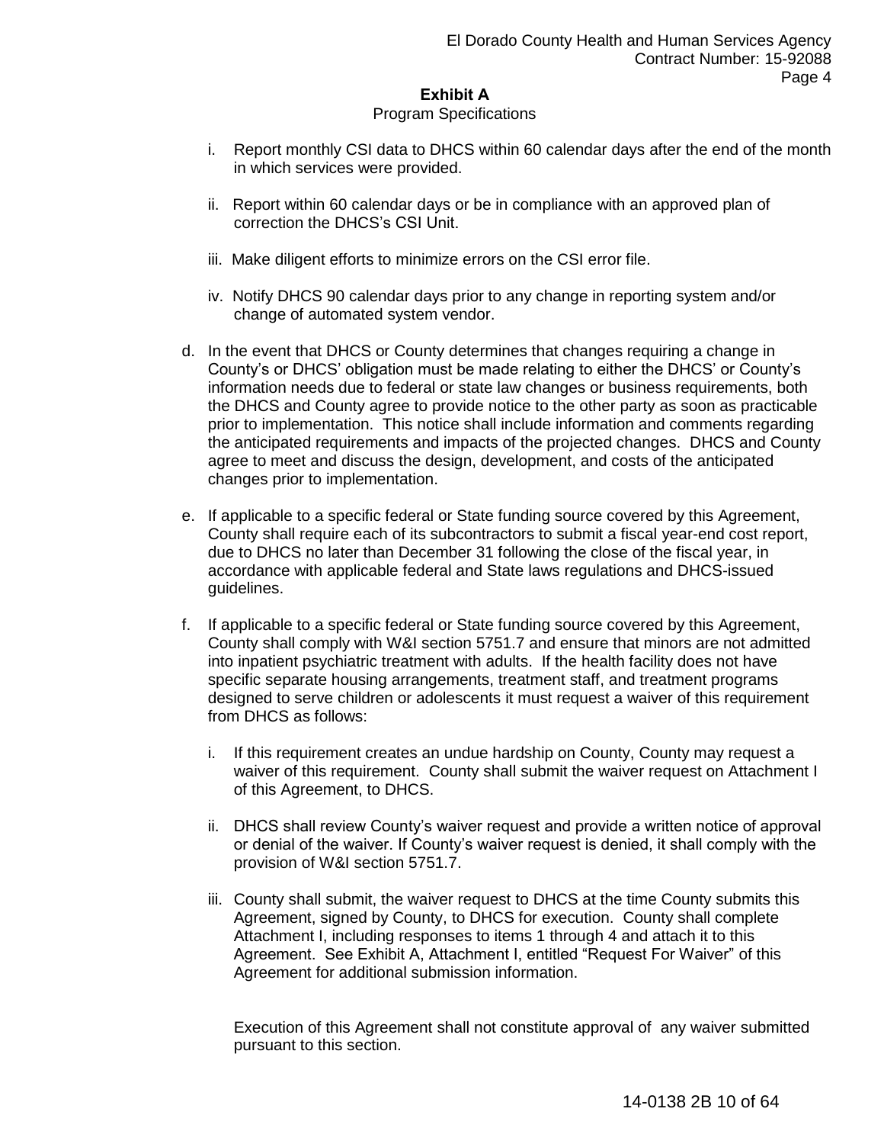#### Program Specifications

- i. Report monthly CSI data to DHCS within 60 calendar days after the end of the month in which services were provided.
- ii. Report within 60 calendar days or be in compliance with an approved plan of correction the DHCS's CSI Unit.
- iii. Make diligent efforts to minimize errors on the CSI error file.
- iv. Notify DHCS 90 calendar days prior to any change in reporting system and/or change of automated system vendor.
- d. In the event that DHCS or County determines that changes requiring a change in County's or DHCS' obligation must be made relating to either the DHCS' or County's information needs due to federal or state law changes or business requirements, both the DHCS and County agree to provide notice to the other party as soon as practicable prior to implementation. This notice shall include information and comments regarding the anticipated requirements and impacts of the projected changes. DHCS and County agree to meet and discuss the design, development, and costs of the anticipated changes prior to implementation.
- e. If applicable to a specific federal or State funding source covered by this Agreement, County shall require each of its subcontractors to submit a fiscal year-end cost report, due to DHCS no later than December 31 following the close of the fiscal year, in accordance with applicable federal and State laws regulations and DHCS-issued guidelines.
- f. If applicable to a specific federal or State funding source covered by this Agreement, County shall comply with W&I section 5751.7 and ensure that minors are not admitted into inpatient psychiatric treatment with adults. If the health facility does not have specific separate housing arrangements, treatment staff, and treatment programs designed to serve children or adolescents it must request a waiver of this requirement from DHCS as follows:
	- i. If this requirement creates an undue hardship on County, County may request a waiver of this requirement. County shall submit the waiver request on Attachment I of this Agreement, to DHCS.
	- ii. DHCS shall review County's waiver request and provide a written notice of approval or denial of the waiver. If County's waiver request is denied, it shall comply with the provision of W&I section 5751.7.
	- iii. County shall submit, the waiver request to DHCS at the time County submits this Agreement, signed by County, to DHCS for execution. County shall complete Attachment I, including responses to items 1 through 4 and attach it to this Agreement. See Exhibit A, Attachment I, entitled "Request For Waiver" of this Agreement for additional submission information.

Execution of this Agreement shall not constitute approval of any waiver submitted pursuant to this section.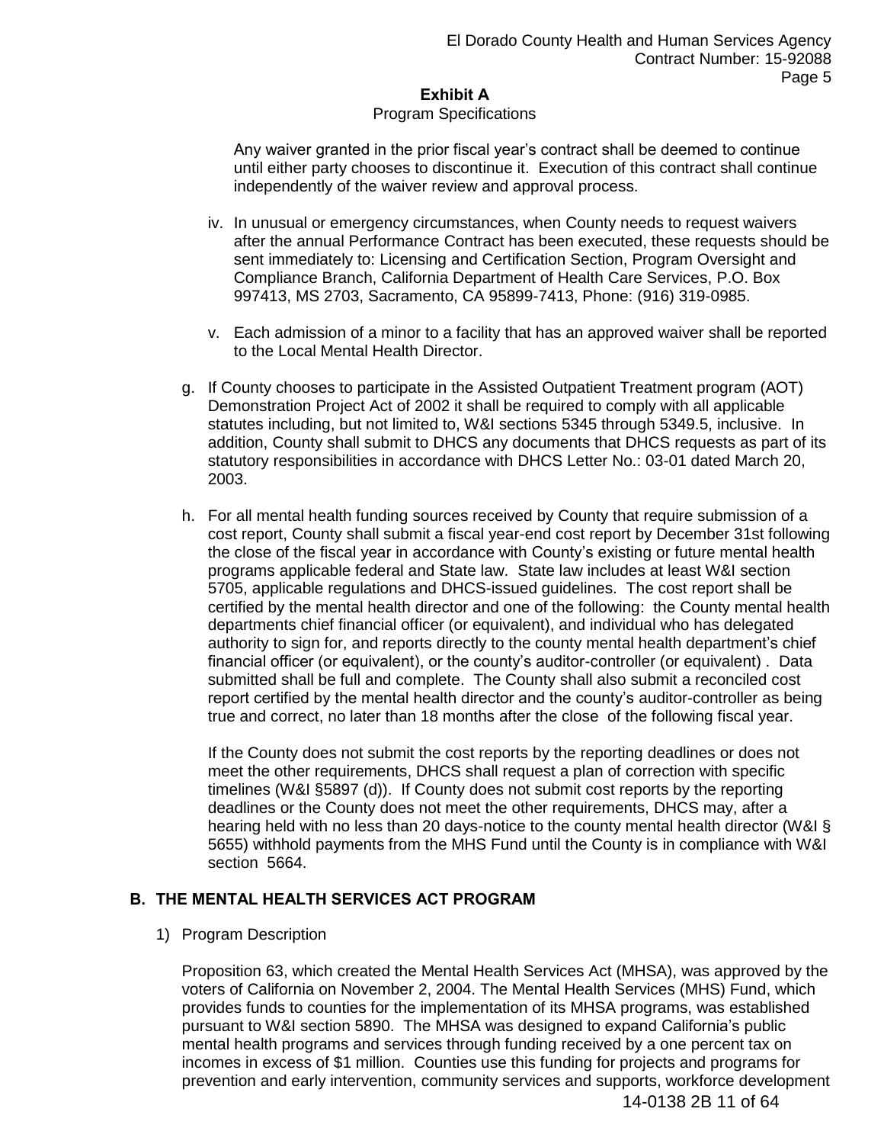#### Program Specifications

Any waiver granted in the prior fiscal year's contract shall be deemed to continue until either party chooses to discontinue it. Execution of this contract shall continue independently of the waiver review and approval process.

- iv. In unusual or emergency circumstances, when County needs to request waivers after the annual Performance Contract has been executed, these requests should be sent immediately to: Licensing and Certification Section, Program Oversight and Compliance Branch, California Department of Health Care Services, P.O. Box 997413, MS 2703, Sacramento, CA 95899-7413, Phone: (916) 319-0985.
- v. Each admission of a minor to a facility that has an approved waiver shall be reported to the Local Mental Health Director.
- g. If County chooses to participate in the Assisted Outpatient Treatment program (AOT) Demonstration Project Act of 2002 it shall be required to comply with all applicable statutes including, but not limited to, W&I sections 5345 through 5349.5, inclusive. In addition, County shall submit to DHCS any documents that DHCS requests as part of its statutory responsibilities in accordance with DHCS Letter No.: 03-01 dated March 20, 2003.
- h. For all mental health funding sources received by County that require submission of a cost report, County shall submit a fiscal year-end cost report by December 31st following the close of the fiscal year in accordance with County's existing or future mental health programs applicable federal and State law. State law includes at least W&I section 5705, applicable regulations and DHCS-issued guidelines. The cost report shall be certified by the mental health director and one of the following: the County mental health departments chief financial officer (or equivalent), and individual who has delegated authority to sign for, and reports directly to the county mental health department's chief financial officer (or equivalent), or the county's auditor-controller (or equivalent) . Data submitted shall be full and complete. The County shall also submit a reconciled cost report certified by the mental health director and the county's auditor-controller as being true and correct, no later than 18 months after the close of the following fiscal year.

If the County does not submit the cost reports by the reporting deadlines or does not meet the other requirements, DHCS shall request a plan of correction with specific timelines (W&I §5897 (d)). If County does not submit cost reports by the reporting deadlines or the County does not meet the other requirements, DHCS may, after a hearing held with no less than 20 days-notice to the county mental health director (W&I § 5655) withhold payments from the MHS Fund until the County is in compliance with W&I section 5664.

### **B. THE MENTAL HEALTH SERVICES ACT PROGRAM**

### 1) Program Description

Proposition 63, which created the Mental Health Services Act (MHSA), was approved by the voters of California on November 2, 2004. The Mental Health Services (MHS) Fund, which provides funds to counties for the implementation of its MHSA programs, was established pursuant to W&I section 5890. The MHSA was designed to expand California's public mental health programs and services through funding received by a one percent tax on incomes in excess of \$1 million. Counties use this funding for projects and programs for prevention and early intervention, community services and supports, workforce development 14-0138 2B 11 of 64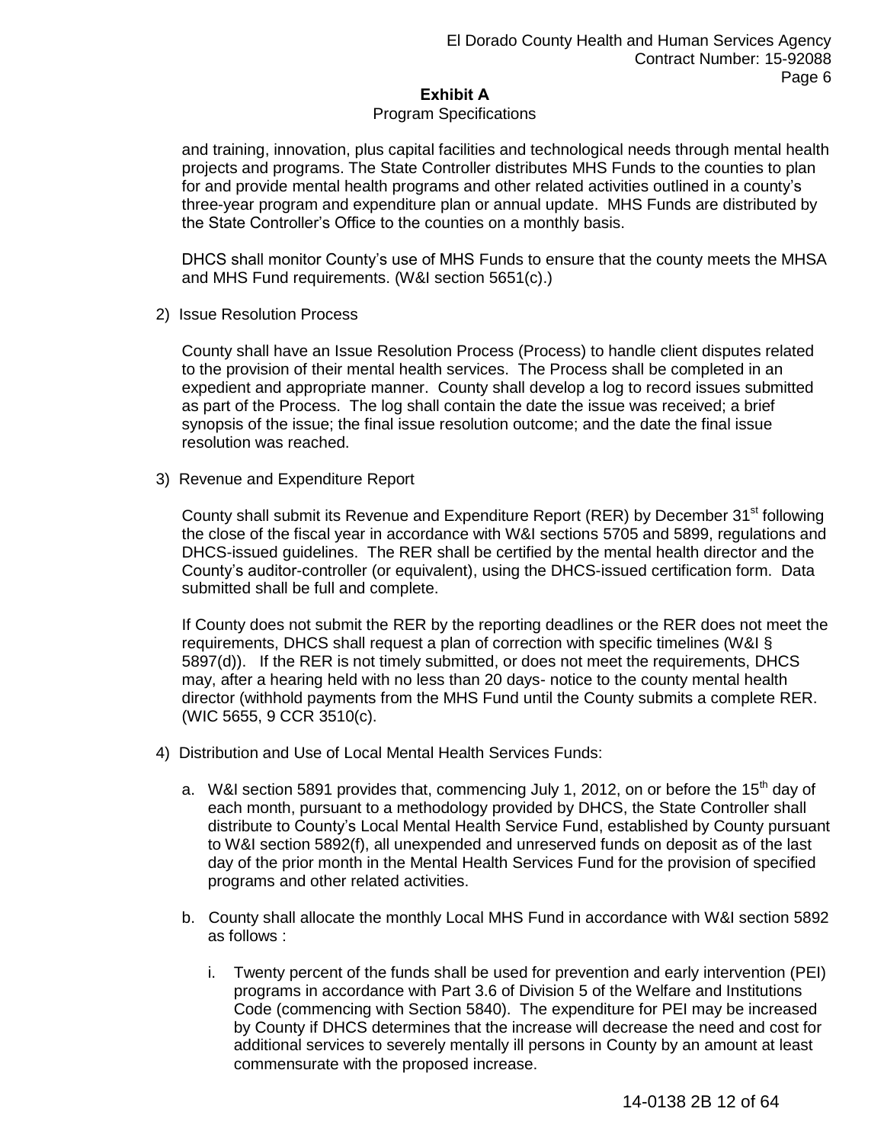#### Program Specifications

and training, innovation, plus capital facilities and technological needs through mental health projects and programs. The State Controller distributes MHS Funds to the counties to plan for and provide mental health programs and other related activities outlined in a county's three-year program and expenditure plan or annual update. MHS Funds are distributed by the State Controller's Office to the counties on a monthly basis.

DHCS shall monitor County's use of MHS Funds to ensure that the county meets the MHSA and MHS Fund requirements. (W&I section 5651(c).)

2) Issue Resolution Process

County shall have an Issue Resolution Process (Process) to handle client disputes related to the provision of their mental health services. The Process shall be completed in an expedient and appropriate manner. County shall develop a log to record issues submitted as part of the Process. The log shall contain the date the issue was received; a brief synopsis of the issue; the final issue resolution outcome; and the date the final issue resolution was reached.

3) Revenue and Expenditure Report

County shall submit its Revenue and Expenditure Report (RER) by December 31<sup>st</sup> following the close of the fiscal year in accordance with W&I sections 5705 and 5899, regulations and DHCS-issued guidelines. The RER shall be certified by the mental health director and the County's auditor-controller (or equivalent), using the DHCS-issued certification form. Data submitted shall be full and complete.

If County does not submit the RER by the reporting deadlines or the RER does not meet the requirements, DHCS shall request a plan of correction with specific timelines (W&I § 5897(d)). If the RER is not timely submitted, or does not meet the requirements, DHCS may, after a hearing held with no less than 20 days- notice to the county mental health director (withhold payments from the MHS Fund until the County submits a complete RER. (WIC 5655, 9 CCR 3510(c).

- 4) Distribution and Use of Local Mental Health Services Funds:
	- a. W&I section 5891 provides that, commencing July 1, 2012, on or before the 15<sup>th</sup> dav of each month, pursuant to a methodology provided by DHCS, the State Controller shall distribute to County's Local Mental Health Service Fund, established by County pursuant to W&I section 5892(f), all unexpended and unreserved funds on deposit as of the last day of the prior month in the Mental Health Services Fund for the provision of specified programs and other related activities.
	- b. County shall allocate the monthly Local MHS Fund in accordance with W&I section 5892 as follows :
		- i. Twenty percent of the funds shall be used for prevention and early intervention (PEI) programs in accordance with Part 3.6 of Division 5 of the Welfare and Institutions Code (commencing with Section 5840). The expenditure for PEI may be increased by County if DHCS determines that the increase will decrease the need and cost for additional services to severely mentally ill persons in County by an amount at least commensurate with the proposed increase.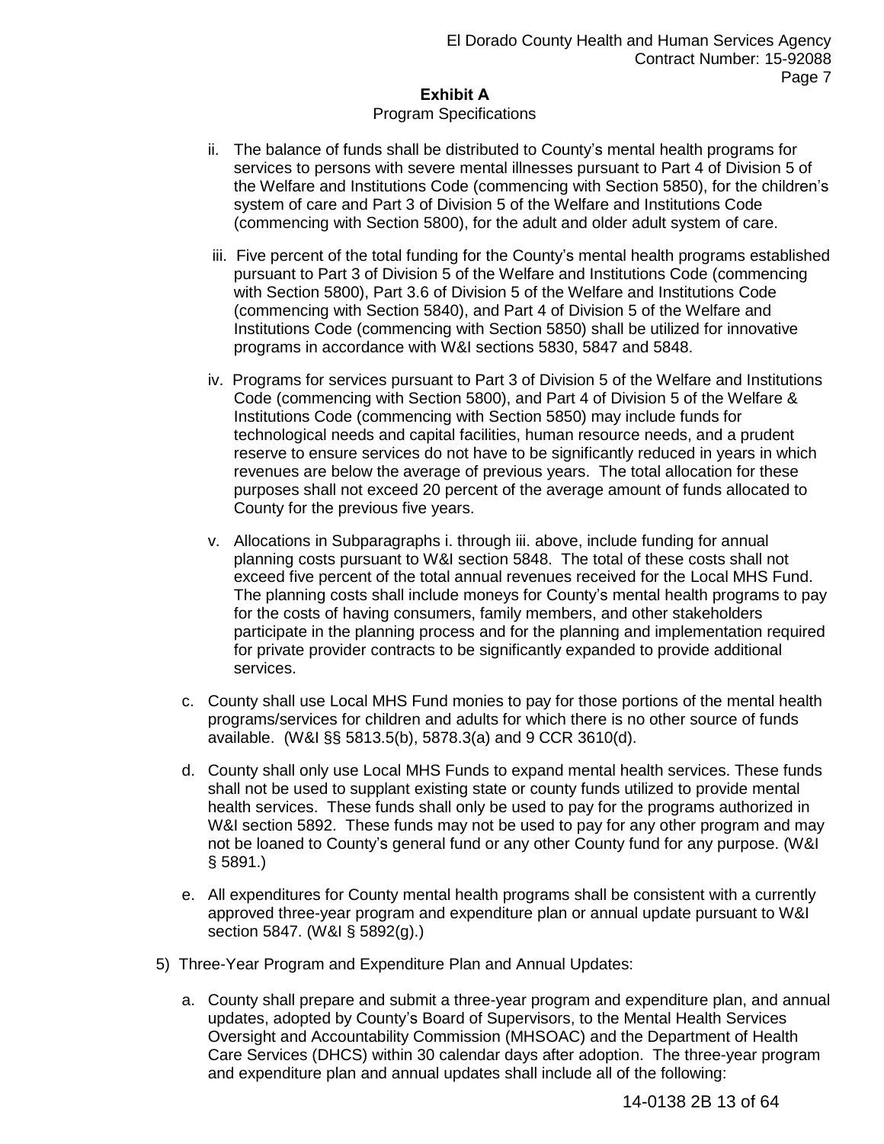#### Program Specifications

- ii. The balance of funds shall be distributed to County's mental health programs for services to persons with severe mental illnesses pursuant to Part 4 of Division 5 of the Welfare and Institutions Code (commencing with Section 5850), for the children's system of care and Part 3 of Division 5 of the Welfare and Institutions Code (commencing with Section 5800), for the adult and older adult system of care.
- iii. Five percent of the total funding for the County's mental health programs established pursuant to Part 3 of Division 5 of the Welfare and Institutions Code (commencing with Section 5800), Part 3.6 of Division 5 of the Welfare and Institutions Code (commencing with Section 5840), and Part 4 of Division 5 of the Welfare and Institutions Code (commencing with Section 5850) shall be utilized for innovative programs in accordance with W&I sections 5830, 5847 and 5848.
- iv. Programs for services pursuant to Part 3 of Division 5 of the Welfare and Institutions Code (commencing with Section 5800), and Part 4 of Division 5 of the Welfare & Institutions Code (commencing with Section 5850) may include funds for technological needs and capital facilities, human resource needs, and a prudent reserve to ensure services do not have to be significantly reduced in years in which revenues are below the average of previous years. The total allocation for these purposes shall not exceed 20 percent of the average amount of funds allocated to County for the previous five years.
- v. Allocations in Subparagraphs i. through iii. above, include funding for annual planning costs pursuant to W&I section 5848. The total of these costs shall not exceed five percent of the total annual revenues received for the Local MHS Fund. The planning costs shall include moneys for County's mental health programs to pay for the costs of having consumers, family members, and other stakeholders participate in the planning process and for the planning and implementation required for private provider contracts to be significantly expanded to provide additional services.
- c. County shall use Local MHS Fund monies to pay for those portions of the mental health programs/services for children and adults for which there is no other source of funds available. (W&I §§ 5813.5(b), 5878.3(a) and 9 CCR 3610(d).
- d. County shall only use Local MHS Funds to expand mental health services. These funds shall not be used to supplant existing state or county funds utilized to provide mental health services. These funds shall only be used to pay for the programs authorized in W&I section 5892. These funds may not be used to pay for any other program and may not be loaned to County's general fund or any other County fund for any purpose. (W&I § 5891.)
- e. All expenditures for County mental health programs shall be consistent with a currently approved three-year program and expenditure plan or annual update pursuant to W&I section 5847. (W&I § 5892(g).)
- 5) Three-Year Program and Expenditure Plan and Annual Updates:
	- a. County shall prepare and submit a three-year program and expenditure plan, and annual updates, adopted by County's Board of Supervisors, to the Mental Health Services Oversight and Accountability Commission (MHSOAC) and the Department of Health Care Services (DHCS) within 30 calendar days after adoption. The three-year program and expenditure plan and annual updates shall include all of the following:

14-0138 2B 13 of 64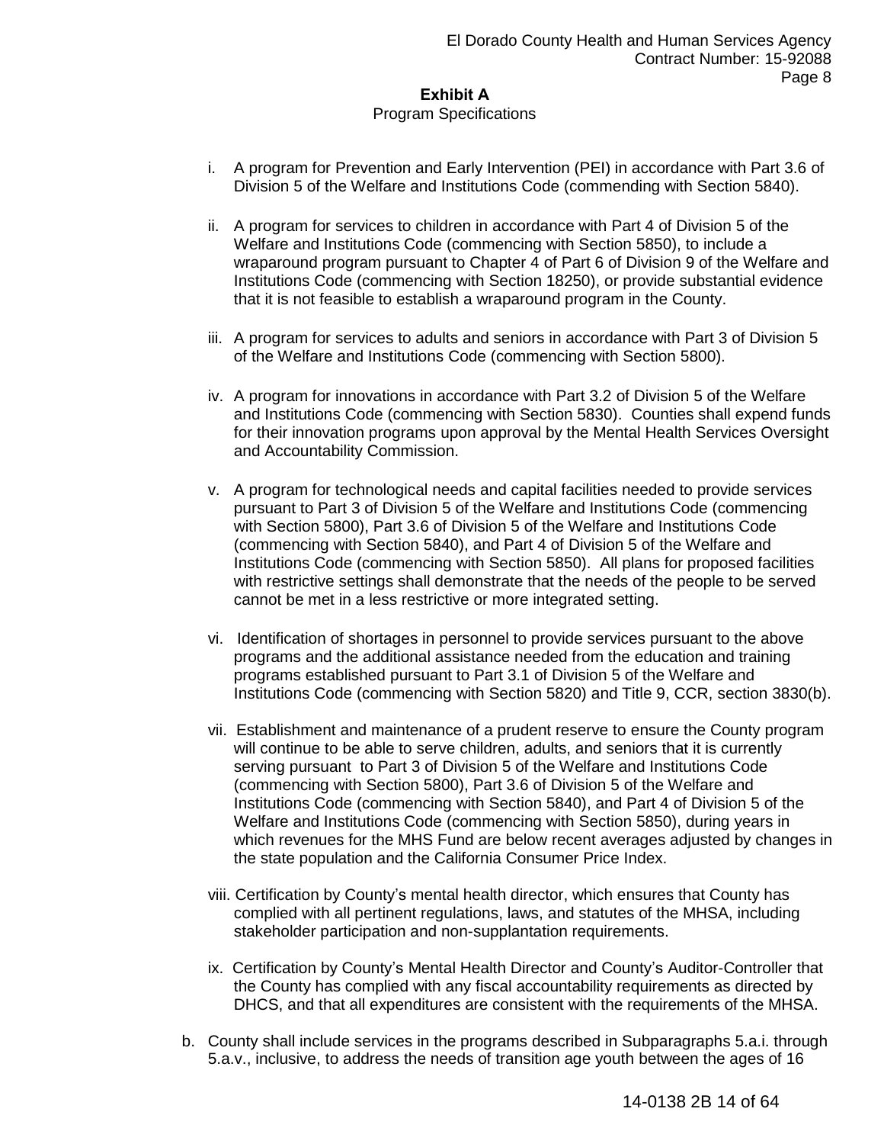#### Program Specifications

- i. A program for Prevention and Early Intervention (PEI) in accordance with Part 3.6 of Division 5 of the Welfare and Institutions Code (commending with Section 5840).
- ii. A program for services to children in accordance with Part 4 of Division 5 of the Welfare and Institutions Code (commencing with Section 5850), to include a wraparound program pursuant to Chapter 4 of Part 6 of Division 9 of the Welfare and Institutions Code (commencing with Section 18250), or provide substantial evidence that it is not feasible to establish a wraparound program in the County.
- iii. A program for services to adults and seniors in accordance with Part 3 of Division 5 of the Welfare and Institutions Code (commencing with Section 5800).
- iv. A program for innovations in accordance with Part 3.2 of Division 5 of the Welfare and Institutions Code (commencing with Section 5830). Counties shall expend funds for their innovation programs upon approval by the Mental Health Services Oversight and Accountability Commission.
- v. A program for technological needs and capital facilities needed to provide services pursuant to Part 3 of Division 5 of the Welfare and Institutions Code (commencing with Section 5800), Part 3.6 of Division 5 of the Welfare and Institutions Code (commencing with Section 5840), and Part 4 of Division 5 of the Welfare and Institutions Code (commencing with Section 5850). All plans for proposed facilities with restrictive settings shall demonstrate that the needs of the people to be served cannot be met in a less restrictive or more integrated setting.
- vi. Identification of shortages in personnel to provide services pursuant to the above programs and the additional assistance needed from the education and training programs established pursuant to Part 3.1 of Division 5 of the Welfare and Institutions Code (commencing with Section 5820) and Title 9, CCR, section 3830(b).
- vii. Establishment and maintenance of a prudent reserve to ensure the County program will continue to be able to serve children, adults, and seniors that it is currently serving pursuant to Part 3 of Division 5 of the Welfare and Institutions Code (commencing with Section 5800), Part 3.6 of Division 5 of the Welfare and Institutions Code (commencing with Section 5840), and Part 4 of Division 5 of the Welfare and Institutions Code (commencing with Section 5850), during years in which revenues for the MHS Fund are below recent averages adjusted by changes in the state population and the California Consumer Price Index.
- viii. Certification by County's mental health director, which ensures that County has complied with all pertinent regulations, laws, and statutes of the MHSA, including stakeholder participation and non-supplantation requirements.
- ix. Certification by County's Mental Health Director and County's Auditor-Controller that the County has complied with any fiscal accountability requirements as directed by DHCS, and that all expenditures are consistent with the requirements of the MHSA.
- b. County shall include services in the programs described in Subparagraphs 5.a.i. through 5.a.v., inclusive, to address the needs of transition age youth between the ages of 16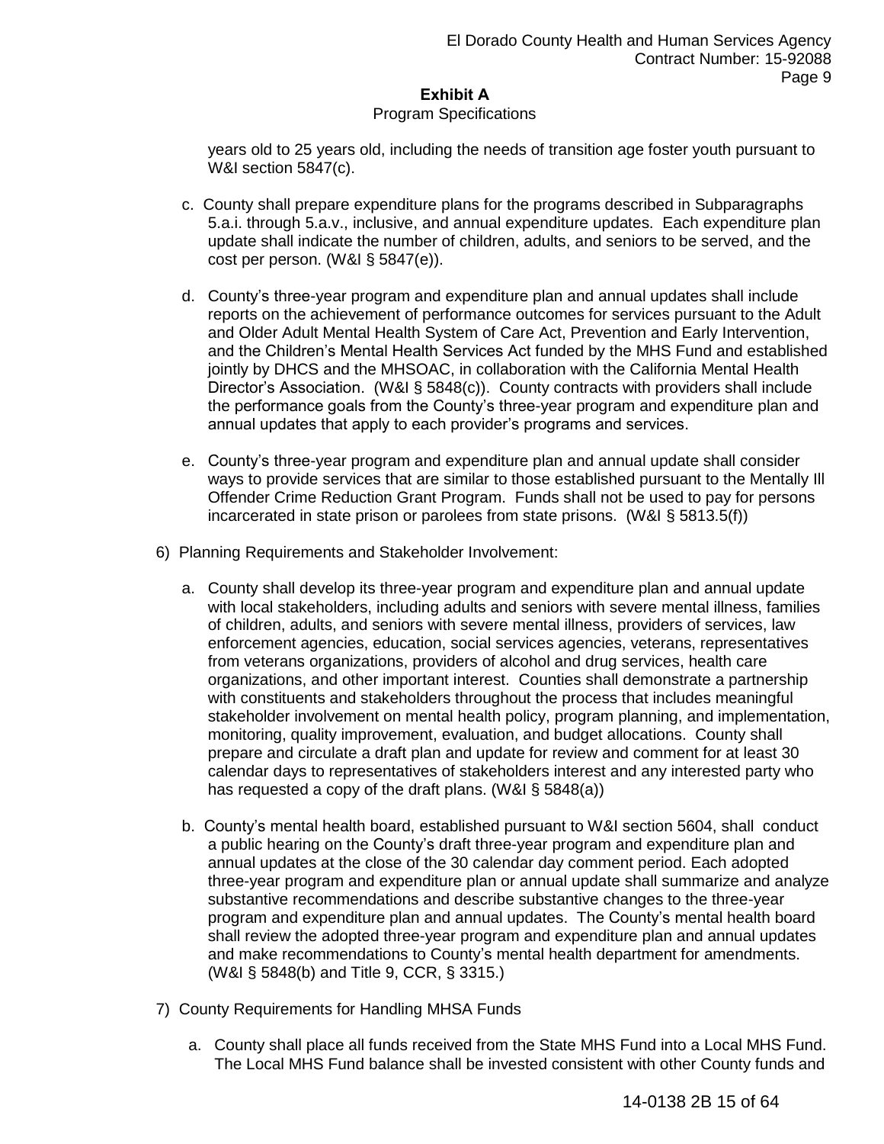#### Program Specifications

years old to 25 years old, including the needs of transition age foster youth pursuant to W&I section 5847(c).

- c. County shall prepare expenditure plans for the programs described in Subparagraphs 5.a.i. through 5.a.v., inclusive, and annual expenditure updates. Each expenditure plan update shall indicate the number of children, adults, and seniors to be served, and the cost per person. (W&I § 5847(e)).
- d. County's three-year program and expenditure plan and annual updates shall include reports on the achievement of performance outcomes for services pursuant to the Adult and Older Adult Mental Health System of Care Act, Prevention and Early Intervention, and the Children's Mental Health Services Act funded by the MHS Fund and established jointly by DHCS and the MHSOAC, in collaboration with the California Mental Health Director's Association. (W&I § 5848(c)). County contracts with providers shall include the performance goals from the County's three-year program and expenditure plan and annual updates that apply to each provider's programs and services.
- e. County's three-year program and expenditure plan and annual update shall consider ways to provide services that are similar to those established pursuant to the Mentally Ill Offender Crime Reduction Grant Program. Funds shall not be used to pay for persons incarcerated in state prison or parolees from state prisons. (W&I § 5813.5(f))
- 6) Planning Requirements and Stakeholder Involvement:
	- a. County shall develop its three-year program and expenditure plan and annual update with local stakeholders, including adults and seniors with severe mental illness, families of children, adults, and seniors with severe mental illness, providers of services, law enforcement agencies, education, social services agencies, veterans, representatives from veterans organizations, providers of alcohol and drug services, health care organizations, and other important interest. Counties shall demonstrate a partnership with constituents and stakeholders throughout the process that includes meaningful stakeholder involvement on mental health policy, program planning, and implementation, monitoring, quality improvement, evaluation, and budget allocations. County shall prepare and circulate a draft plan and update for review and comment for at least 30 calendar days to representatives of stakeholders interest and any interested party who has requested a copy of the draft plans. (W&I § 5848(a))
	- b. County's mental health board, established pursuant to W&I section 5604, shall conduct a public hearing on the County's draft three-year program and expenditure plan and annual updates at the close of the 30 calendar day comment period. Each adopted three-year program and expenditure plan or annual update shall summarize and analyze substantive recommendations and describe substantive changes to the three-year program and expenditure plan and annual updates. The County's mental health board shall review the adopted three-year program and expenditure plan and annual updates and make recommendations to County's mental health department for amendments. (W&I § 5848(b) and Title 9, CCR, § 3315.)
- 7) County Requirements for Handling MHSA Funds
	- a. County shall place all funds received from the State MHS Fund into a Local MHS Fund. The Local MHS Fund balance shall be invested consistent with other County funds and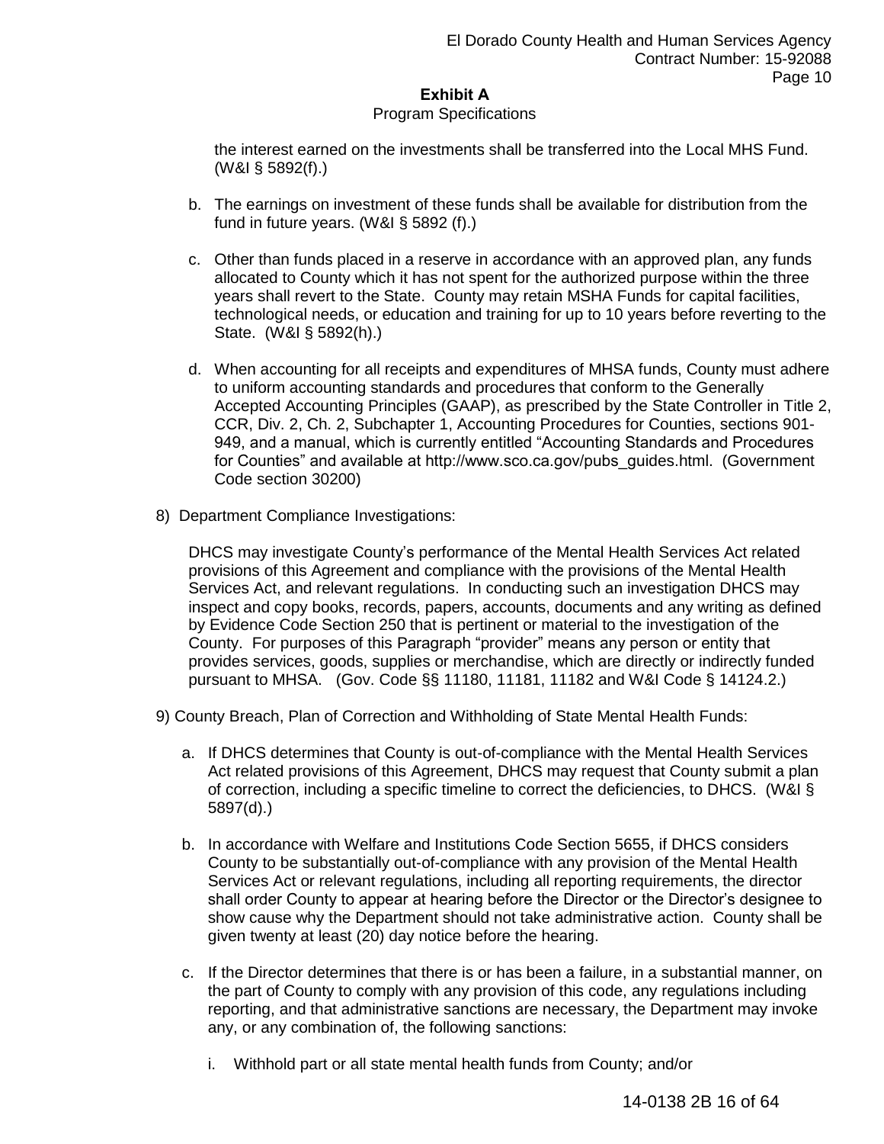#### Program Specifications

the interest earned on the investments shall be transferred into the Local MHS Fund. (W&I § 5892(f).)

- b. The earnings on investment of these funds shall be available for distribution from the fund in future years. (W&I § 5892 (f).)
- c. Other than funds placed in a reserve in accordance with an approved plan, any funds allocated to County which it has not spent for the authorized purpose within the three years shall revert to the State. County may retain MSHA Funds for capital facilities, technological needs, or education and training for up to 10 years before reverting to the State. (W&I § 5892(h).)
- d. When accounting for all receipts and expenditures of MHSA funds, County must adhere to uniform accounting standards and procedures that conform to the Generally Accepted Accounting Principles (GAAP), as prescribed by the State Controller in Title 2, CCR, Div. 2, Ch. 2, Subchapter 1, Accounting Procedures for Counties, sections 901- 949, and a manual, which is currently entitled "Accounting Standards and Procedures for Counties" and available at http://www.sco.ca.gov/pubs\_guides.html. (Government Code section 30200)
- 8) Department Compliance Investigations:

DHCS may investigate County's performance of the Mental Health Services Act related provisions of this Agreement and compliance with the provisions of the Mental Health Services Act, and relevant regulations. In conducting such an investigation DHCS may inspect and copy books, records, papers, accounts, documents and any writing as defined by Evidence Code Section 250 that is pertinent or material to the investigation of the County. For purposes of this Paragraph "provider" means any person or entity that provides services, goods, supplies or merchandise, which are directly or indirectly funded pursuant to MHSA. (Gov. Code §§ 11180, 11181, 11182 and W&I Code § 14124.2.)

9) County Breach, Plan of Correction and Withholding of State Mental Health Funds:

- a. If DHCS determines that County is out-of-compliance with the Mental Health Services Act related provisions of this Agreement, DHCS may request that County submit a plan of correction, including a specific timeline to correct the deficiencies, to DHCS. (W&I § 5897(d).)
- b. In accordance with Welfare and Institutions Code Section 5655, if DHCS considers County to be substantially out-of-compliance with any provision of the Mental Health Services Act or relevant regulations, including all reporting requirements, the director shall order County to appear at hearing before the Director or the Director's designee to show cause why the Department should not take administrative action. County shall be given twenty at least (20) day notice before the hearing.
- c. If the Director determines that there is or has been a failure, in a substantial manner, on the part of County to comply with any provision of this code, any regulations including reporting, and that administrative sanctions are necessary, the Department may invoke any, or any combination of, the following sanctions:
	- i. Withhold part or all state mental health funds from County; and/or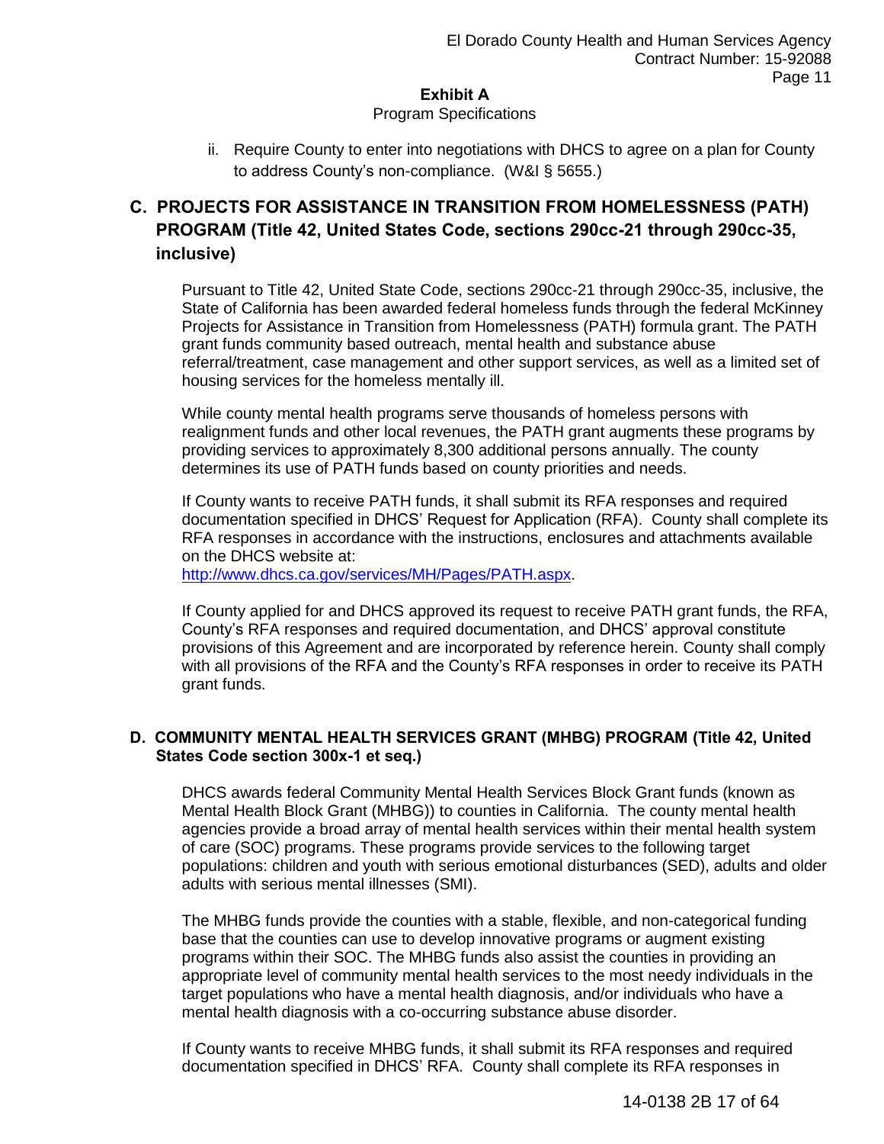#### Program Specifications

ii. Require County to enter into negotiations with DHCS to agree on a plan for County to address County's non-compliance. (W&I § 5655.)

# **C. PROJECTS FOR ASSISTANCE IN TRANSITION FROM HOMELESSNESS (PATH) PROGRAM (Title 42, United States Code, sections 290cc-21 through 290cc-35, inclusive)**

Pursuant to Title 42, United State Code, sections 290cc-21 through 290cc-35, inclusive, the State of California has been awarded federal homeless funds through the federal McKinney Projects for Assistance in Transition from Homelessness (PATH) formula grant. The PATH grant funds community based outreach, mental health and substance abuse referral/treatment, case management and other support services, as well as a limited set of housing services for the homeless mentally ill.

While county mental health programs serve thousands of homeless persons with realignment funds and other local revenues, the PATH grant augments these programs by providing services to approximately 8,300 additional persons annually. The county determines its use of PATH funds based on county priorities and needs.

If County wants to receive PATH funds, it shall submit its RFA responses and required documentation specified in DHCS' Request for Application (RFA). County shall complete its RFA responses in accordance with the instructions, enclosures and attachments available on the DHCS website at:

[http://www.dhcs.ca.gov/services/MH/Pages/PATH.aspx.](http://www.dhcs.ca.gov/services/MH/Pages/PATH.aspx)

If County applied for and DHCS approved its request to receive PATH grant funds, the RFA, County's RFA responses and required documentation, and DHCS' approval constitute provisions of this Agreement and are incorporated by reference herein. County shall comply with all provisions of the RFA and the County's RFA responses in order to receive its PATH grant funds.

### **D. COMMUNITY MENTAL HEALTH SERVICES GRANT (MHBG) PROGRAM (Title 42, United States Code section 300x-1 et seq.)**

DHCS awards federal Community Mental Health Services Block Grant funds (known as Mental Health Block Grant (MHBG)) to counties in California. The county mental health agencies provide a broad array of mental health services within their mental health system of care (SOC) programs. These programs provide services to the following target populations: children and youth with serious emotional disturbances (SED), adults and older adults with serious mental illnesses (SMI).

The MHBG funds provide the counties with a stable, flexible, and non-categorical funding base that the counties can use to develop innovative programs or augment existing programs within their SOC. The MHBG funds also assist the counties in providing an appropriate level of community mental health services to the most needy individuals in the target populations who have a mental health diagnosis, and/or individuals who have a mental health diagnosis with a co-occurring substance abuse disorder.

If County wants to receive MHBG funds, it shall submit its RFA responses and required documentation specified in DHCS' RFA. County shall complete its RFA responses in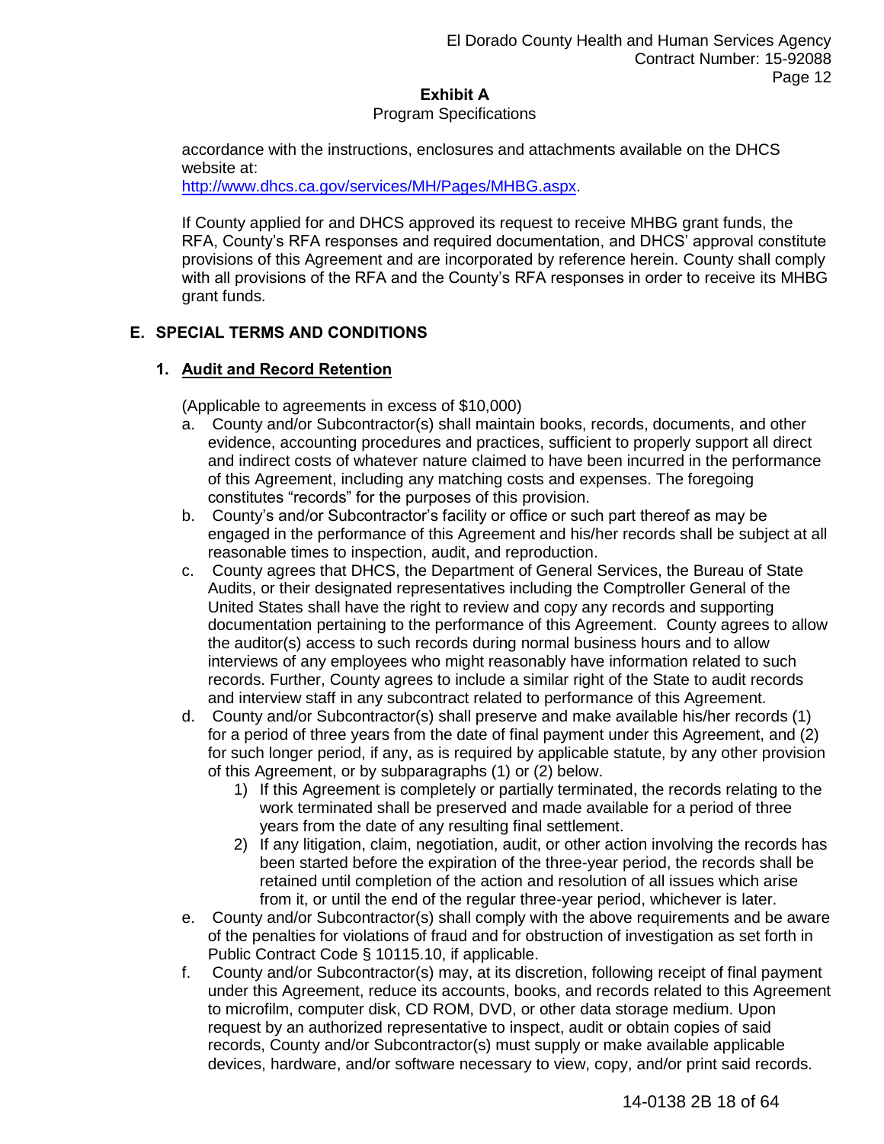#### Program Specifications

accordance with the instructions, enclosures and attachments available on the DHCS website at:

[http://www.dhcs.ca.gov/services/MH/Pages/MHBG.aspx.](http://www.dhcs.ca.gov/services/MH/Pages/MHBG.aspx)

If County applied for and DHCS approved its request to receive MHBG grant funds, the RFA, County's RFA responses and required documentation, and DHCS' approval constitute provisions of this Agreement and are incorporated by reference herein. County shall comply with all provisions of the RFA and the County's RFA responses in order to receive its MHBG grant funds.

## **E. SPECIAL TERMS AND CONDITIONS**

### **1. Audit and Record Retention**

(Applicable to agreements in excess of \$10,000)

- a. County and/or Subcontractor(s) shall maintain books, records, documents, and other evidence, accounting procedures and practices, sufficient to properly support all direct and indirect costs of whatever nature claimed to have been incurred in the performance of this Agreement, including any matching costs and expenses. The foregoing constitutes "records" for the purposes of this provision.
- b. County's and/or Subcontractor's facility or office or such part thereof as may be engaged in the performance of this Agreement and his/her records shall be subject at all reasonable times to inspection, audit, and reproduction.
- c. County agrees that DHCS, the Department of General Services, the Bureau of State Audits, or their designated representatives including the Comptroller General of the United States shall have the right to review and copy any records and supporting documentation pertaining to the performance of this Agreement. County agrees to allow the auditor(s) access to such records during normal business hours and to allow interviews of any employees who might reasonably have information related to such records. Further, County agrees to include a similar right of the State to audit records and interview staff in any subcontract related to performance of this Agreement.
- d. County and/or Subcontractor(s) shall preserve and make available his/her records (1) for a period of three years from the date of final payment under this Agreement, and (2) for such longer period, if any, as is required by applicable statute, by any other provision of this Agreement, or by subparagraphs (1) or (2) below.
	- 1) If this Agreement is completely or partially terminated, the records relating to the work terminated shall be preserved and made available for a period of three years from the date of any resulting final settlement.
	- 2) If any litigation, claim, negotiation, audit, or other action involving the records has been started before the expiration of the three-year period, the records shall be retained until completion of the action and resolution of all issues which arise from it, or until the end of the regular three-year period, whichever is later.
- e. County and/or Subcontractor(s) shall comply with the above requirements and be aware of the penalties for violations of fraud and for obstruction of investigation as set forth in Public Contract Code § 10115.10, if applicable.
- f. County and/or Subcontractor(s) may, at its discretion, following receipt of final payment under this Agreement, reduce its accounts, books, and records related to this Agreement to microfilm, computer disk, CD ROM, DVD, or other data storage medium. Upon request by an authorized representative to inspect, audit or obtain copies of said records, County and/or Subcontractor(s) must supply or make available applicable devices, hardware, and/or software necessary to view, copy, and/or print said records.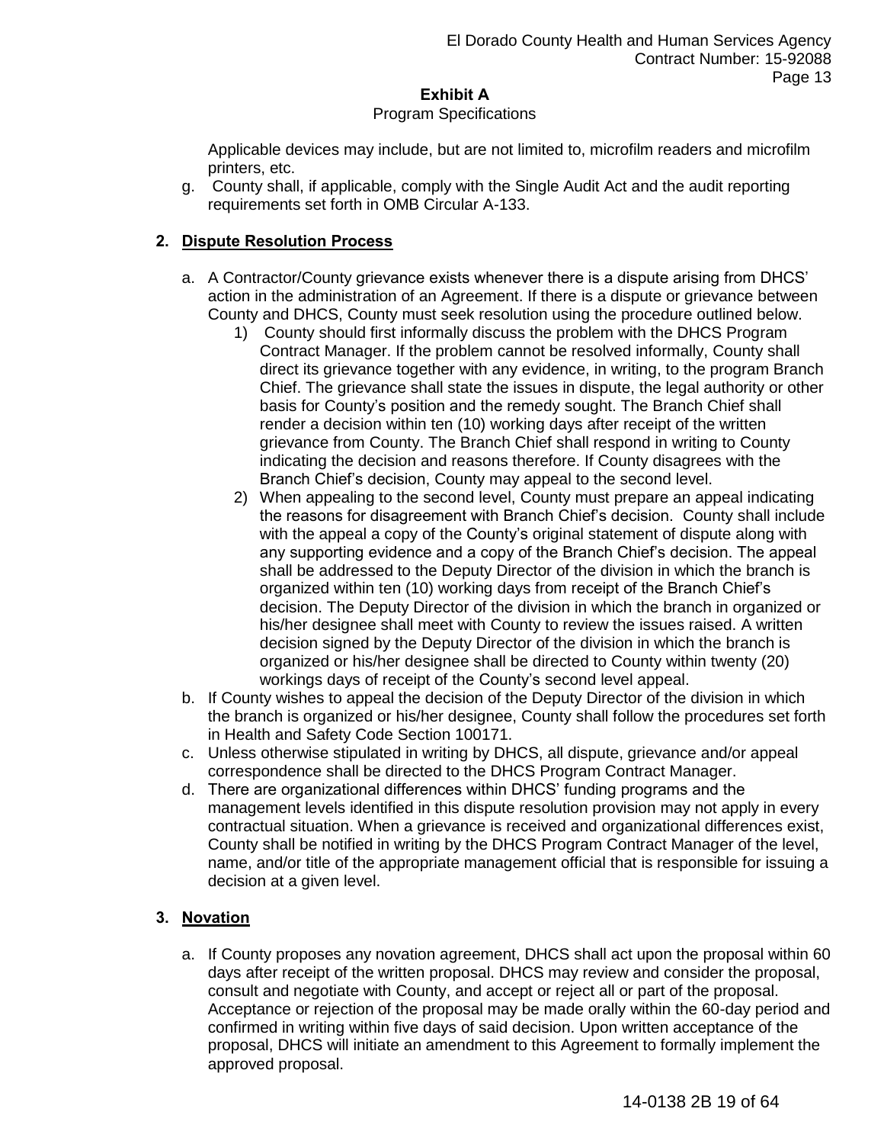#### Program Specifications

Applicable devices may include, but are not limited to, microfilm readers and microfilm printers, etc.

g. County shall, if applicable, comply with the Single Audit Act and the audit reporting requirements set forth in OMB Circular A-133.

### **2. Dispute Resolution Process**

- a. A Contractor/County grievance exists whenever there is a dispute arising from DHCS' action in the administration of an Agreement. If there is a dispute or grievance between County and DHCS, County must seek resolution using the procedure outlined below.
	- 1) County should first informally discuss the problem with the DHCS Program Contract Manager. If the problem cannot be resolved informally, County shall direct its grievance together with any evidence, in writing, to the program Branch Chief. The grievance shall state the issues in dispute, the legal authority or other basis for County's position and the remedy sought. The Branch Chief shall render a decision within ten (10) working days after receipt of the written grievance from County. The Branch Chief shall respond in writing to County indicating the decision and reasons therefore. If County disagrees with the Branch Chief's decision, County may appeal to the second level.
	- 2) When appealing to the second level, County must prepare an appeal indicating the reasons for disagreement with Branch Chief's decision. County shall include with the appeal a copy of the County's original statement of dispute along with any supporting evidence and a copy of the Branch Chief's decision. The appeal shall be addressed to the Deputy Director of the division in which the branch is organized within ten (10) working days from receipt of the Branch Chief's decision. The Deputy Director of the division in which the branch in organized or his/her designee shall meet with County to review the issues raised. A written decision signed by the Deputy Director of the division in which the branch is organized or his/her designee shall be directed to County within twenty (20) workings days of receipt of the County's second level appeal.
- b. If County wishes to appeal the decision of the Deputy Director of the division in which the branch is organized or his/her designee, County shall follow the procedures set forth in Health and Safety Code Section 100171.
- c. Unless otherwise stipulated in writing by DHCS, all dispute, grievance and/or appeal correspondence shall be directed to the DHCS Program Contract Manager.
- d. There are organizational differences within DHCS' funding programs and the management levels identified in this dispute resolution provision may not apply in every contractual situation. When a grievance is received and organizational differences exist, County shall be notified in writing by the DHCS Program Contract Manager of the level, name, and/or title of the appropriate management official that is responsible for issuing a decision at a given level.

## **3. Novation**

a. If County proposes any novation agreement, DHCS shall act upon the proposal within 60 days after receipt of the written proposal. DHCS may review and consider the proposal, consult and negotiate with County, and accept or reject all or part of the proposal. Acceptance or rejection of the proposal may be made orally within the 60-day period and confirmed in writing within five days of said decision. Upon written acceptance of the proposal, DHCS will initiate an amendment to this Agreement to formally implement the approved proposal.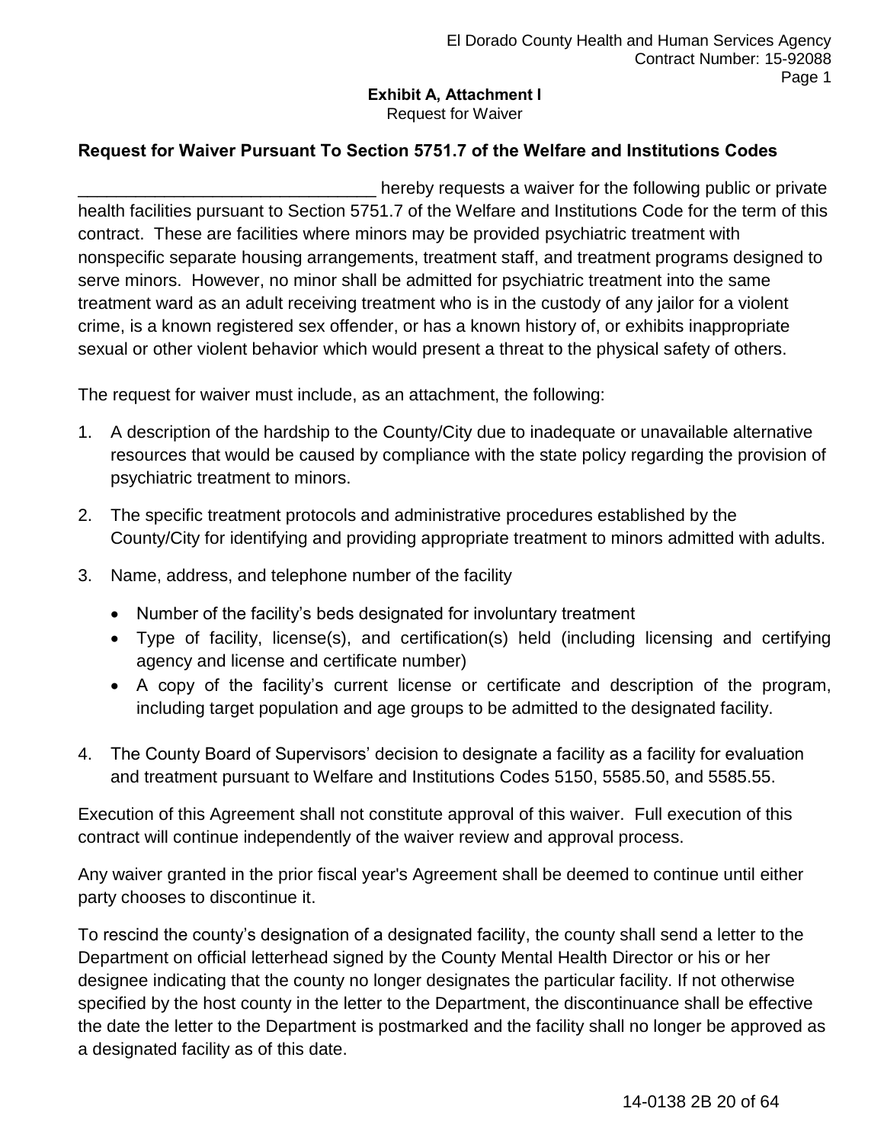# **Exhibit A, Attachment I**

Request for Waiver

## **Request for Waiver Pursuant To Section 5751.7 of the Welfare and Institutions Codes**

hereby requests a waiver for the following public or private health facilities pursuant to Section 5751.7 of the Welfare and Institutions Code for the term of this contract. These are facilities where minors may be provided psychiatric treatment with nonspecific separate housing arrangements, treatment staff, and treatment programs designed to serve minors. However, no minor shall be admitted for psychiatric treatment into the same treatment ward as an adult receiving treatment who is in the custody of any jailor for a violent crime, is a known registered sex offender, or has a known history of, or exhibits inappropriate sexual or other violent behavior which would present a threat to the physical safety of others.

The request for waiver must include, as an attachment, the following:

- 1. A description of the hardship to the County/City due to inadequate or unavailable alternative resources that would be caused by compliance with the state policy regarding the provision of psychiatric treatment to minors.
- 2. The specific treatment protocols and administrative procedures established by the County/City for identifying and providing appropriate treatment to minors admitted with adults.
- 3. Name, address, and telephone number of the facility
	- Number of the facility's beds designated for involuntary treatment
	- Type of facility, license(s), and certification(s) held (including licensing and certifying agency and license and certificate number)
	- A copy of the facility's current license or certificate and description of the program, including target population and age groups to be admitted to the designated facility.
- 4. The County Board of Supervisors' decision to designate a facility as a facility for evaluation and treatment pursuant to Welfare and Institutions Codes 5150, 5585.50, and 5585.55.

Execution of this Agreement shall not constitute approval of this waiver. Full execution of this contract will continue independently of the waiver review and approval process.

Any waiver granted in the prior fiscal year's Agreement shall be deemed to continue until either party chooses to discontinue it.

To rescind the county's designation of a designated facility, the county shall send a letter to the Department on official letterhead signed by the County Mental Health Director or his or her designee indicating that the county no longer designates the particular facility. If not otherwise specified by the host county in the letter to the Department, the discontinuance shall be effective the date the letter to the Department is postmarked and the facility shall no longer be approved as a designated facility as of this date.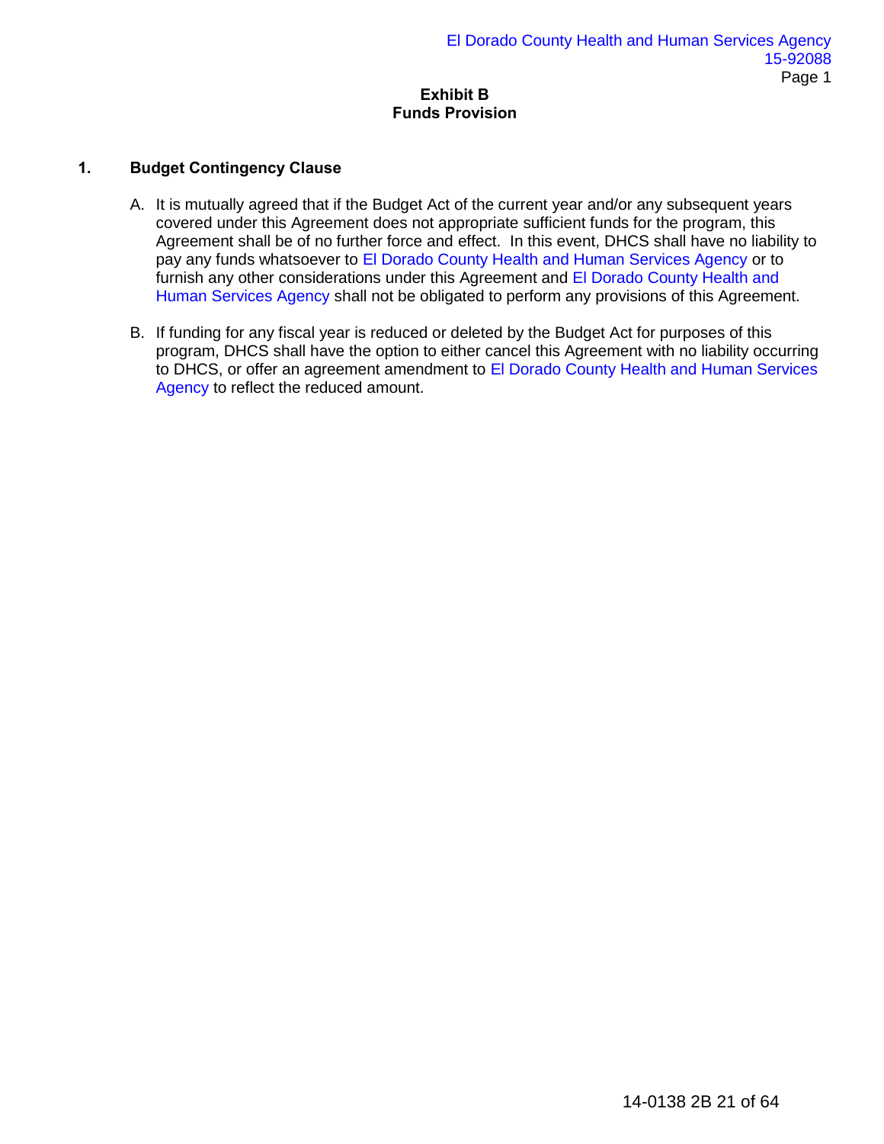### **Exhibit B Funds Provision**

## **1. Budget Contingency Clause**

- A. It is mutually agreed that if the Budget Act of the current year and/or any subsequent years covered under this Agreement does not appropriate sufficient funds for the program, this Agreement shall be of no further force and effect. In this event, DHCS shall have no liability to pay any funds whatsoever to El Dorado County Health and Human Services Agency or to furnish any other considerations under this Agreement and El Dorado County Health and Human Services Agency shall not be obligated to perform any provisions of this Agreement.
- B. If funding for any fiscal year is reduced or deleted by the Budget Act for purposes of this program, DHCS shall have the option to either cancel this Agreement with no liability occurring to DHCS, or offer an agreement amendment to El Dorado County Health and Human Services Agency to reflect the reduced amount.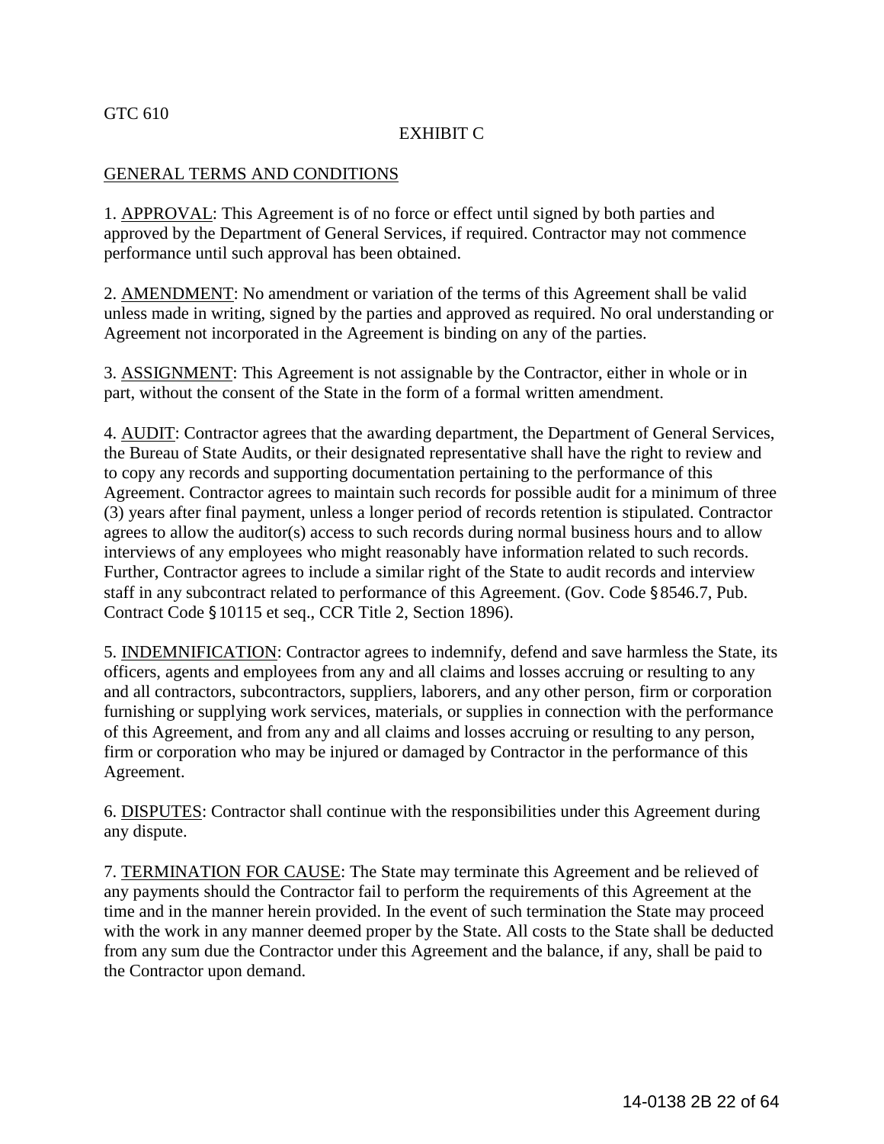### GTC 610

## EXHIBIT C

### GENERAL TERMS AND CONDITIONS

1. APPROVAL: This Agreement is of no force or effect until signed by both parties and approved by the Department of General Services, if required. Contractor may not commence performance until such approval has been obtained.

2. AMENDMENT: No amendment or variation of the terms of this Agreement shall be valid unless made in writing, signed by the parties and approved as required. No oral understanding or Agreement not incorporated in the Agreement is binding on any of the parties.

3. ASSIGNMENT: This Agreement is not assignable by the Contractor, either in whole or in part, without the consent of the State in the form of a formal written amendment.

4. AUDIT: Contractor agrees that the awarding department, the Department of General Services, the Bureau of State Audits, or their designated representative shall have the right to review and to copy any records and supporting documentation pertaining to the performance of this Agreement. Contractor agrees to maintain such records for possible audit for a minimum of three (3) years after final payment, unless a longer period of records retention is stipulated. Contractor agrees to allow the auditor(s) access to such records during normal business hours and to allow interviews of any employees who might reasonably have information related to such records. Further, Contractor agrees to include a similar right of the State to audit records and interview staff in any subcontract related to performance of this Agreement. (Gov. Code §8546.7, Pub. Contract Code §10115 et seq., CCR Title 2, Section 1896).

5. INDEMNIFICATION: Contractor agrees to indemnify, defend and save harmless the State, its officers, agents and employees from any and all claims and losses accruing or resulting to any and all contractors, subcontractors, suppliers, laborers, and any other person, firm or corporation furnishing or supplying work services, materials, or supplies in connection with the performance of this Agreement, and from any and all claims and losses accruing or resulting to any person, firm or corporation who may be injured or damaged by Contractor in the performance of this Agreement.

6. DISPUTES: Contractor shall continue with the responsibilities under this Agreement during any dispute.

7. TERMINATION FOR CAUSE: The State may terminate this Agreement and be relieved of any payments should the Contractor fail to perform the requirements of this Agreement at the time and in the manner herein provided. In the event of such termination the State may proceed with the work in any manner deemed proper by the State. All costs to the State shall be deducted from any sum due the Contractor under this Agreement and the balance, if any, shall be paid to the Contractor upon demand.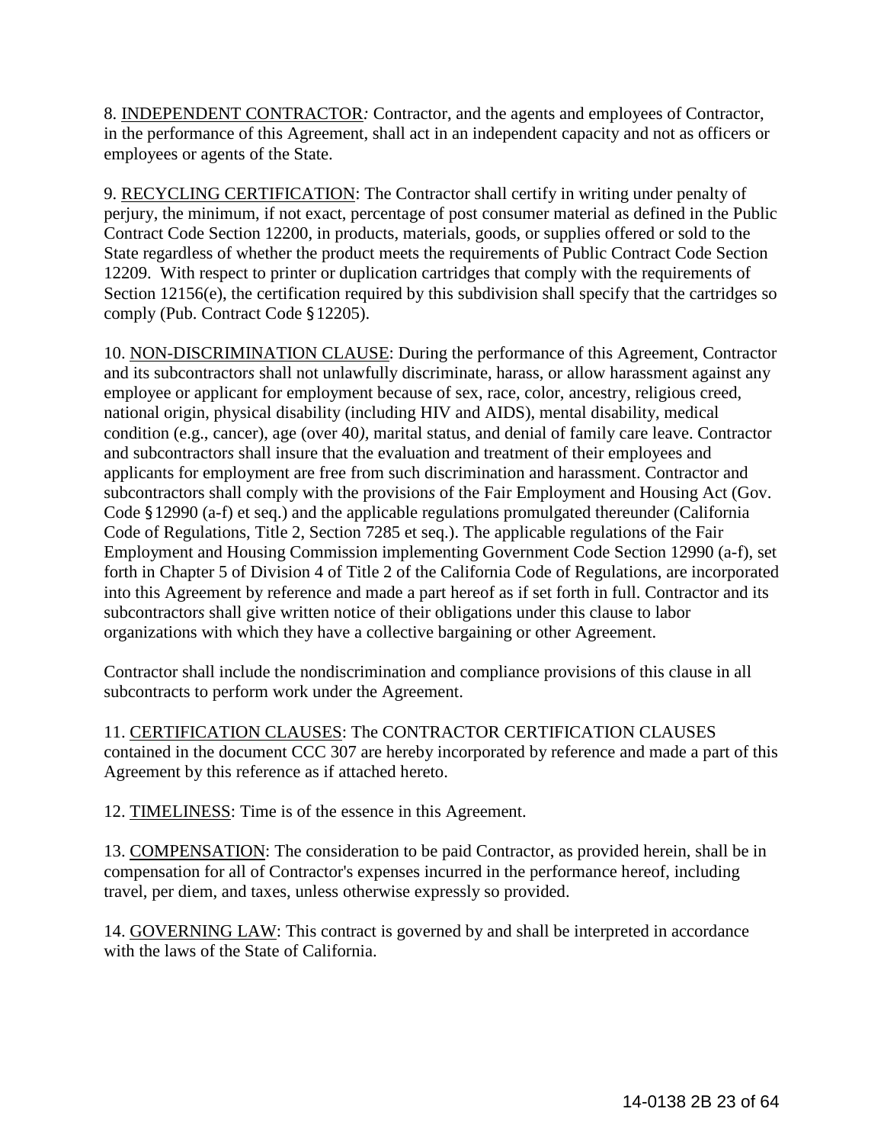8. INDEPENDENT CONTRACTOR*:* Contractor, and the agents and employees of Contractor, in the performance of this Agreement, shall act in an independent capacity and not as officers or employees or agents of the State.

9. RECYCLING CERTIFICATION: The Contractor shall certify in writing under penalty of perjury, the minimum, if not exact, percentage of post consumer material as defined in the Public Contract Code Section 12200, in products, materials, goods, or supplies offered or sold to the State regardless of whether the product meets the requirements of Public Contract Code Section 12209. With respect to printer or duplication cartridges that comply with the requirements of Section 12156(e), the certification required by this subdivision shall specify that the cartridges so comply (Pub. Contract Code §12205).

10. NON-DISCRIMINATION CLAUSE: During the performance of this Agreement, Contractor and its subcontractor*s* shall not unlawfully discriminate, harass, or allow harassment against any employee or applicant for employment because of sex, race, color, ancestry, religious creed, national origin, physical disability (including HIV and AIDS), mental disability, medical condition (e.g., cancer), age (over 40*),* marital status, and denial of family care leave. Contractor and subcontractor*s* shall insure that the evaluation and treatment of their employees and applicants for employment are free from such discrimination and harassment. Contractor and subcontractors shall comply with the provision*s* of the Fair Employment and Housing Act (Gov. Code §12990 (a-f) et seq.) and the applicable regulations promulgated thereunder (California Code of Regulations, Title 2, Section 7285 et seq.). The applicable regulations of the Fair Employment and Housing Commission implementing Government Code Section 12990 (a-f), set forth in Chapter 5 of Division 4 of Title 2 of the California Code of Regulations, are incorporated into this Agreement by reference and made a part hereof as if set forth in full. Contractor and its subcontractor*s* shall give written notice of their obligations under this clause to labor organizations with which they have a collective bargaining or other Agreement.

Contractor shall include the nondiscrimination and compliance provisions of this clause in all subcontracts to perform work under the Agreement.

11. CERTIFICATION CLAUSES: The CONTRACTOR CERTIFICATION CLAUSES contained in the document CCC 307 are hereby incorporated by reference and made a part of this Agreement by this reference as if attached hereto.

12. TIMELINESS: Time is of the essence in this Agreement.

13. COMPENSATION: The consideration to be paid Contractor, as provided herein, shall be in compensation for all of Contractor's expenses incurred in the performance hereof, including travel, per diem, and taxes, unless otherwise expressly so provided.

14. GOVERNING LAW: This contract is governed by and shall be interpreted in accordance with the laws of the State of California.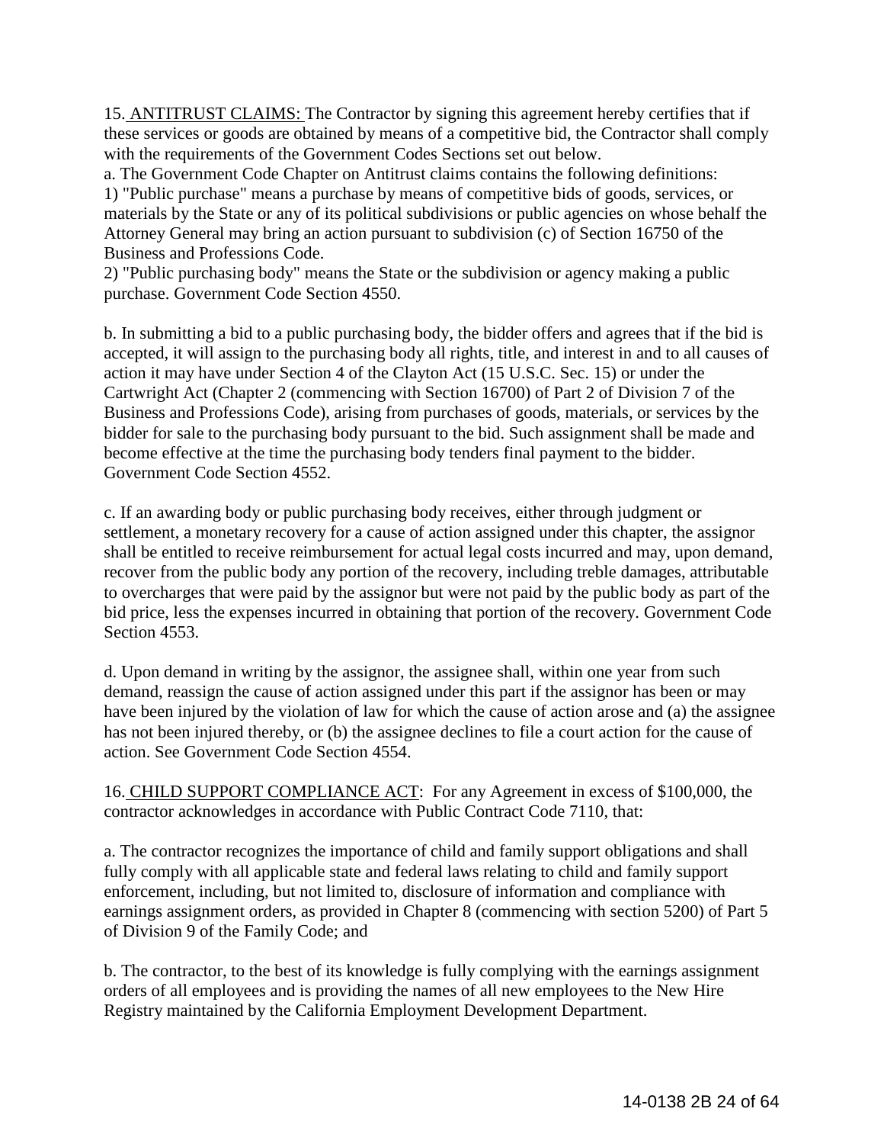15. ANTITRUST CLAIMS: The Contractor by signing this agreement hereby certifies that if these services or goods are obtained by means of a competitive bid, the Contractor shall comply with the requirements of the Government Codes Sections set out below.

a. The Government Code Chapter on Antitrust claims contains the following definitions: 1) "Public purchase" means a purchase by means of competitive bids of goods, services, or materials by the State or any of its political subdivisions or public agencies on whose behalf the Attorney General may bring an action pursuant to subdivision (c) of Section 16750 of the Business and Professions Code.

2) "Public purchasing body" means the State or the subdivision or agency making a public purchase. Government Code Section 4550.

b. In submitting a bid to a public purchasing body, the bidder offers and agrees that if the bid is accepted, it will assign to the purchasing body all rights, title, and interest in and to all causes of action it may have under Section 4 of the Clayton Act (15 U.S.C. Sec. 15) or under the Cartwright Act (Chapter 2 (commencing with Section 16700) of Part 2 of Division 7 of the Business and Professions Code), arising from purchases of goods, materials, or services by the bidder for sale to the purchasing body pursuant to the bid. Such assignment shall be made and become effective at the time the purchasing body tenders final payment to the bidder. Government Code Section 4552.

c. If an awarding body or public purchasing body receives, either through judgment or settlement, a monetary recovery for a cause of action assigned under this chapter, the assignor shall be entitled to receive reimbursement for actual legal costs incurred and may, upon demand, recover from the public body any portion of the recovery, including treble damages, attributable to overcharges that were paid by the assignor but were not paid by the public body as part of the bid price, less the expenses incurred in obtaining that portion of the recovery. Government Code Section 4553.

d. Upon demand in writing by the assignor, the assignee shall, within one year from such demand, reassign the cause of action assigned under this part if the assignor has been or may have been injured by the violation of law for which the cause of action arose and (a) the assignee has not been injured thereby, or (b) the assignee declines to file a court action for the cause of action. See Government Code Section 4554.

16. CHILD SUPPORT COMPLIANCE ACT:For any Agreement in excess of \$100,000, the contractor acknowledges in accordance with Public Contract Code 7110, that:

a. The contractor recognizes the importance of child and family support obligations and shall fully comply with all applicable state and federal laws relating to child and family support enforcement, including, but not limited to, disclosure of information and compliance with earnings assignment orders, as provided in Chapter 8 (commencing with section 5200) of Part 5 of Division 9 of the Family Code; and

b. The contractor, to the best of its knowledge is fully complying with the earnings assignment orders of all employees and is providing the names of all new employees to the New Hire Registry maintained by the California Employment Development Department.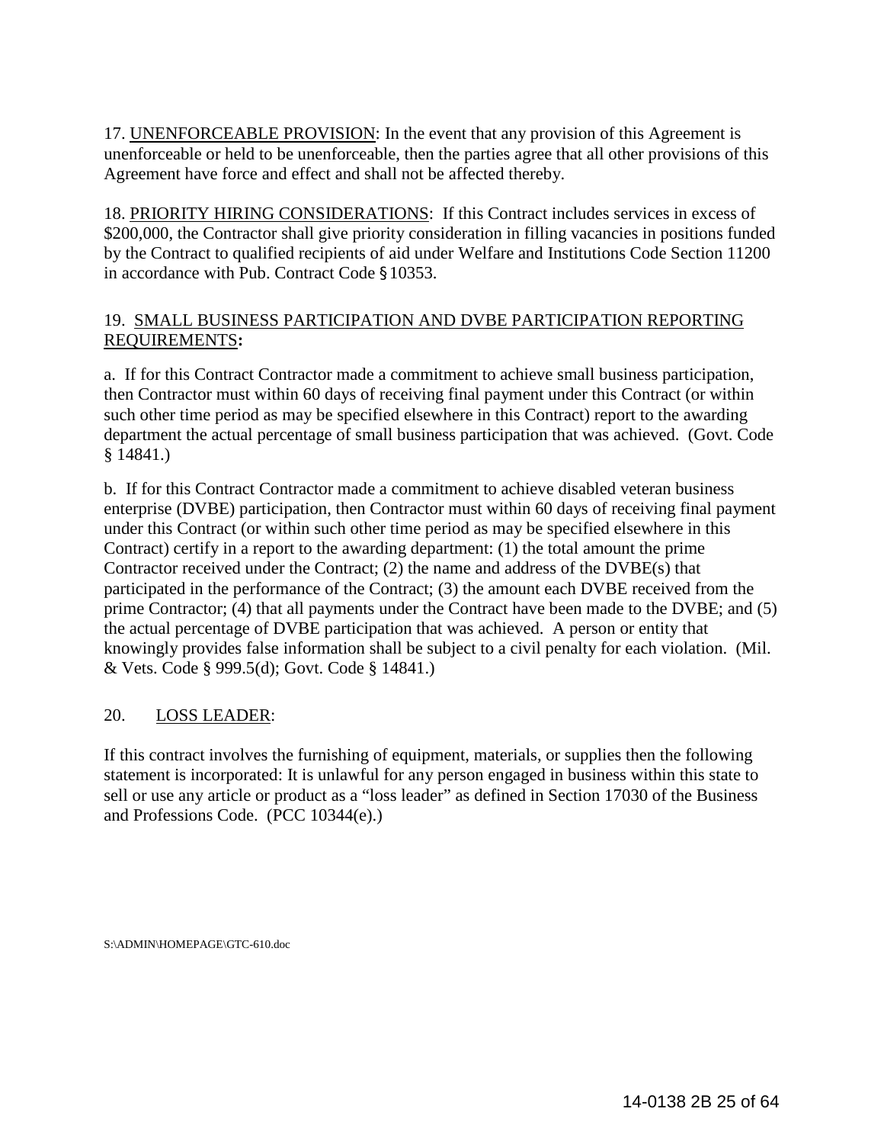17. UNENFORCEABLE PROVISION: In the event that any provision of this Agreement is unenforceable or held to be unenforceable, then the parties agree that all other provisions of this Agreement have force and effect and shall not be affected thereby.

18. PRIORITY HIRING CONSIDERATIONS: If this Contract includes services in excess of \$200,000, the Contractor shall give priority consideration in filling vacancies in positions funded by the Contract to qualified recipients of aid under Welfare and Institutions Code Section 11200 in accordance with Pub. Contract Code §10353.

## 19. SMALL BUSINESS PARTICIPATION AND DVBE PARTICIPATION REPORTING REQUIREMENTS**:**

a. If for this Contract Contractor made a commitment to achieve small business participation, then Contractor must within 60 days of receiving final payment under this Contract (or within such other time period as may be specified elsewhere in this Contract) report to the awarding department the actual percentage of small business participation that was achieved. (Govt. Code § 14841.)

b. If for this Contract Contractor made a commitment to achieve disabled veteran business enterprise (DVBE) participation, then Contractor must within 60 days of receiving final payment under this Contract (or within such other time period as may be specified elsewhere in this Contract) certify in a report to the awarding department: (1) the total amount the prime Contractor received under the Contract; (2) the name and address of the DVBE(s) that participated in the performance of the Contract; (3) the amount each DVBE received from the prime Contractor; (4) that all payments under the Contract have been made to the DVBE; and (5) the actual percentage of DVBE participation that was achieved. A person or entity that knowingly provides false information shall be subject to a civil penalty for each violation. (Mil. & Vets. Code § 999.5(d); Govt. Code § 14841.)

## 20. LOSS LEADER:

If this contract involves the furnishing of equipment, materials, or supplies then the following statement is incorporated: It is unlawful for any person engaged in business within this state to sell or use any article or product as a "loss leader" as defined in Section 17030 of the Business and Professions Code. (PCC 10344(e).)

S:\ADMIN\HOMEPAGE\GTC-610.doc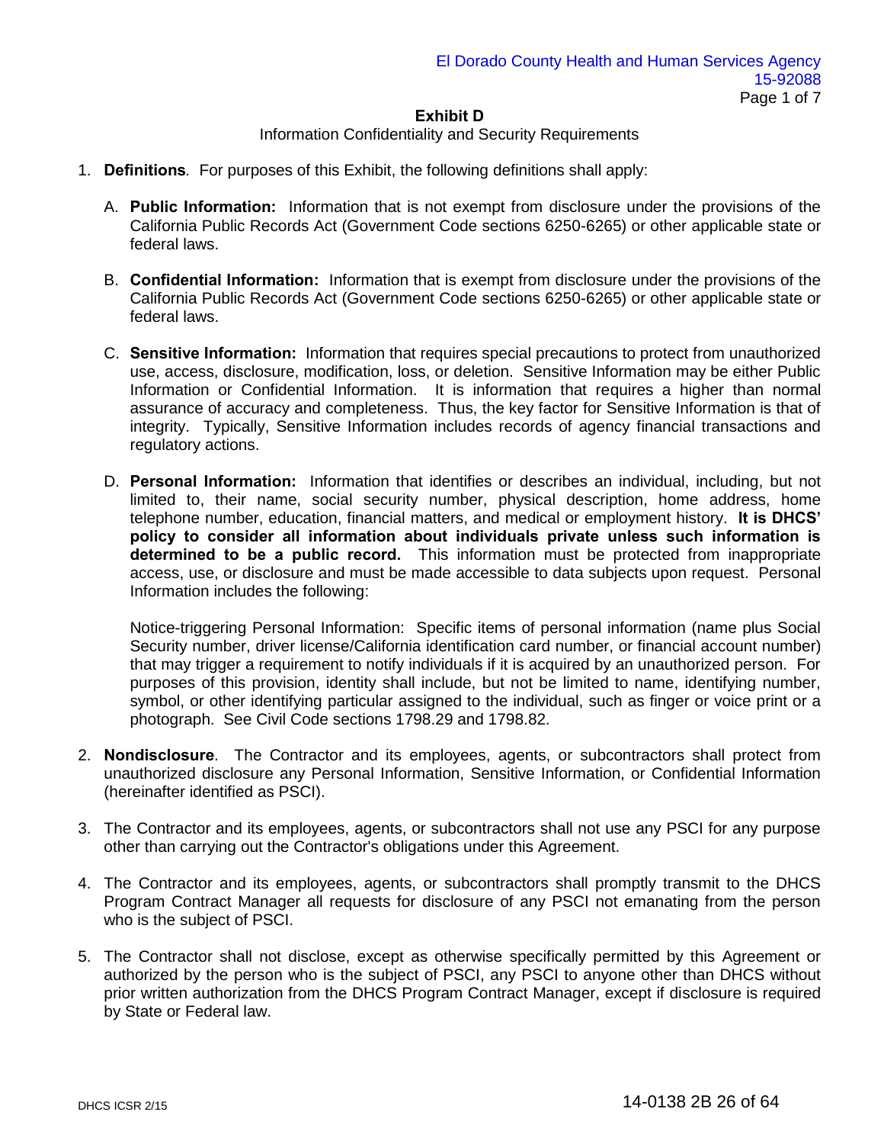### Information Confidentiality and Security Requirements

- 1. **Definitions***.* For purposes of this Exhibit, the following definitions shall apply:
	- A. **Public Information:** Information that is not exempt from disclosure under the provisions of the California Public Records Act (Government Code sections 6250-6265) or other applicable state or federal laws.
	- B. **Confidential Information:** Information that is exempt from disclosure under the provisions of the California Public Records Act (Government Code sections 6250-6265) or other applicable state or federal laws.
	- C. **Sensitive Information:** Information that requires special precautions to protect from unauthorized use, access, disclosure, modification, loss, or deletion. Sensitive Information may be either Public Information or Confidential Information. It is information that requires a higher than normal assurance of accuracy and completeness. Thus, the key factor for Sensitive Information is that of integrity. Typically, Sensitive Information includes records of agency financial transactions and regulatory actions.
	- D. **Personal Information:** Information that identifies or describes an individual, including, but not limited to, their name, social security number, physical description, home address, home telephone number, education, financial matters, and medical or employment history. **It is DHCS' policy to consider all information about individuals private unless such information is determined to be a public record.** This information must be protected from inappropriate access, use, or disclosure and must be made accessible to data subjects upon request. Personal Information includes the following:

Notice-triggering Personal Information: Specific items of personal information (name plus Social Security number, driver license/California identification card number, or financial account number) that may trigger a requirement to notify individuals if it is acquired by an unauthorized person. For purposes of this provision, identity shall include, but not be limited to name, identifying number, symbol, or other identifying particular assigned to the individual, such as finger or voice print or a photograph. See Civil Code sections 1798.29 and 1798.82.

- 2. **Nondisclosure**. The Contractor and its employees, agents, or subcontractors shall protect from unauthorized disclosure any Personal Information, Sensitive Information, or Confidential Information (hereinafter identified as PSCI).
- 3. The Contractor and its employees, agents, or subcontractors shall not use any PSCI for any purpose other than carrying out the Contractor's obligations under this Agreement.
- 4. The Contractor and its employees, agents, or subcontractors shall promptly transmit to the DHCS Program Contract Manager all requests for disclosure of any PSCI not emanating from the person who is the subject of PSCI.
- 5. The Contractor shall not disclose, except as otherwise specifically permitted by this Agreement or authorized by the person who is the subject of PSCI, any PSCI to anyone other than DHCS without prior written authorization from the DHCS Program Contract Manager, except if disclosure is required by State or Federal law.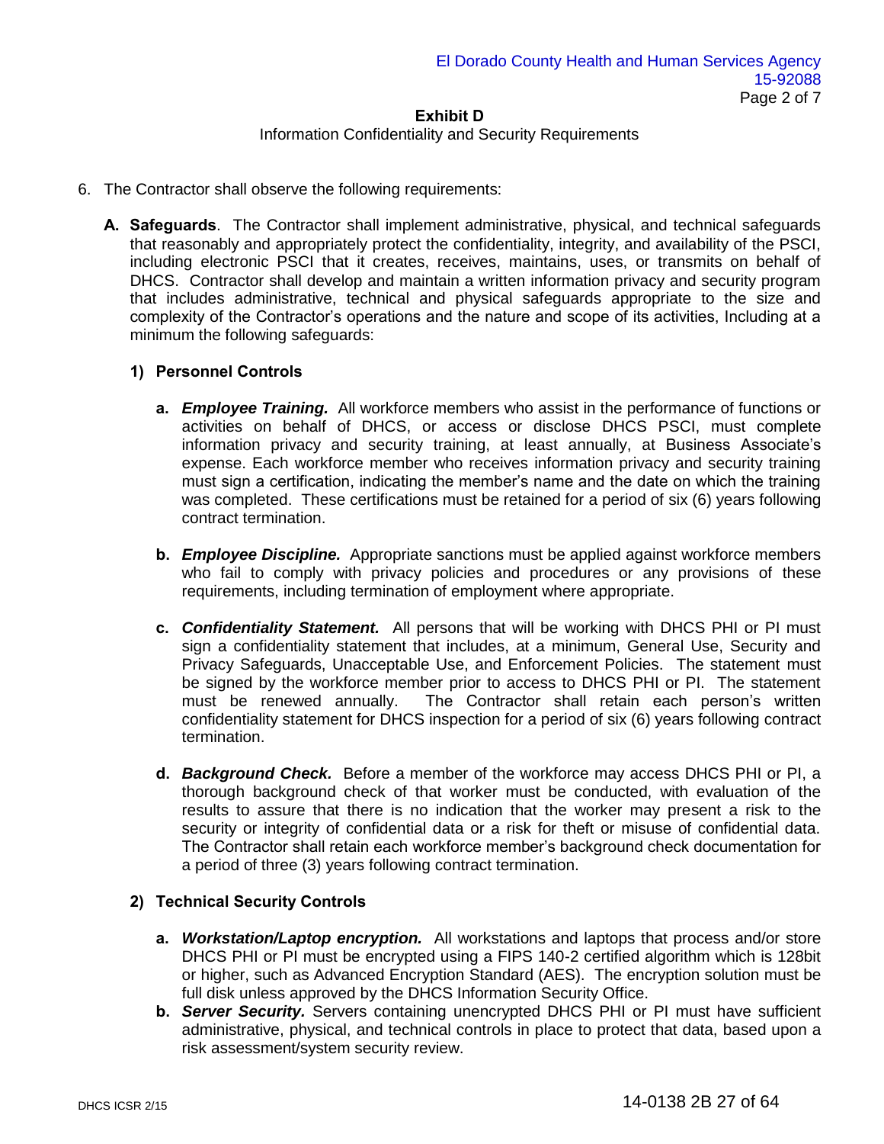#### Information Confidentiality and Security Requirements

- 6. The Contractor shall observe the following requirements:
	- **A. Safeguards**. The Contractor shall implement administrative, physical, and technical safeguards that reasonably and appropriately protect the confidentiality, integrity, and availability of the PSCI, including electronic PSCI that it creates, receives, maintains, uses, or transmits on behalf of DHCS. Contractor shall develop and maintain a written information privacy and security program that includes administrative, technical and physical safeguards appropriate to the size and complexity of the Contractor's operations and the nature and scope of its activities, Including at a minimum the following safeguards:

### **1) Personnel Controls**

- **a.** *Employee Training.* All workforce members who assist in the performance of functions or activities on behalf of DHCS, or access or disclose DHCS PSCI, must complete information privacy and security training, at least annually, at Business Associate's expense. Each workforce member who receives information privacy and security training must sign a certification, indicating the member's name and the date on which the training was completed. These certifications must be retained for a period of six (6) years following contract termination.
- **b.** *Employee Discipline.* Appropriate sanctions must be applied against workforce members who fail to comply with privacy policies and procedures or any provisions of these requirements, including termination of employment where appropriate.
- **c.** *Confidentiality Statement.* All persons that will be working with DHCS PHI or PI must sign a confidentiality statement that includes, at a minimum, General Use, Security and Privacy Safeguards, Unacceptable Use, and Enforcement Policies. The statement must be signed by the workforce member prior to access to DHCS PHI or PI. The statement must be renewed annually. The Contractor shall retain each person's written confidentiality statement for DHCS inspection for a period of six (6) years following contract termination.
- **d.** *Background Check.* Before a member of the workforce may access DHCS PHI or PI, a thorough background check of that worker must be conducted, with evaluation of the results to assure that there is no indication that the worker may present a risk to the security or integrity of confidential data or a risk for theft or misuse of confidential data. The Contractor shall retain each workforce member's background check documentation for a period of three (3) years following contract termination.

### **2) Technical Security Controls**

- **a.** *Workstation/Laptop encryption.* All workstations and laptops that process and/or store DHCS PHI or PI must be encrypted using a FIPS 140-2 certified algorithm which is 128bit or higher, such as Advanced Encryption Standard (AES). The encryption solution must be full disk unless approved by the DHCS Information Security Office.
- **b.** *Server Security.* Servers containing unencrypted DHCS PHI or PI must have sufficient administrative, physical, and technical controls in place to protect that data, based upon a risk assessment/system security review.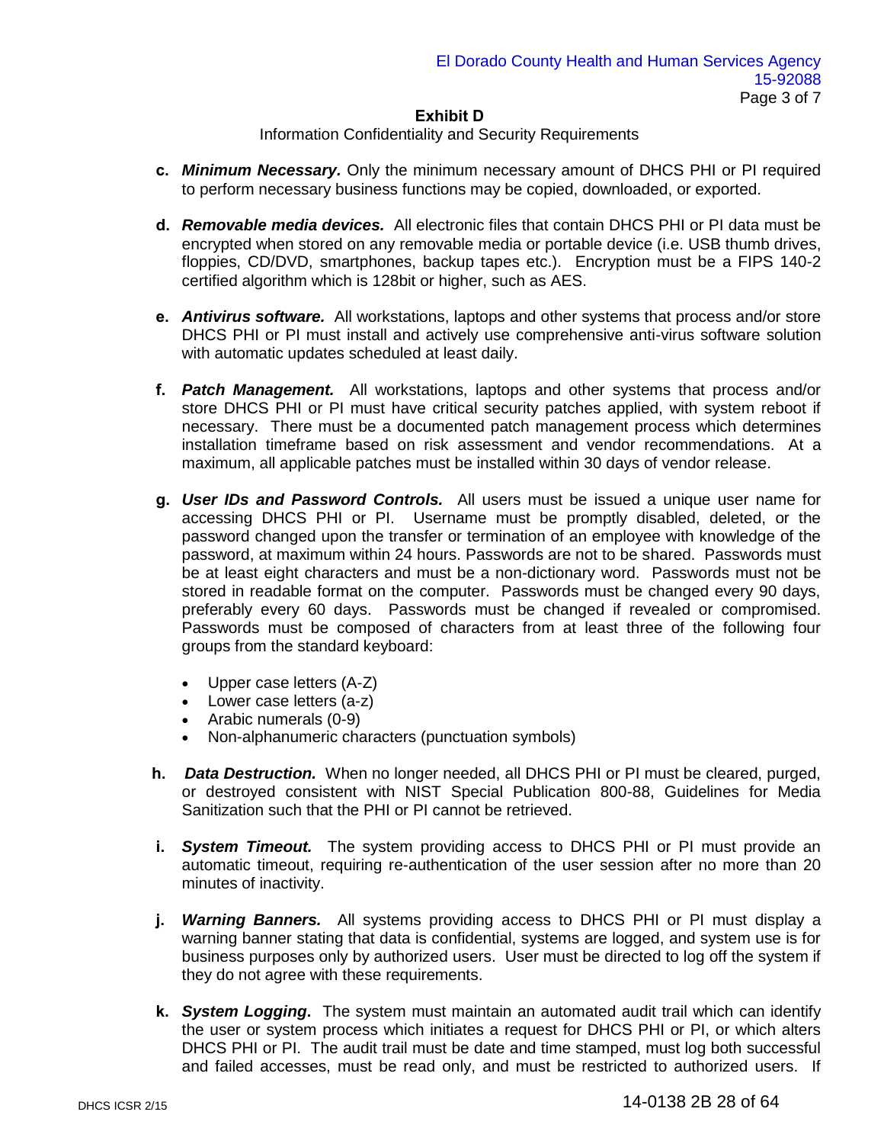## Information Confidentiality and Security Requirements

- **c.** *Minimum Necessary.* Only the minimum necessary amount of DHCS PHI or PI required to perform necessary business functions may be copied, downloaded, or exported.
- **d.** *Removable media devices.* All electronic files that contain DHCS PHI or PI data must be encrypted when stored on any removable media or portable device (i.e. USB thumb drives, floppies, CD/DVD, smartphones, backup tapes etc.). Encryption must be a FIPS 140-2 certified algorithm which is 128bit or higher, such as AES.
- **e.** *Antivirus software.* All workstations, laptops and other systems that process and/or store DHCS PHI or PI must install and actively use comprehensive anti-virus software solution with automatic updates scheduled at least daily.
- **f.** *Patch Management.* All workstations, laptops and other systems that process and/or store DHCS PHI or PI must have critical security patches applied, with system reboot if necessary. There must be a documented patch management process which determines installation timeframe based on risk assessment and vendor recommendations. At a maximum, all applicable patches must be installed within 30 days of vendor release.
- **g.** *User IDs and Password Controls.* All users must be issued a unique user name for accessing DHCS PHI or PI. Username must be promptly disabled, deleted, or the password changed upon the transfer or termination of an employee with knowledge of the password, at maximum within 24 hours. Passwords are not to be shared. Passwords must be at least eight characters and must be a non-dictionary word. Passwords must not be stored in readable format on the computer. Passwords must be changed every 90 days, preferably every 60 days. Passwords must be changed if revealed or compromised. Passwords must be composed of characters from at least three of the following four groups from the standard keyboard:
	- Upper case letters (A-Z)
	- Lower case letters (a-z)
	- Arabic numerals (0-9)
	- Non-alphanumeric characters (punctuation symbols)
- **h.** *Data Destruction.* When no longer needed, all DHCS PHI or PI must be cleared, purged, or destroyed consistent with NIST Special Publication 800-88, Guidelines for Media Sanitization such that the PHI or PI cannot be retrieved.
- **i.** *System Timeout.* The system providing access to DHCS PHI or PI must provide an automatic timeout, requiring re-authentication of the user session after no more than 20 minutes of inactivity.
- **j.** *Warning Banners.* All systems providing access to DHCS PHI or PI must display a warning banner stating that data is confidential, systems are logged, and system use is for business purposes only by authorized users. User must be directed to log off the system if they do not agree with these requirements.
- **k.** *System Logging***.** The system must maintain an automated audit trail which can identify the user or system process which initiates a request for DHCS PHI or PI, or which alters DHCS PHI or PI. The audit trail must be date and time stamped, must log both successful and failed accesses, must be read only, and must be restricted to authorized users. If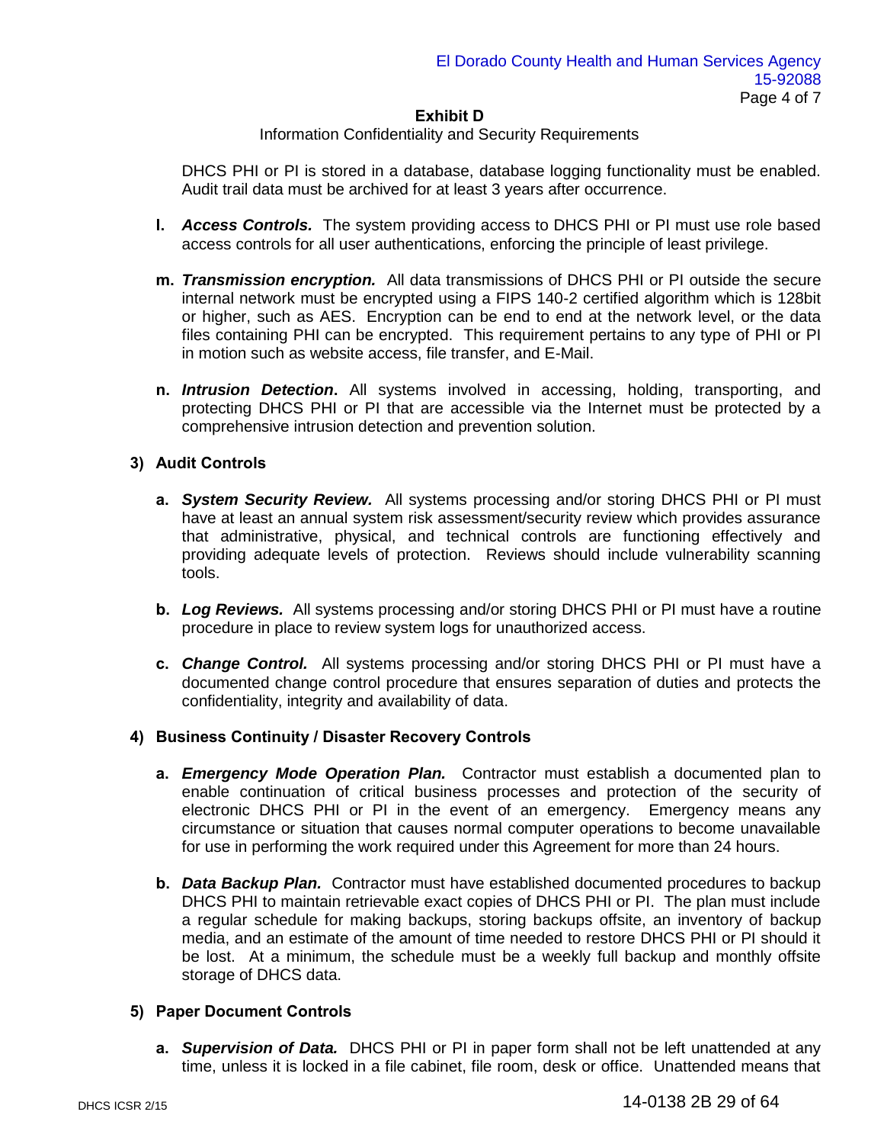### Information Confidentiality and Security Requirements

DHCS PHI or PI is stored in a database, database logging functionality must be enabled. Audit trail data must be archived for at least 3 years after occurrence.

- **l.** *Access Controls.* The system providing access to DHCS PHI or PI must use role based access controls for all user authentications, enforcing the principle of least privilege.
- **m.** *Transmission encryption.* All data transmissions of DHCS PHI or PI outside the secure internal network must be encrypted using a FIPS 140-2 certified algorithm which is 128bit or higher, such as AES. Encryption can be end to end at the network level, or the data files containing PHI can be encrypted. This requirement pertains to any type of PHI or PI in motion such as website access, file transfer, and E-Mail.
- **n.** *Intrusion Detection***.** All systems involved in accessing, holding, transporting, and protecting DHCS PHI or PI that are accessible via the Internet must be protected by a comprehensive intrusion detection and prevention solution.

### **3) Audit Controls**

- **a.** *System Security Review.* All systems processing and/or storing DHCS PHI or PI must have at least an annual system risk assessment/security review which provides assurance that administrative, physical, and technical controls are functioning effectively and providing adequate levels of protection. Reviews should include vulnerability scanning tools.
- **b.** *Log Reviews.* All systems processing and/or storing DHCS PHI or PI must have a routine procedure in place to review system logs for unauthorized access.
- **c.** *Change Control.* All systems processing and/or storing DHCS PHI or PI must have a documented change control procedure that ensures separation of duties and protects the confidentiality, integrity and availability of data.

#### **4) Business Continuity / Disaster Recovery Controls**

- **a.** *Emergency Mode Operation Plan.* Contractor must establish a documented plan to enable continuation of critical business processes and protection of the security of electronic DHCS PHI or PI in the event of an emergency. Emergency means any circumstance or situation that causes normal computer operations to become unavailable for use in performing the work required under this Agreement for more than 24 hours.
- **b.** *Data Backup Plan.* Contractor must have established documented procedures to backup DHCS PHI to maintain retrievable exact copies of DHCS PHI or PI. The plan must include a regular schedule for making backups, storing backups offsite, an inventory of backup media, and an estimate of the amount of time needed to restore DHCS PHI or PI should it be lost. At a minimum, the schedule must be a weekly full backup and monthly offsite storage of DHCS data.

#### **5) Paper Document Controls**

**a.** *Supervision of Data.* DHCS PHI or PI in paper form shall not be left unattended at any time, unless it is locked in a file cabinet, file room, desk or office. Unattended means that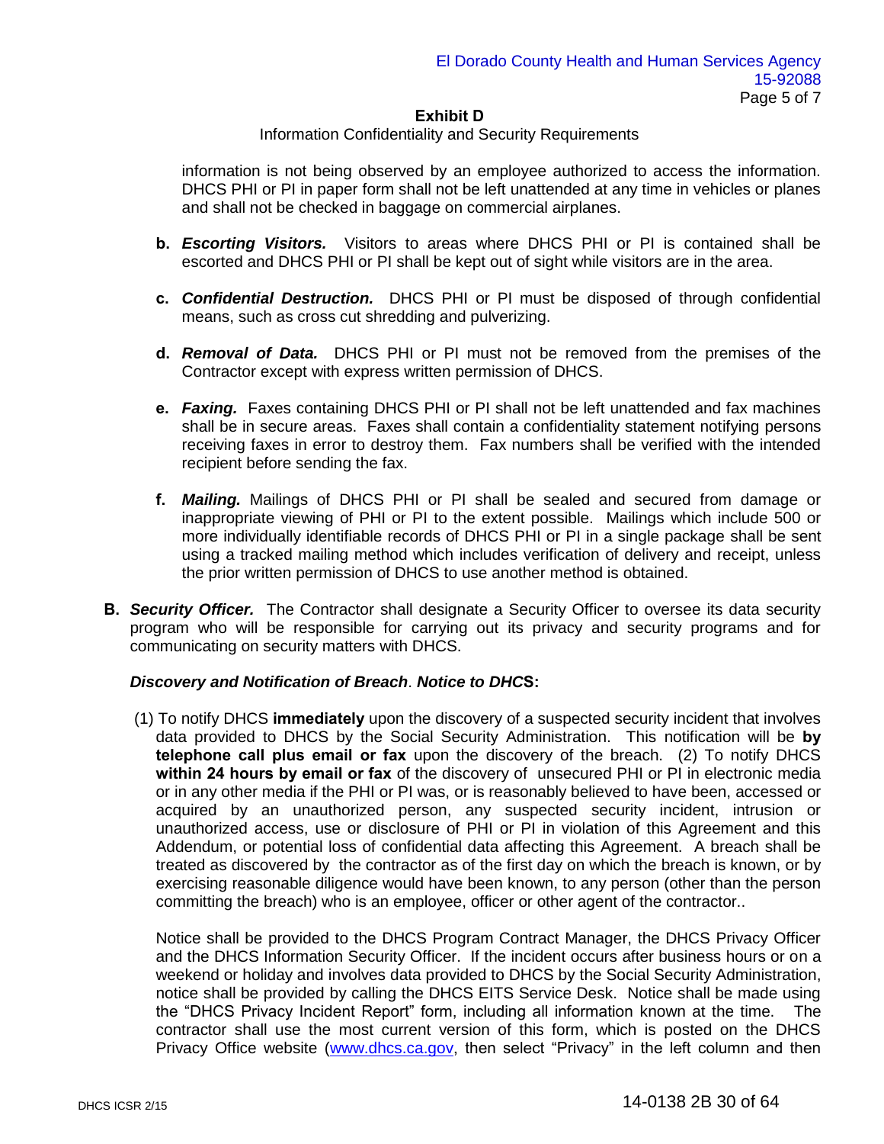#### Information Confidentiality and Security Requirements

information is not being observed by an employee authorized to access the information. DHCS PHI or PI in paper form shall not be left unattended at any time in vehicles or planes and shall not be checked in baggage on commercial airplanes.

- **b.** *Escorting Visitors.*Visitors to areas where DHCS PHI or PI is contained shall be escorted and DHCS PHI or PI shall be kept out of sight while visitors are in the area.
- **c.** *Confidential Destruction.*DHCS PHI or PI must be disposed of through confidential means, such as cross cut shredding and pulverizing.
- **d.** *Removal of Data.*DHCS PHI or PI must not be removed from the premises of the Contractor except with express written permission of DHCS.
- **e.** *Faxing.*Faxes containing DHCS PHI or PI shall not be left unattended and fax machines shall be in secure areas. Faxes shall contain a confidentiality statement notifying persons receiving faxes in error to destroy them. Fax numbers shall be verified with the intended recipient before sending the fax.
- **f.** *Mailing.* Mailings of DHCS PHI or PI shall be sealed and secured from damage or inappropriate viewing of PHI or PI to the extent possible. Mailings which include 500 or more individually identifiable records of DHCS PHI or PI in a single package shall be sent using a tracked mailing method which includes verification of delivery and receipt, unless the prior written permission of DHCS to use another method is obtained.
- **B.** *Security Officer.*The Contractor shall designate a Security Officer to oversee its data security program who will be responsible for carrying out its privacy and security programs and for communicating on security matters with DHCS.

#### *Discovery and Notification of Breach*. *Notice to DHC***S:**

(1) To notify DHCS **immediately** upon the discovery of a suspected security incident that involves data provided to DHCS by the Social Security Administration. This notification will be **by telephone call plus email or fax** upon the discovery of the breach. (2) To notify DHCS **within 24 hours by email or fax** of the discovery of unsecured PHI or PI in electronic media or in any other media if the PHI or PI was, or is reasonably believed to have been, accessed or acquired by an unauthorized person, any suspected security incident, intrusion or unauthorized access, use or disclosure of PHI or PI in violation of this Agreement and this Addendum, or potential loss of confidential data affecting this Agreement. A breach shall be treated as discovered by the contractor as of the first day on which the breach is known, or by exercising reasonable diligence would have been known, to any person (other than the person committing the breach) who is an employee, officer or other agent of the contractor..

Notice shall be provided to the DHCS Program Contract Manager, the DHCS Privacy Officer and the DHCS Information Security Officer. If the incident occurs after business hours or on a weekend or holiday and involves data provided to DHCS by the Social Security Administration, notice shall be provided by calling the DHCS EITS Service Desk. Notice shall be made using the "DHCS Privacy Incident Report" form, including all information known at the time. The contractor shall use the most current version of this form, which is posted on the DHCS Privacy Office website [\(www.dhcs.ca.gov,](http://www.dhcs.ca.gov/) then select "Privacy" in the left column and then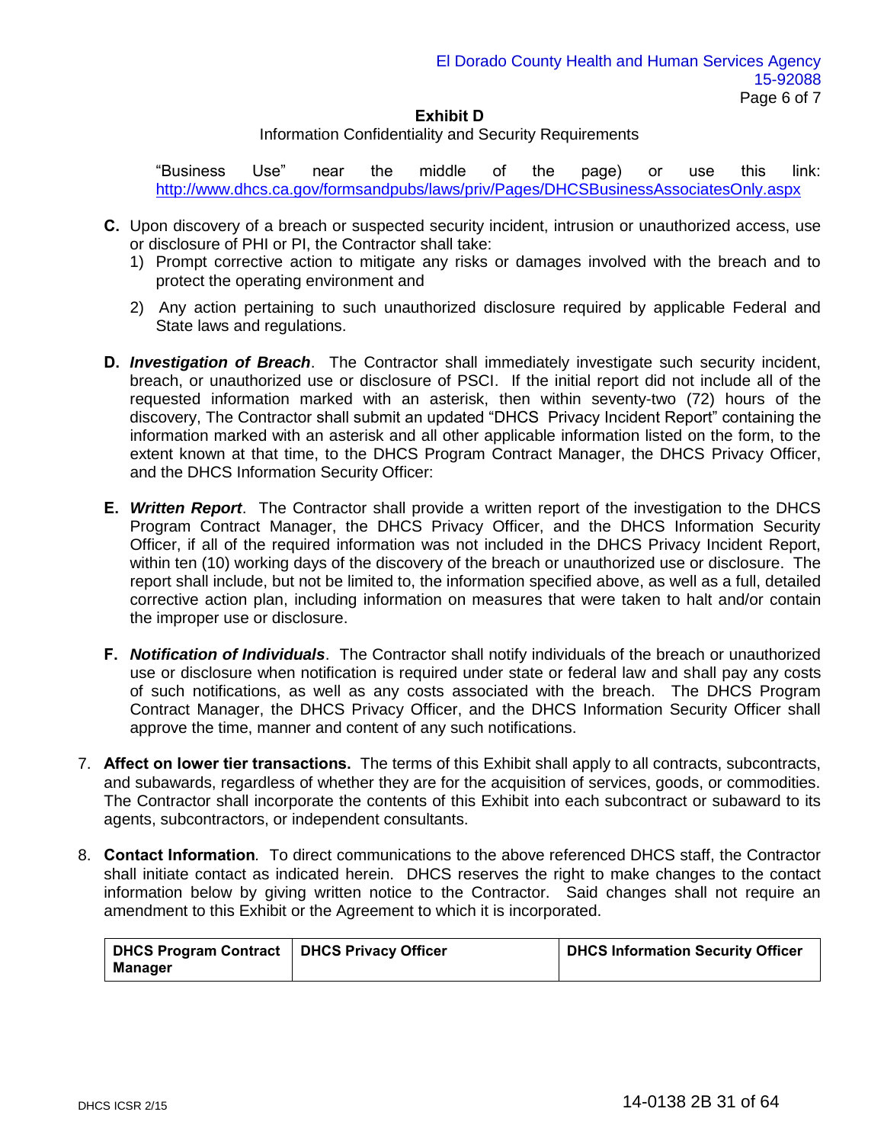#### Information Confidentiality and Security Requirements

"Business Use" near the middle of the page) or use this link: <http://www.dhcs.ca.gov/formsandpubs/laws/priv/Pages/DHCSBusinessAssociatesOnly.aspx>

- **C.** Upon discovery of a breach or suspected security incident, intrusion or unauthorized access, use or disclosure of PHI or PI, the Contractor shall take:
	- 1) Prompt corrective action to mitigate any risks or damages involved with the breach and to protect the operating environment and
	- 2) Any action pertaining to such unauthorized disclosure required by applicable Federal and State laws and regulations.
- **D.** *Investigation of Breach*. The Contractor shall immediately investigate such security incident, breach, or unauthorized use or disclosure of PSCI. If the initial report did not include all of the requested information marked with an asterisk, then within seventy-two (72) hours of the discovery, The Contractor shall submit an updated "DHCS Privacy Incident Report" containing the information marked with an asterisk and all other applicable information listed on the form, to the extent known at that time, to the DHCS Program Contract Manager, the DHCS Privacy Officer, and the DHCS Information Security Officer:
- **E.** *Written Report*. The Contractor shall provide a written report of the investigation to the DHCS Program Contract Manager, the DHCS Privacy Officer, and the DHCS Information Security Officer, if all of the required information was not included in the DHCS Privacy Incident Report, within ten (10) working days of the discovery of the breach or unauthorized use or disclosure. The report shall include, but not be limited to, the information specified above, as well as a full, detailed corrective action plan, including information on measures that were taken to halt and/or contain the improper use or disclosure.
- **F.** *Notification of Individuals*. The Contractor shall notify individuals of the breach or unauthorized use or disclosure when notification is required under state or federal law and shall pay any costs of such notifications, as well as any costs associated with the breach. The DHCS Program Contract Manager, the DHCS Privacy Officer, and the DHCS Information Security Officer shall approve the time, manner and content of any such notifications.
- 7. **Affect on lower tier transactions.** The terms of this Exhibit shall apply to all contracts, subcontracts, and subawards, regardless of whether they are for the acquisition of services, goods, or commodities. The Contractor shall incorporate the contents of this Exhibit into each subcontract or subaward to its agents, subcontractors, or independent consultants.
- 8. **Contact Information***.* To direct communications to the above referenced DHCS staff, the Contractor shall initiate contact as indicated herein. DHCS reserves the right to make changes to the contact information below by giving written notice to the Contractor. Said changes shall not require an amendment to this Exhibit or the Agreement to which it is incorporated.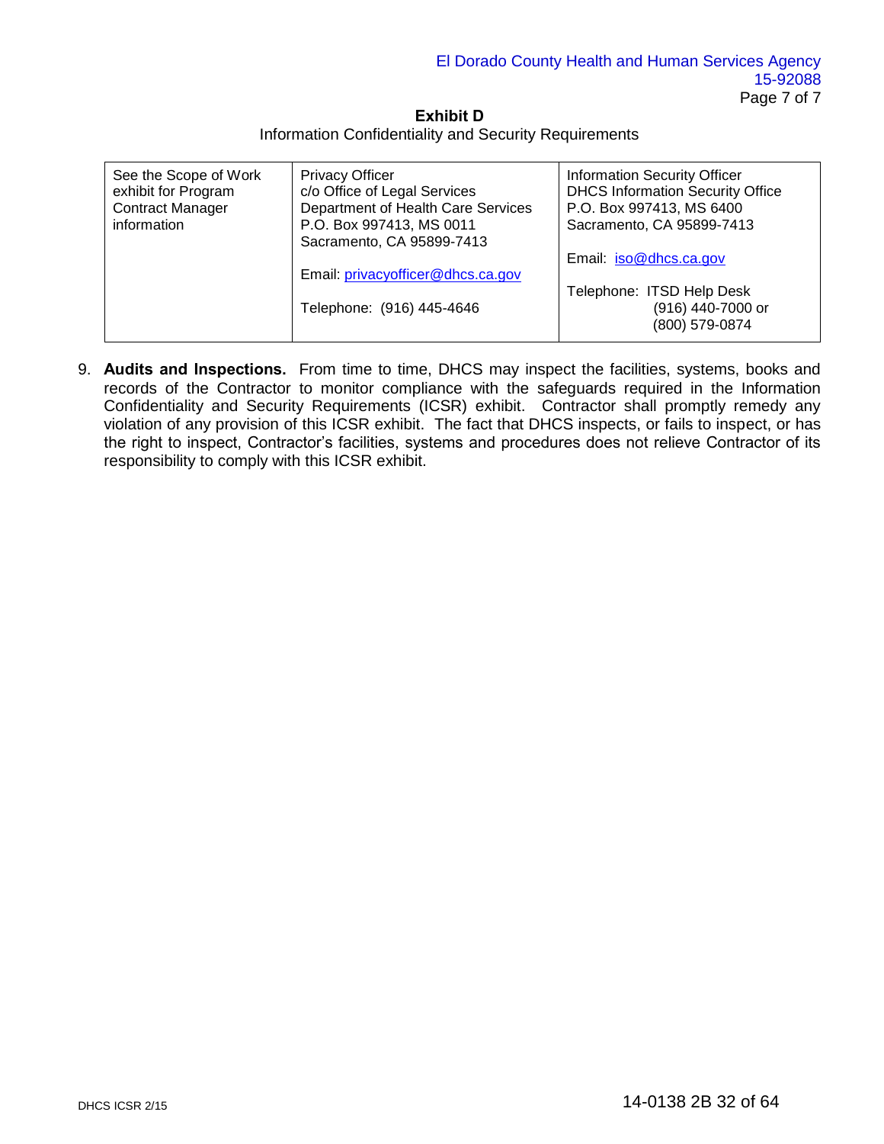**Exhibit D**  Information Confidentiality and Security Requirements

| See the Scope of Work<br>exhibit for Program<br><b>Contract Manager</b><br>information | <b>Privacy Officer</b><br>c/o Office of Legal Services<br>Department of Health Care Services<br>P.O. Box 997413, MS 0011 | <b>Information Security Officer</b><br><b>DHCS Information Security Office</b><br>P.O. Box 997413, MS 6400<br>Sacramento, CA 95899-7413 |
|----------------------------------------------------------------------------------------|--------------------------------------------------------------------------------------------------------------------------|-----------------------------------------------------------------------------------------------------------------------------------------|
|                                                                                        | Sacramento, CA 95899-7413                                                                                                |                                                                                                                                         |
|                                                                                        |                                                                                                                          | Email: iso@dhcs.ca.gov                                                                                                                  |
|                                                                                        | Email: privacyofficer@dhcs.ca.gov                                                                                        |                                                                                                                                         |
|                                                                                        |                                                                                                                          | Telephone: ITSD Help Desk                                                                                                               |
|                                                                                        | Telephone: (916) 445-4646                                                                                                | (916) 440-7000 or                                                                                                                       |
|                                                                                        |                                                                                                                          | (800) 579-0874                                                                                                                          |

9. **Audits and Inspections.** From time to time, DHCS may inspect the facilities, systems, books and records of the Contractor to monitor compliance with the safeguards required in the Information Confidentiality and Security Requirements (ICSR) exhibit. Contractor shall promptly remedy any violation of any provision of this ICSR exhibit. The fact that DHCS inspects, or fails to inspect, or has the right to inspect, Contractor's facilities, systems and procedures does not relieve Contractor of its responsibility to comply with this ICSR exhibit.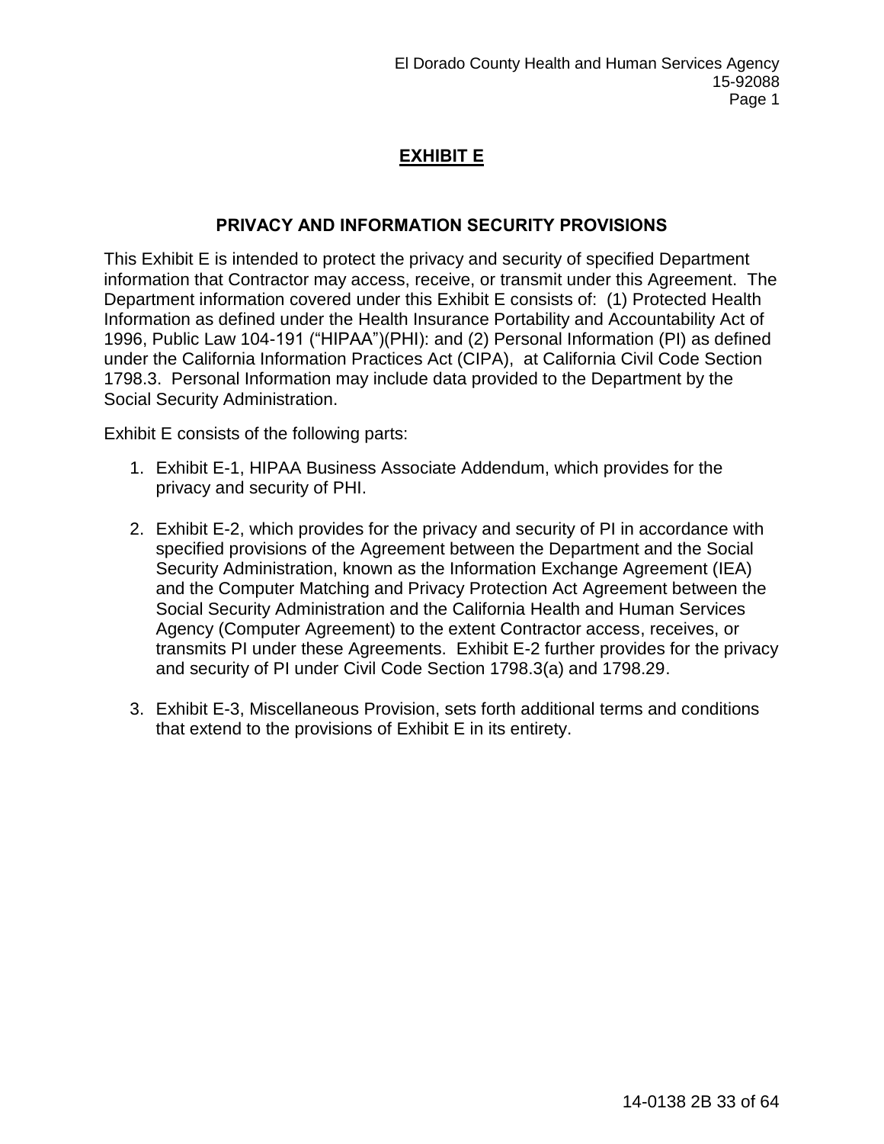# **EXHIBIT E**

# **PRIVACY AND INFORMATION SECURITY PROVISIONS**

This Exhibit E is intended to protect the privacy and security of specified Department information that Contractor may access, receive, or transmit under this Agreement. The Department information covered under this Exhibit E consists of: (1) Protected Health Information as defined under the Health Insurance Portability and Accountability Act of 1996, Public Law 104-191 ("HIPAA")(PHI): and (2) Personal Information (PI) as defined under the California Information Practices Act (CIPA), at California Civil Code Section 1798.3. Personal Information may include data provided to the Department by the Social Security Administration.

Exhibit E consists of the following parts:

- 1. Exhibit E-1, HIPAA Business Associate Addendum, which provides for the privacy and security of PHI.
- 2. Exhibit E-2, which provides for the privacy and security of PI in accordance with specified provisions of the Agreement between the Department and the Social Security Administration, known as the Information Exchange Agreement (IEA) and the Computer Matching and Privacy Protection Act Agreement between the Social Security Administration and the California Health and Human Services Agency (Computer Agreement) to the extent Contractor access, receives, or transmits PI under these Agreements. Exhibit E-2 further provides for the privacy and security of PI under Civil Code Section 1798.3(a) and 1798.29.
- 3. Exhibit E-3, Miscellaneous Provision, sets forth additional terms and conditions that extend to the provisions of Exhibit E in its entirety.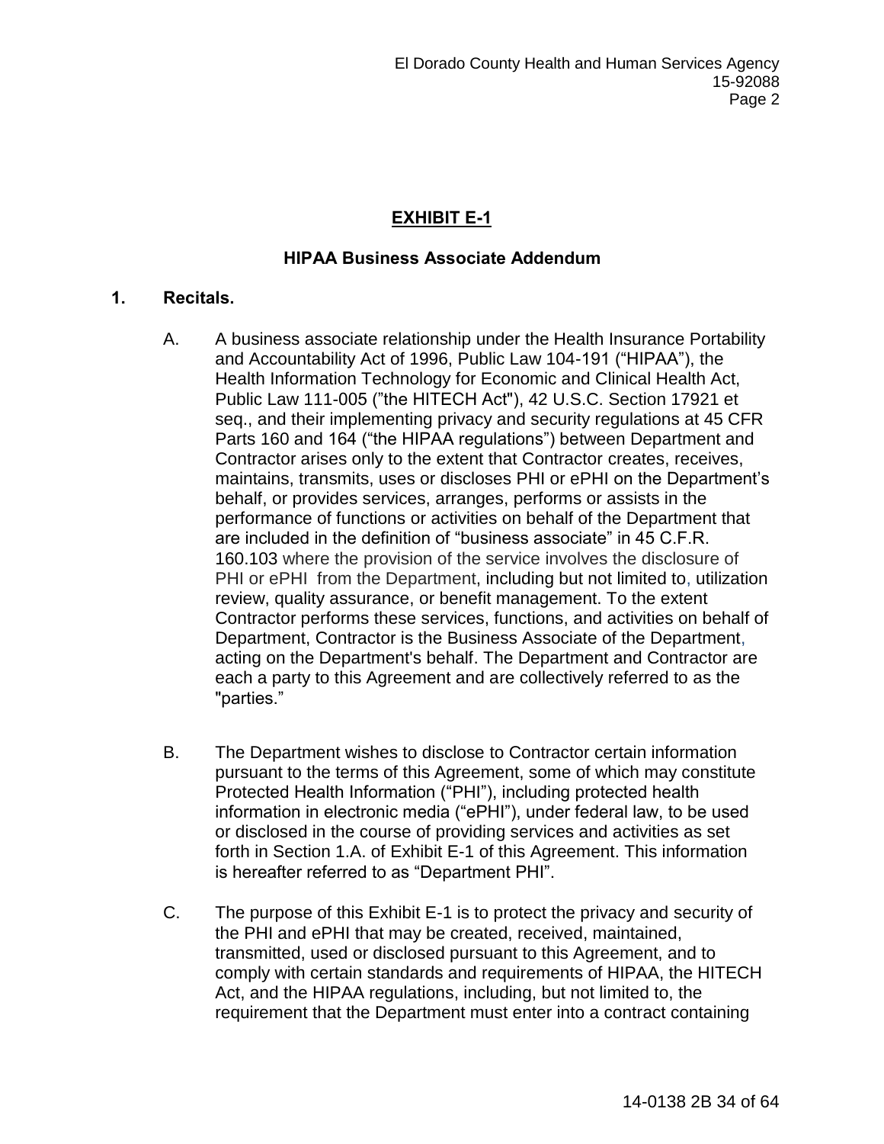# **EXHIBIT E-1**

## **HIPAA Business Associate Addendum**

## **1. Recitals.**

- A. A business associate relationship under the Health Insurance Portability and Accountability Act of 1996, Public Law 104-191 ("HIPAA"), the Health Information Technology for Economic and Clinical Health Act, Public Law 111-005 ("the HITECH Act"), 42 U.S.C. Section 17921 et seq., and their implementing privacy and security regulations at 45 CFR Parts 160 and 164 ("the HIPAA regulations") between Department and Contractor arises only to the extent that Contractor creates, receives, maintains, transmits, uses or discloses PHI or ePHI on the Department's behalf, or provides services, arranges, performs or assists in the performance of functions or activities on behalf of the Department that are included in the definition of "business associate" in 45 C.F.R. 160.103 where the provision of the service involves the disclosure of PHI or ePHI from the Department, including but not limited to, utilization review, quality assurance, or benefit management. To the extent Contractor performs these services, functions, and activities on behalf of Department, Contractor is the Business Associate of the Department, acting on the Department's behalf. The Department and Contractor are each a party to this Agreement and are collectively referred to as the "parties."
- B. The Department wishes to disclose to Contractor certain information pursuant to the terms of this Agreement, some of which may constitute Protected Health Information ("PHI"), including protected health information in electronic media ("ePHI"), under federal law, to be used or disclosed in the course of providing services and activities as set forth in Section 1.A. of Exhibit E-1 of this Agreement. This information is hereafter referred to as "Department PHI".
- C. The purpose of this Exhibit E-1 is to protect the privacy and security of the PHI and ePHI that may be created, received, maintained, transmitted, used or disclosed pursuant to this Agreement, and to comply with certain standards and requirements of HIPAA, the HITECH Act, and the HIPAA regulations, including, but not limited to, the requirement that the Department must enter into a contract containing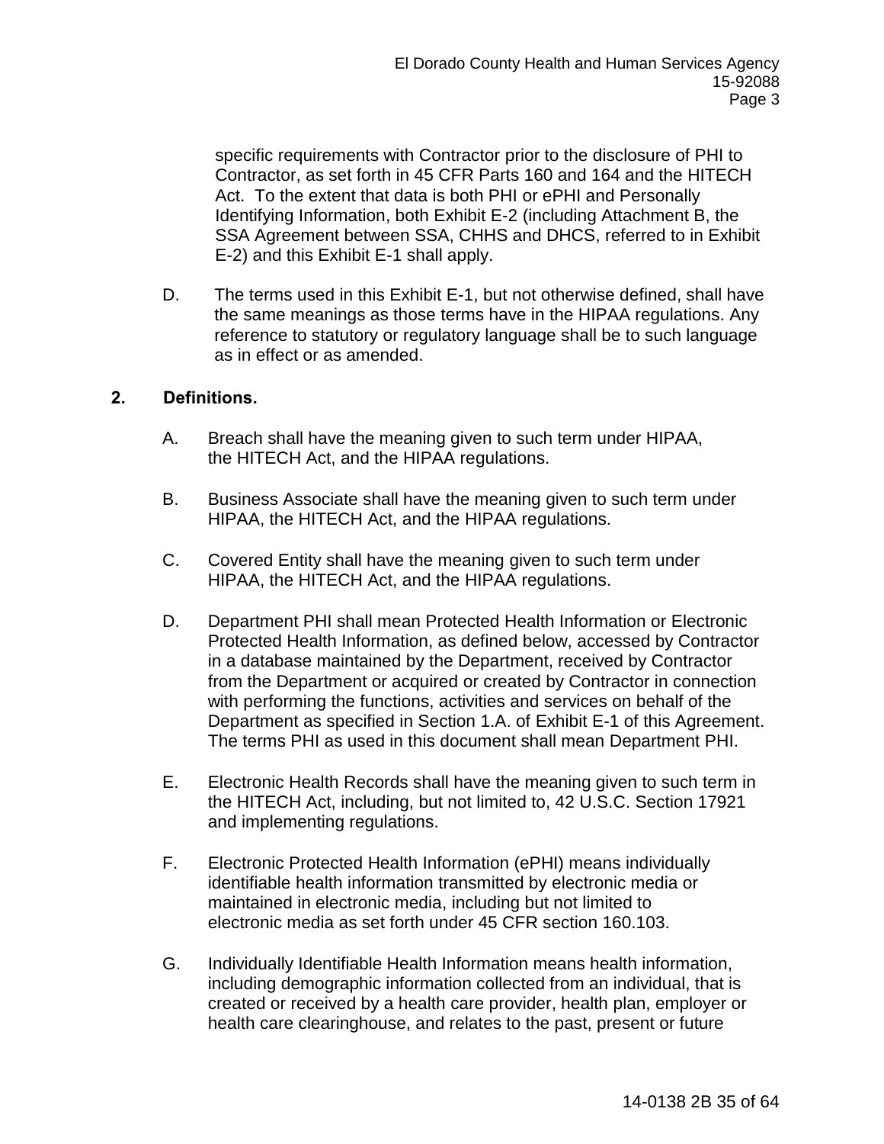specific requirements with Contractor prior to the disclosure of PHI to Contractor, as set forth in 45 CFR Parts 160 and 164 and the HITECH Act. To the extent that data is both PHI or ePHI and Personally Identifying Information, both Exhibit E-2 (including Attachment B, the SSA Agreement between SSA, CHHS and DHCS, referred to in Exhibit E-2) and this Exhibit E-1 shall apply.

D. The terms used in this Exhibit E-1, but not otherwise defined, shall have the same meanings as those terms have in the HIPAA regulations. Any reference to statutory or regulatory language shall be to such language as in effect or as amended.

## **2. Definitions.**

- A. Breach shall have the meaning given to such term under HIPAA, the HITECH Act, and the HIPAA regulations.
- B. Business Associate shall have the meaning given to such term under HIPAA, the HITECH Act, and the HIPAA regulations.
- C. Covered Entity shall have the meaning given to such term under HIPAA, the HITECH Act, and the HIPAA regulations.
- D. Department PHI shall mean Protected Health Information or Electronic Protected Health Information, as defined below, accessed by Contractor in a database maintained by the Department, received by Contractor from the Department or acquired or created by Contractor in connection with performing the functions, activities and services on behalf of the Department as specified in Section 1.A. of Exhibit E-1 of this Agreement. The terms PHI as used in this document shall mean Department PHI.
- E. Electronic Health Records shall have the meaning given to such term in the HITECH Act, including, but not limited to, 42 U.S.C. Section 17921 and implementing regulations.
- F. Electronic Protected Health Information (ePHI) means individually identifiable health information transmitted by electronic media or maintained in electronic media, including but not limited to electronic media as set forth under 45 CFR section 160.103.
- G. Individually Identifiable Health Information means health information, including demographic information collected from an individual, that is created or received by a health care provider, health plan, employer or health care clearinghouse, and relates to the past, present or future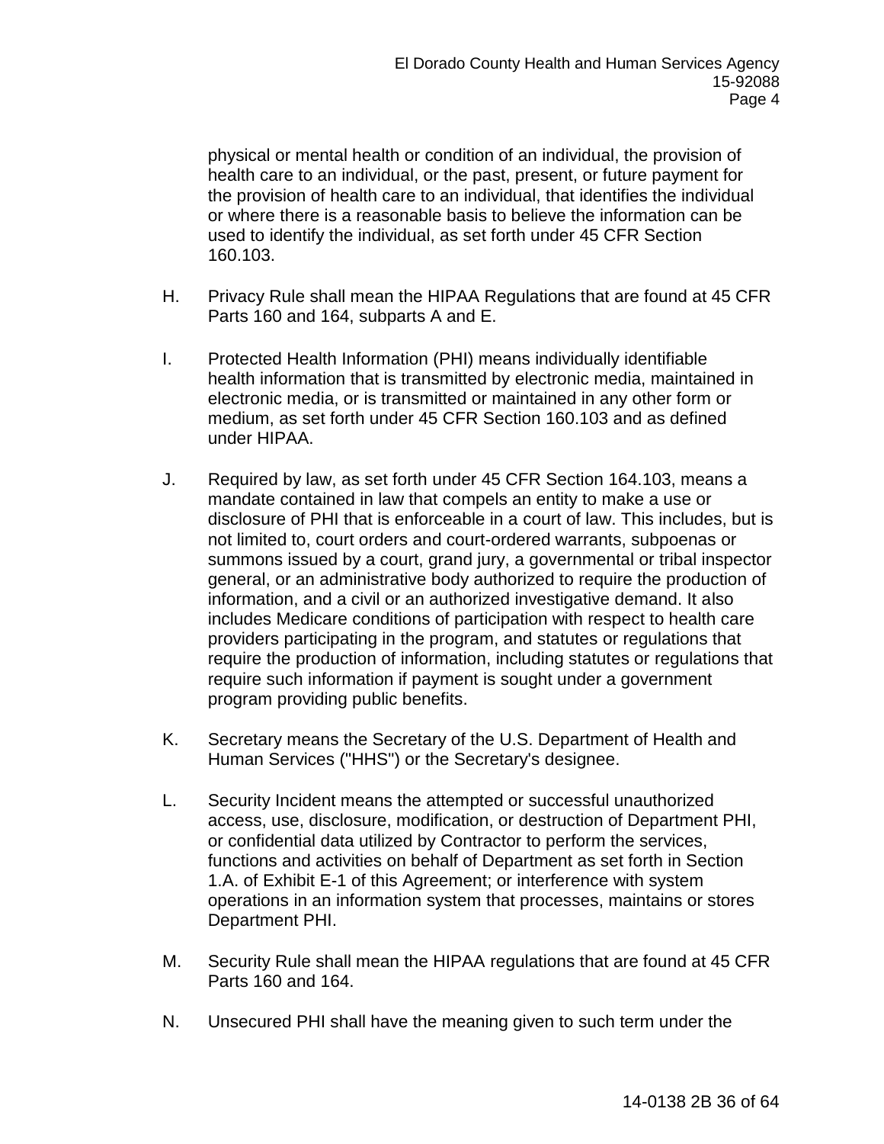physical or mental health or condition of an individual, the provision of health care to an individual, or the past, present, or future payment for the provision of health care to an individual, that identifies the individual or where there is a reasonable basis to believe the information can be used to identify the individual, as set forth under 45 CFR Section 160.103.

- H. Privacy Rule shall mean the HIPAA Regulations that are found at 45 CFR Parts 160 and 164, subparts A and E.
- I. Protected Health Information (PHI) means individually identifiable health information that is transmitted by electronic media, maintained in electronic media, or is transmitted or maintained in any other form or medium, as set forth under 45 CFR Section 160.103 and as defined under HIPAA.
- J. Required by law, as set forth under 45 CFR Section 164.103, means a mandate contained in law that compels an entity to make a use or disclosure of PHI that is enforceable in a court of law. This includes, but is not limited to, court orders and court-ordered warrants, subpoenas or summons issued by a court, grand jury, a governmental or tribal inspector general, or an administrative body authorized to require the production of information, and a civil or an authorized investigative demand. It also includes Medicare conditions of participation with respect to health care providers participating in the program, and statutes or regulations that require the production of information, including statutes or regulations that require such information if payment is sought under a government program providing public benefits.
- K. Secretary means the Secretary of the U.S. Department of Health and Human Services ("HHS") or the Secretary's designee.
- L. Security Incident means the attempted or successful unauthorized access, use, disclosure, modification, or destruction of Department PHI, or confidential data utilized by Contractor to perform the services, functions and activities on behalf of Department as set forth in Section 1.A. of Exhibit E-1 of this Agreement; or interference with system operations in an information system that processes, maintains or stores Department PHI.
- M. Security Rule shall mean the HIPAA regulations that are found at 45 CFR Parts 160 and 164.
- N. Unsecured PHI shall have the meaning given to such term under the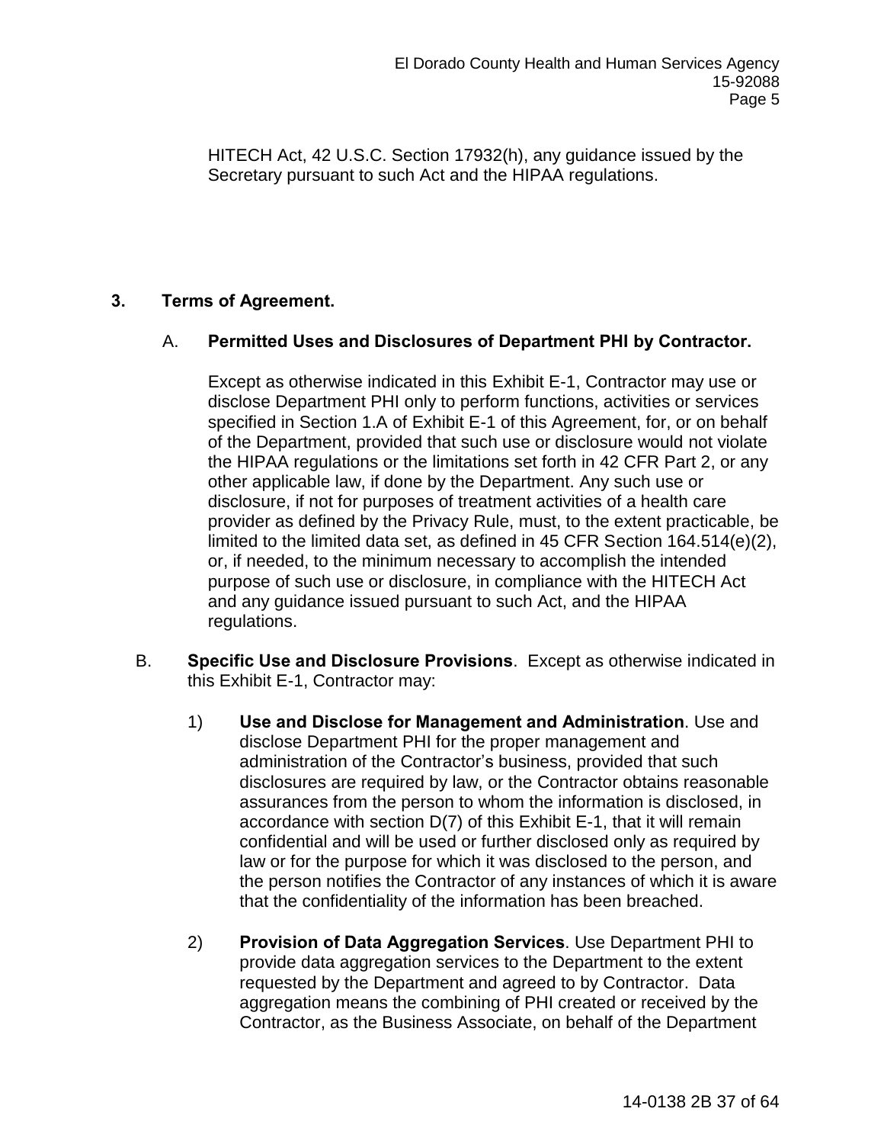HITECH Act, 42 U.S.C. Section 17932(h), any guidance issued by the Secretary pursuant to such Act and the HIPAA regulations.

## **3. Terms of Agreement.**

## A. **Permitted Uses and Disclosures of Department PHI by Contractor.**

Except as otherwise indicated in this Exhibit E-1, Contractor may use or disclose Department PHI only to perform functions, activities or services specified in Section 1.A of Exhibit E-1 of this Agreement, for, or on behalf of the Department, provided that such use or disclosure would not violate the HIPAA regulations or the limitations set forth in 42 CFR Part 2, or any other applicable law, if done by the Department. Any such use or disclosure, if not for purposes of treatment activities of a health care provider as defined by the Privacy Rule, must, to the extent practicable, be limited to the limited data set, as defined in 45 CFR Section 164.514(e)(2), or, if needed, to the minimum necessary to accomplish the intended purpose of such use or disclosure, in compliance with the HITECH Act and any guidance issued pursuant to such Act, and the HIPAA regulations.

- B. **Specific Use and Disclosure Provisions**. Except as otherwise indicated in this Exhibit E-1, Contractor may:
	- 1) **Use and Disclose for Management and Administration**. Use and disclose Department PHI for the proper management and administration of the Contractor's business, provided that such disclosures are required by law, or the Contractor obtains reasonable assurances from the person to whom the information is disclosed, in accordance with section D(7) of this Exhibit E-1, that it will remain confidential and will be used or further disclosed only as required by law or for the purpose for which it was disclosed to the person, and the person notifies the Contractor of any instances of which it is aware that the confidentiality of the information has been breached.
	- 2) **Provision of Data Aggregation Services**. Use Department PHI to provide data aggregation services to the Department to the extent requested by the Department and agreed to by Contractor. Data aggregation means the combining of PHI created or received by the Contractor, as the Business Associate, on behalf of the Department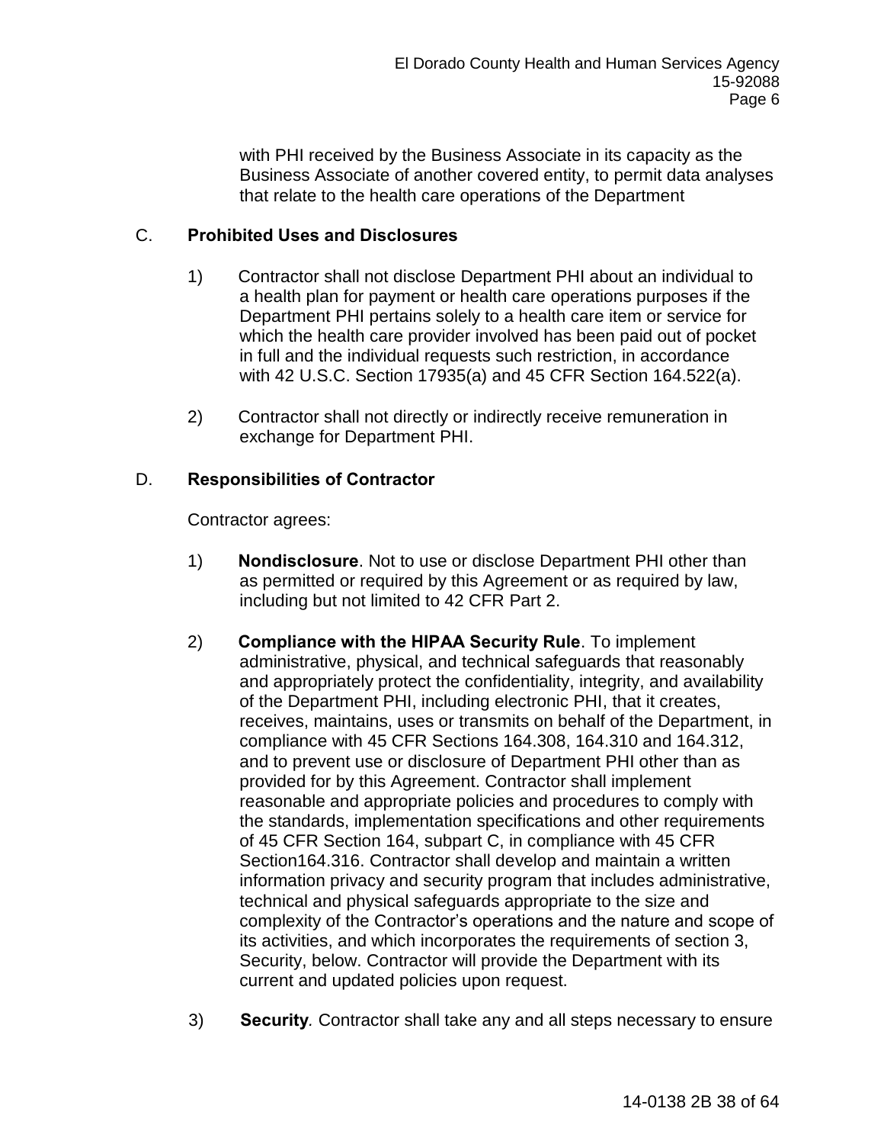with PHI received by the Business Associate in its capacity as the Business Associate of another covered entity, to permit data analyses that relate to the health care operations of the Department

## C. **Prohibited Uses and Disclosures**

- 1) Contractor shall not disclose Department PHI about an individual to a health plan for payment or health care operations purposes if the Department PHI pertains solely to a health care item or service for which the health care provider involved has been paid out of pocket in full and the individual requests such restriction, in accordance with 42 U.S.C. Section 17935(a) and 45 CFR Section 164.522(a).
- 2) Contractor shall not directly or indirectly receive remuneration in exchange for Department PHI.

## D. **Responsibilities of Contractor**

Contractor agrees:

- 1) **Nondisclosure**. Not to use or disclose Department PHI other than as permitted or required by this Agreement or as required by law, including but not limited to 42 CFR Part 2.
- 2) **Compliance with the HIPAA Security Rule**. To implement administrative, physical, and technical safeguards that reasonably and appropriately protect the confidentiality, integrity, and availability of the Department PHI, including electronic PHI, that it creates, receives, maintains, uses or transmits on behalf of the Department, in compliance with 45 CFR Sections 164.308, 164.310 and 164.312, and to prevent use or disclosure of Department PHI other than as provided for by this Agreement. Contractor shall implement reasonable and appropriate policies and procedures to comply with the standards, implementation specifications and other requirements of 45 CFR Section 164, subpart C, in compliance with 45 CFR Section164.316. Contractor shall develop and maintain a written information privacy and security program that includes administrative, technical and physical safeguards appropriate to the size and complexity of the Contractor's operations and the nature and scope of its activities, and which incorporates the requirements of section 3, Security, below. Contractor will provide the Department with its current and updated policies upon request.
- 3) **Security***.* Contractor shall take any and all steps necessary to ensure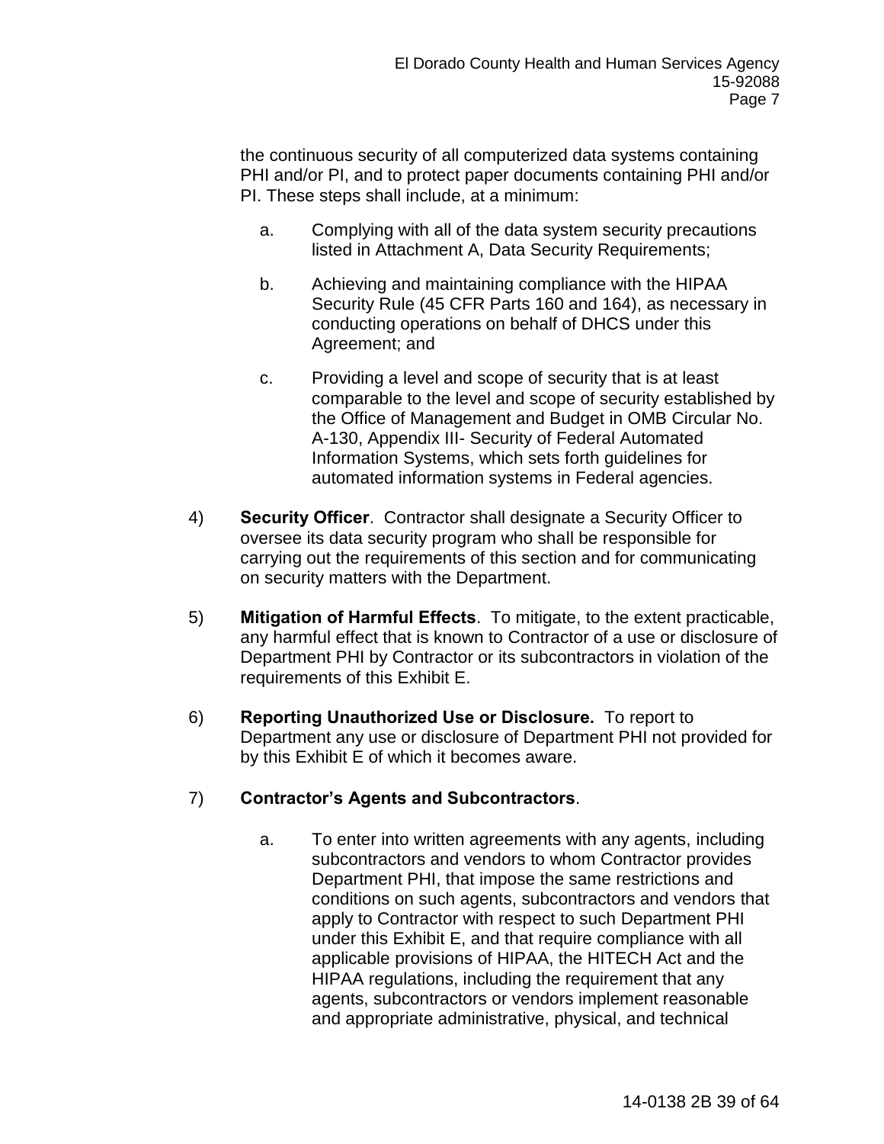the continuous security of all computerized data systems containing PHI and/or PI, and to protect paper documents containing PHI and/or PI. These steps shall include, at a minimum:

- a. Complying with all of the data system security precautions listed in Attachment A, Data Security Requirements;
- b. Achieving and maintaining compliance with the HIPAA Security Rule (45 CFR Parts 160 and 164), as necessary in conducting operations on behalf of DHCS under this Agreement; and
- c. Providing a level and scope of security that is at least comparable to the level and scope of security established by the Office of Management and Budget in OMB Circular No. A-130, Appendix III- Security of Federal Automated Information Systems, which sets forth guidelines for automated information systems in Federal agencies.
- 4) **Security Officer**. Contractor shall designate a Security Officer to oversee its data security program who shall be responsible for carrying out the requirements of this section and for communicating on security matters with the Department.
- 5) **Mitigation of Harmful Effects**. To mitigate, to the extent practicable, any harmful effect that is known to Contractor of a use or disclosure of Department PHI by Contractor or its subcontractors in violation of the requirements of this Exhibit E.
- 6) **Reporting Unauthorized Use or Disclosure.** To report to Department any use or disclosure of Department PHI not provided for by this Exhibit E of which it becomes aware.

## 7) **Contractor's Agents and Subcontractors**.

a. To enter into written agreements with any agents, including subcontractors and vendors to whom Contractor provides Department PHI, that impose the same restrictions and conditions on such agents, subcontractors and vendors that apply to Contractor with respect to such Department PHI under this Exhibit E, and that require compliance with all applicable provisions of HIPAA, the HITECH Act and the HIPAA regulations, including the requirement that any agents, subcontractors or vendors implement reasonable and appropriate administrative, physical, and technical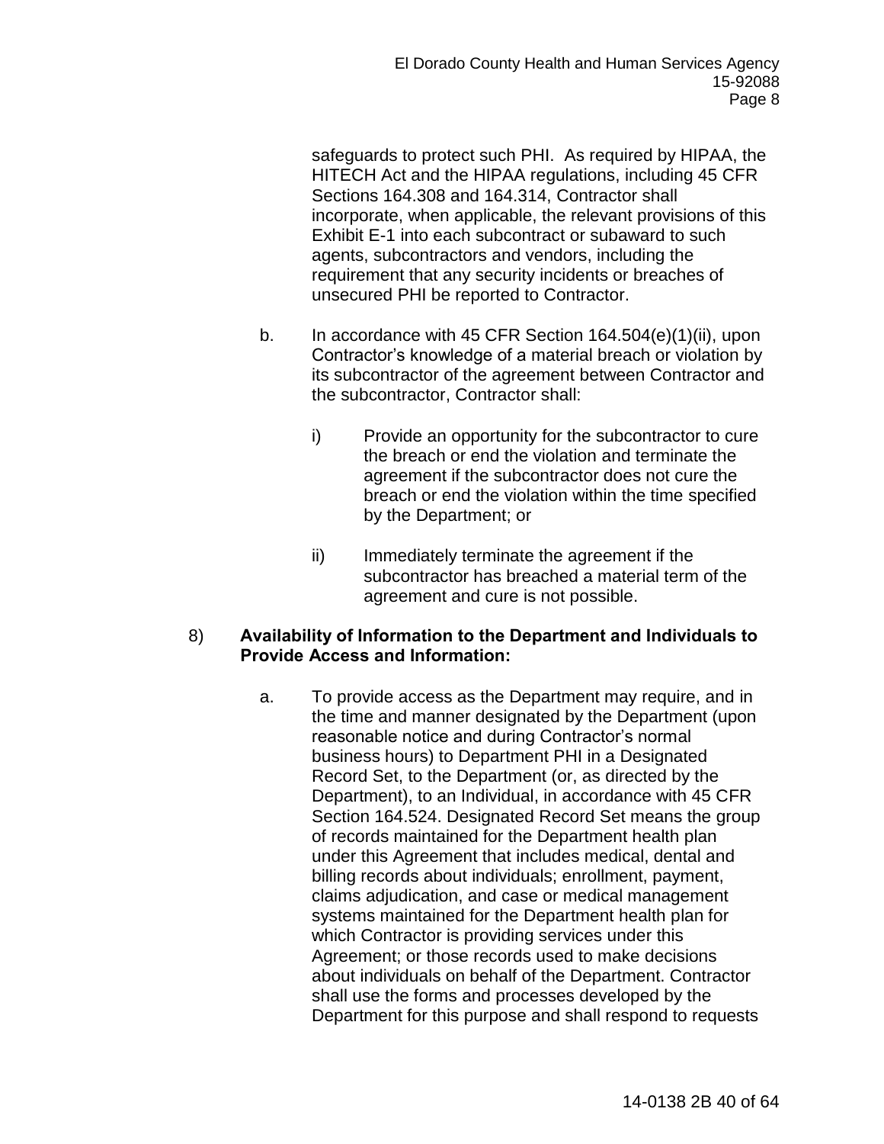safeguards to protect such PHI. As required by HIPAA, the HITECH Act and the HIPAA regulations, including 45 CFR Sections 164.308 and 164.314, Contractor shall incorporate, when applicable, the relevant provisions of this Exhibit E-1 into each subcontract or subaward to such agents, subcontractors and vendors, including the requirement that any security incidents or breaches of unsecured PHI be reported to Contractor.

- b. In accordance with 45 CFR Section 164.504(e)(1)(ii), upon Contractor's knowledge of a material breach or violation by its subcontractor of the agreement between Contractor and the subcontractor, Contractor shall:
	- i) Provide an opportunity for the subcontractor to cure the breach or end the violation and terminate the agreement if the subcontractor does not cure the breach or end the violation within the time specified by the Department; or
	- ii) Immediately terminate the agreement if the subcontractor has breached a material term of the agreement and cure is not possible.

## 8) **Availability of Information to the Department and Individuals to Provide Access and Information:**

a. To provide access as the Department may require, and in the time and manner designated by the Department (upon reasonable notice and during Contractor's normal business hours) to Department PHI in a Designated Record Set, to the Department (or, as directed by the Department), to an Individual, in accordance with 45 CFR Section 164.524. Designated Record Set means the group of records maintained for the Department health plan under this Agreement that includes medical, dental and billing records about individuals; enrollment, payment, claims adjudication, and case or medical management systems maintained for the Department health plan for which Contractor is providing services under this Agreement; or those records used to make decisions about individuals on behalf of the Department. Contractor shall use the forms and processes developed by the Department for this purpose and shall respond to requests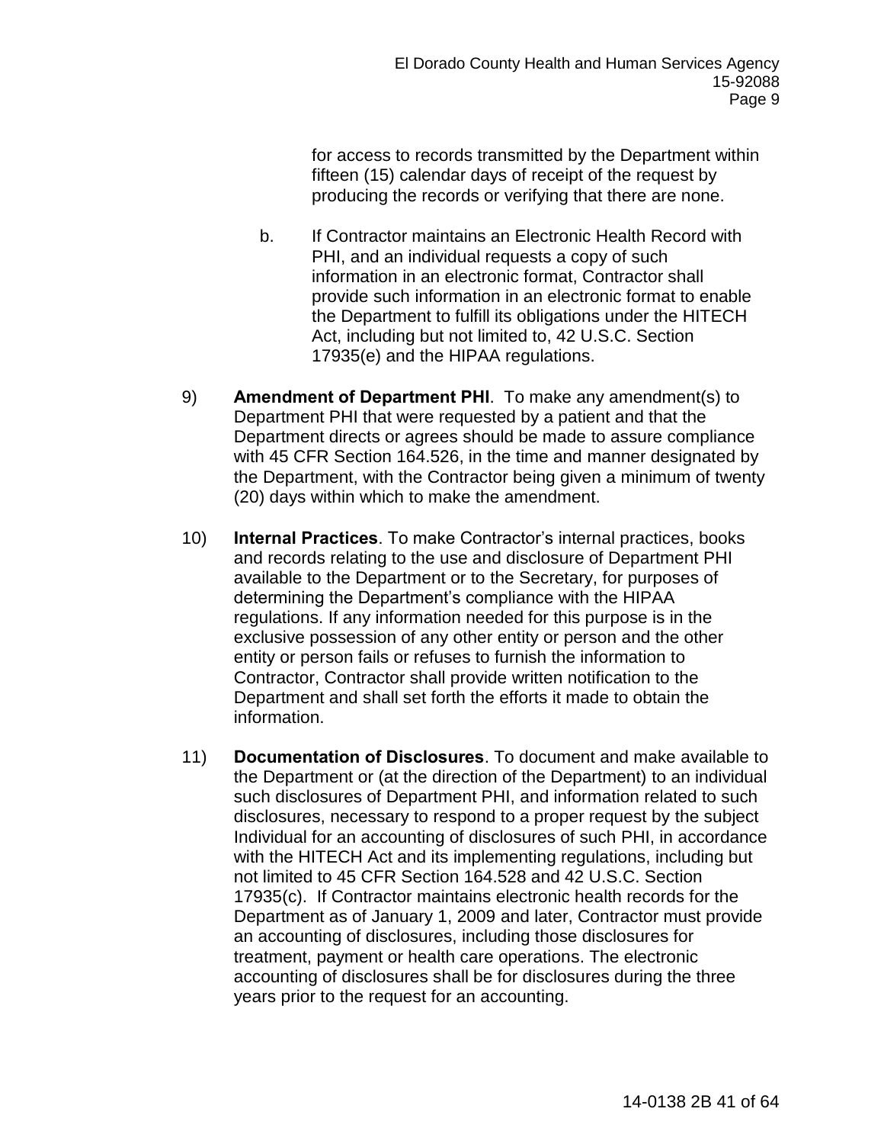for access to records transmitted by the Department within fifteen (15) calendar days of receipt of the request by producing the records or verifying that there are none.

- b. If Contractor maintains an Electronic Health Record with PHI, and an individual requests a copy of such information in an electronic format, Contractor shall provide such information in an electronic format to enable the Department to fulfill its obligations under the HITECH Act, including but not limited to, 42 U.S.C. Section 17935(e) and the HIPAA regulations.
- 9) **Amendment of Department PHI**. To make any amendment(s) to Department PHI that were requested by a patient and that the Department directs or agrees should be made to assure compliance with 45 CFR Section 164.526, in the time and manner designated by the Department, with the Contractor being given a minimum of twenty (20) days within which to make the amendment.
- 10) **Internal Practices**. To make Contractor's internal practices, books and records relating to the use and disclosure of Department PHI available to the Department or to the Secretary, for purposes of determining the Department's compliance with the HIPAA regulations. If any information needed for this purpose is in the exclusive possession of any other entity or person and the other entity or person fails or refuses to furnish the information to Contractor, Contractor shall provide written notification to the Department and shall set forth the efforts it made to obtain the information.
- 11) **Documentation of Disclosures**. To document and make available to the Department or (at the direction of the Department) to an individual such disclosures of Department PHI, and information related to such disclosures, necessary to respond to a proper request by the subject Individual for an accounting of disclosures of such PHI, in accordance with the HITECH Act and its implementing regulations, including but not limited to 45 CFR Section 164.528 and 42 U.S.C. Section 17935(c). If Contractor maintains electronic health records for the Department as of January 1, 2009 and later, Contractor must provide an accounting of disclosures, including those disclosures for treatment, payment or health care operations. The electronic accounting of disclosures shall be for disclosures during the three years prior to the request for an accounting.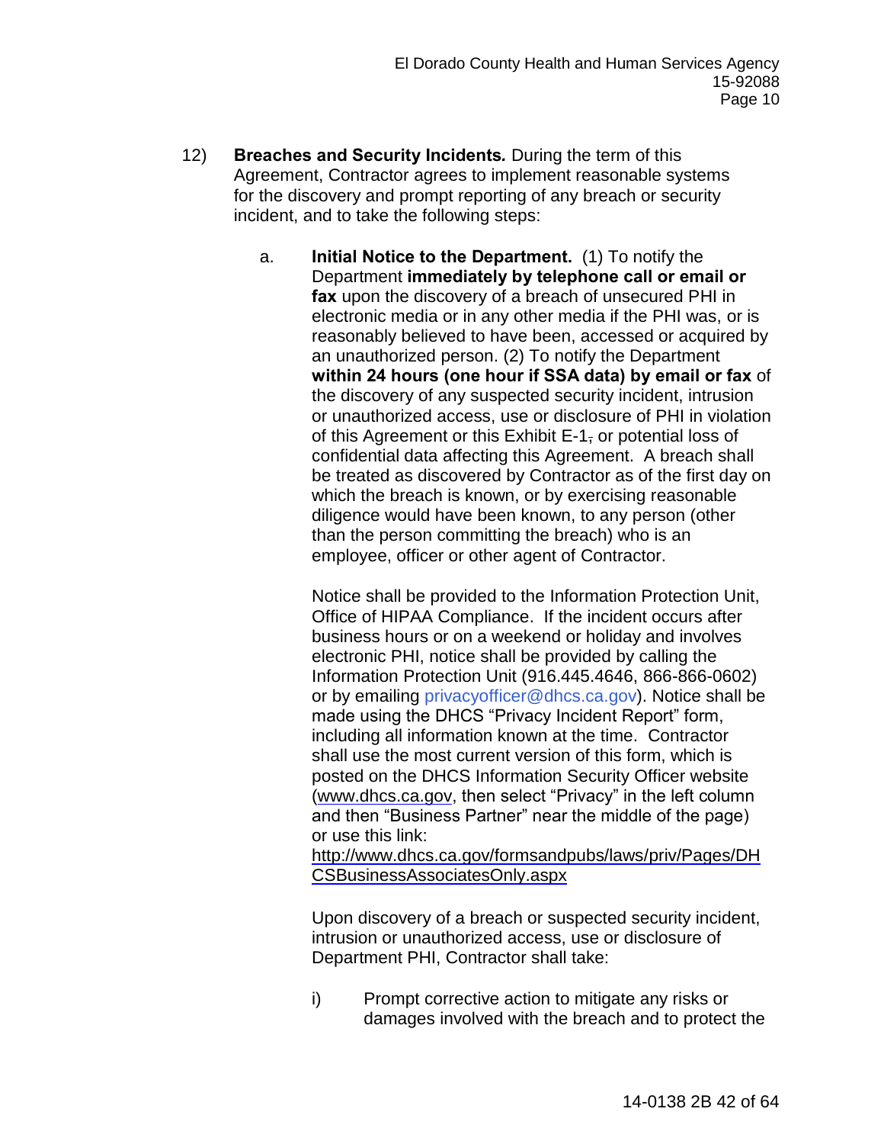- 12) **Breaches and Security Incidents***.* During the term of this Agreement, Contractor agrees to implement reasonable systems for the discovery and prompt reporting of any breach or security incident, and to take the following steps:
	- a. **Initial Notice to the Department.** (1) To notify the Department **immediately by telephone call or email or fax** upon the discovery of a breach of unsecured PHI in electronic media or in any other media if the PHI was, or is reasonably believed to have been, accessed or acquired by an unauthorized person. (2) To notify the Department **within 24 hours (one hour if SSA data) by email or fax** of the discovery of any suspected security incident, intrusion or unauthorized access, use or disclosure of PHI in violation of this Agreement or this Exhibit E-1, or potential loss of confidential data affecting this Agreement. A breach shall be treated as discovered by Contractor as of the first day on which the breach is known, or by exercising reasonable diligence would have been known, to any person (other than the person committing the breach) who is an employee, officer or other agent of Contractor.

Notice shall be provided to the Information Protection Unit, Office of HIPAA Compliance. If the incident occurs after business hours or on a weekend or holiday and involves electronic PHI, notice shall be provided by calling the Information Protection Unit (916.445.4646, 866-866-0602) or by emailing [privacyofficer@dhcs.ca.gov\)](mailto:privacyofficer@dhcs.ca.gov). Notice shall be made using the DHCS "Privacy Incident Report" form, including all information known at the time. Contractor shall use the most current version of this form, which is posted on the DHCS Information Security Officer website [\(www.dhcs.ca.gov,](http://www.dhcs.ca.gov/) then select "Privacy" in the left column and then "Business Partner" near the middle of the page) or use this link:

[http://www.dhcs.ca.gov/formsandpubs/laws/priv/Pages/DH](http://www.dhcs.ca.gov/formsandpubs/laws/priv/Pages/DHCSBusinessAssociatesOnly.aspx) [CSBusinessAssociatesOnly.aspx](http://www.dhcs.ca.gov/formsandpubs/laws/priv/Pages/DHCSBusinessAssociatesOnly.aspx)

Upon discovery of a breach or suspected security incident, intrusion or unauthorized access, use or disclosure of Department PHI, Contractor shall take:

i) Prompt corrective action to mitigate any risks or damages involved with the breach and to protect the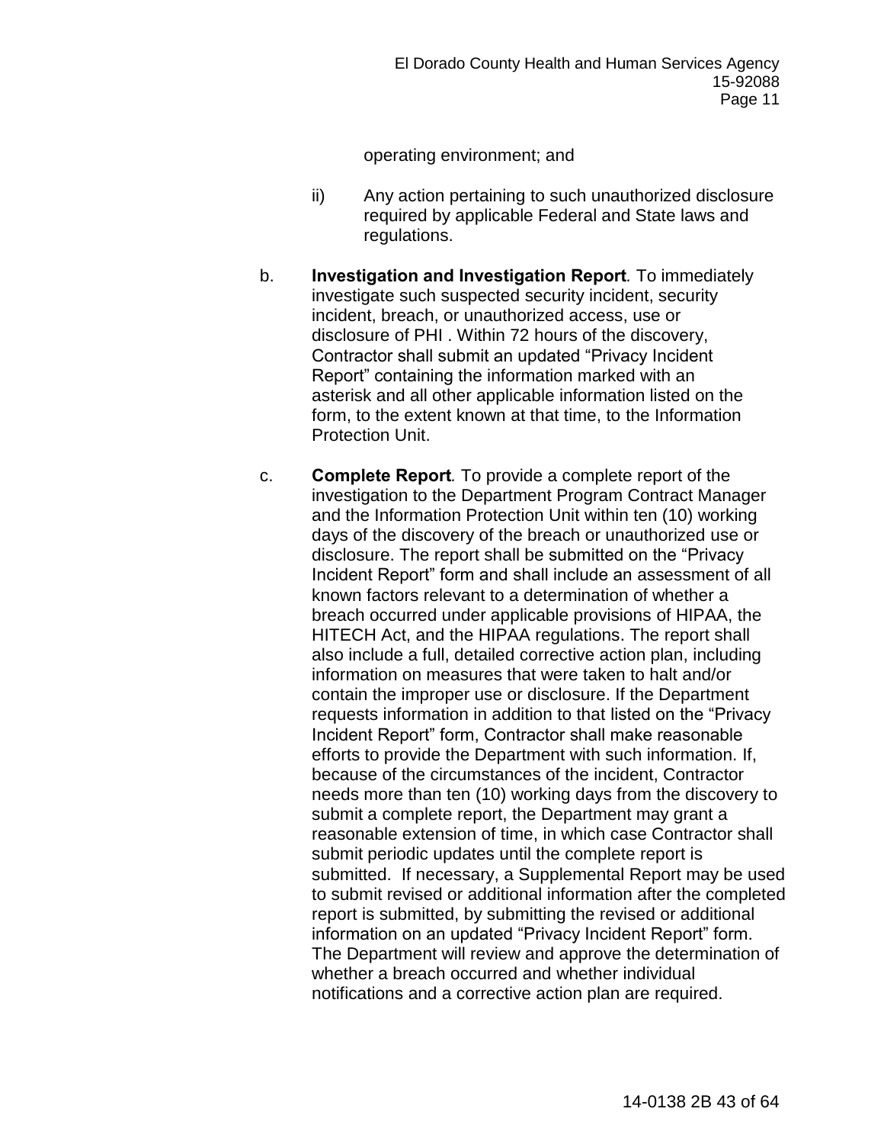operating environment; and

- ii) Any action pertaining to such unauthorized disclosure required by applicable Federal and State laws and regulations.
- b. **Investigation and Investigation Report***.* To immediately investigate such suspected security incident, security incident, breach, or unauthorized access, use or disclosure of PHI . Within 72 hours of the discovery, Contractor shall submit an updated "Privacy Incident Report" containing the information marked with an asterisk and all other applicable information listed on the form, to the extent known at that time, to the Information Protection Unit.
- c. **Complete Report***.* To provide a complete report of the investigation to the Department Program Contract Manager and the Information Protection Unit within ten (10) working days of the discovery of the breach or unauthorized use or disclosure. The report shall be submitted on the "Privacy Incident Report" form and shall include an assessment of all known factors relevant to a determination of whether a breach occurred under applicable provisions of HIPAA, the HITECH Act, and the HIPAA regulations. The report shall also include a full, detailed corrective action plan, including information on measures that were taken to halt and/or contain the improper use or disclosure. If the Department requests information in addition to that listed on the "Privacy Incident Report" form, Contractor shall make reasonable efforts to provide the Department with such information. If, because of the circumstances of the incident, Contractor needs more than ten (10) working days from the discovery to submit a complete report, the Department may grant a reasonable extension of time, in which case Contractor shall submit periodic updates until the complete report is submitted. If necessary, a Supplemental Report may be used to submit revised or additional information after the completed report is submitted, by submitting the revised or additional information on an updated "Privacy Incident Report" form. The Department will review and approve the determination of whether a breach occurred and whether individual notifications and a corrective action plan are required.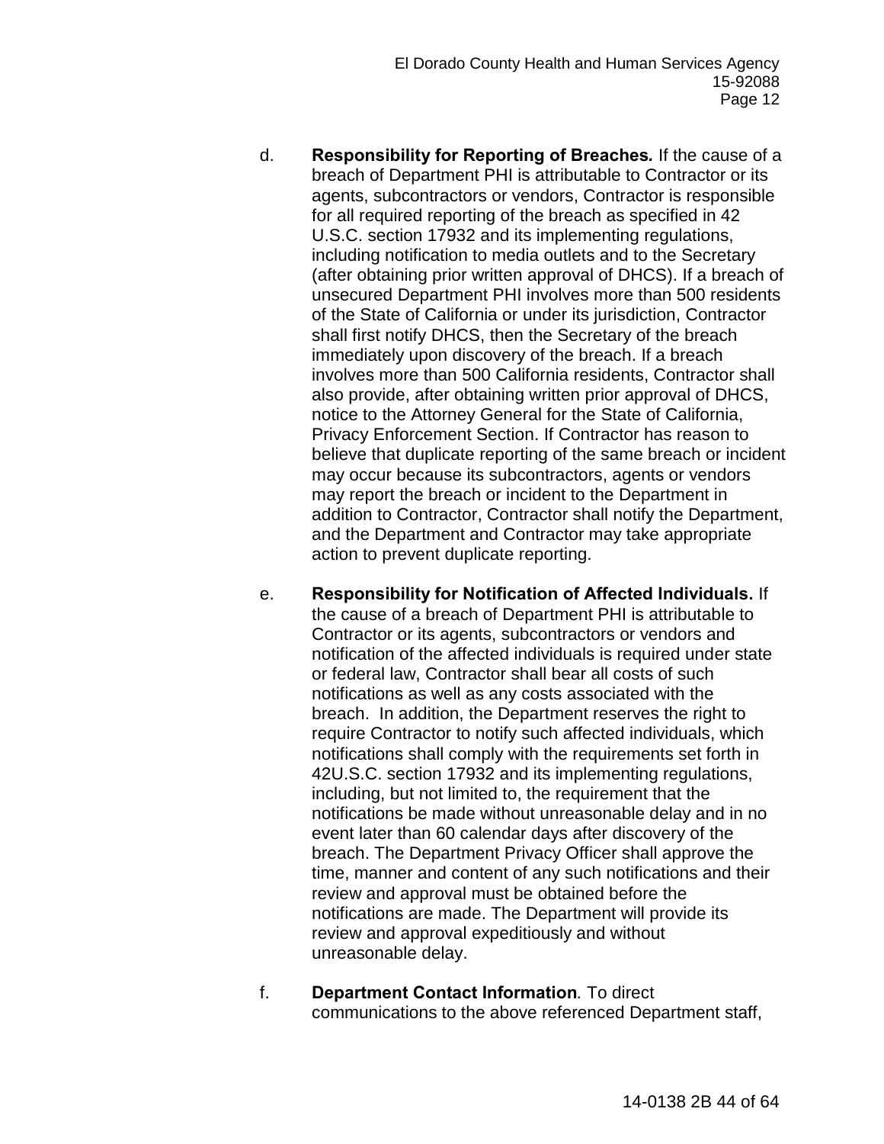- d. **Responsibility for Reporting of Breaches***.* If the cause of a breach of Department PHI is attributable to Contractor or its agents, subcontractors or vendors, Contractor is responsible for all required reporting of the breach as specified in 42 U.S.C. section 17932 and its implementing regulations, including notification to media outlets and to the Secretary (after obtaining prior written approval of DHCS). If a breach of unsecured Department PHI involves more than 500 residents of the State of California or under its jurisdiction, Contractor shall first notify DHCS, then the Secretary of the breach immediately upon discovery of the breach. If a breach involves more than 500 California residents, Contractor shall also provide, after obtaining written prior approval of DHCS, notice to the Attorney General for the State of California, Privacy Enforcement Section. If Contractor has reason to believe that duplicate reporting of the same breach or incident may occur because its subcontractors, agents or vendors may report the breach or incident to the Department in addition to Contractor, Contractor shall notify the Department, and the Department and Contractor may take appropriate action to prevent duplicate reporting.
- e. **Responsibility for Notification of Affected Individuals.** If the cause of a breach of Department PHI is attributable to Contractor or its agents, subcontractors or vendors and notification of the affected individuals is required under state or federal law, Contractor shall bear all costs of such notifications as well as any costs associated with the breach. In addition, the Department reserves the right to require Contractor to notify such affected individuals, which notifications shall comply with the requirements set forth in 42U.S.C. section 17932 and its implementing regulations, including, but not limited to, the requirement that the notifications be made without unreasonable delay and in no event later than 60 calendar days after discovery of the breach. The Department Privacy Officer shall approve the time, manner and content of any such notifications and their review and approval must be obtained before the notifications are made. The Department will provide its review and approval expeditiously and without unreasonable delay.
- f. **Department Contact Information***.* To direct communications to the above referenced Department staff,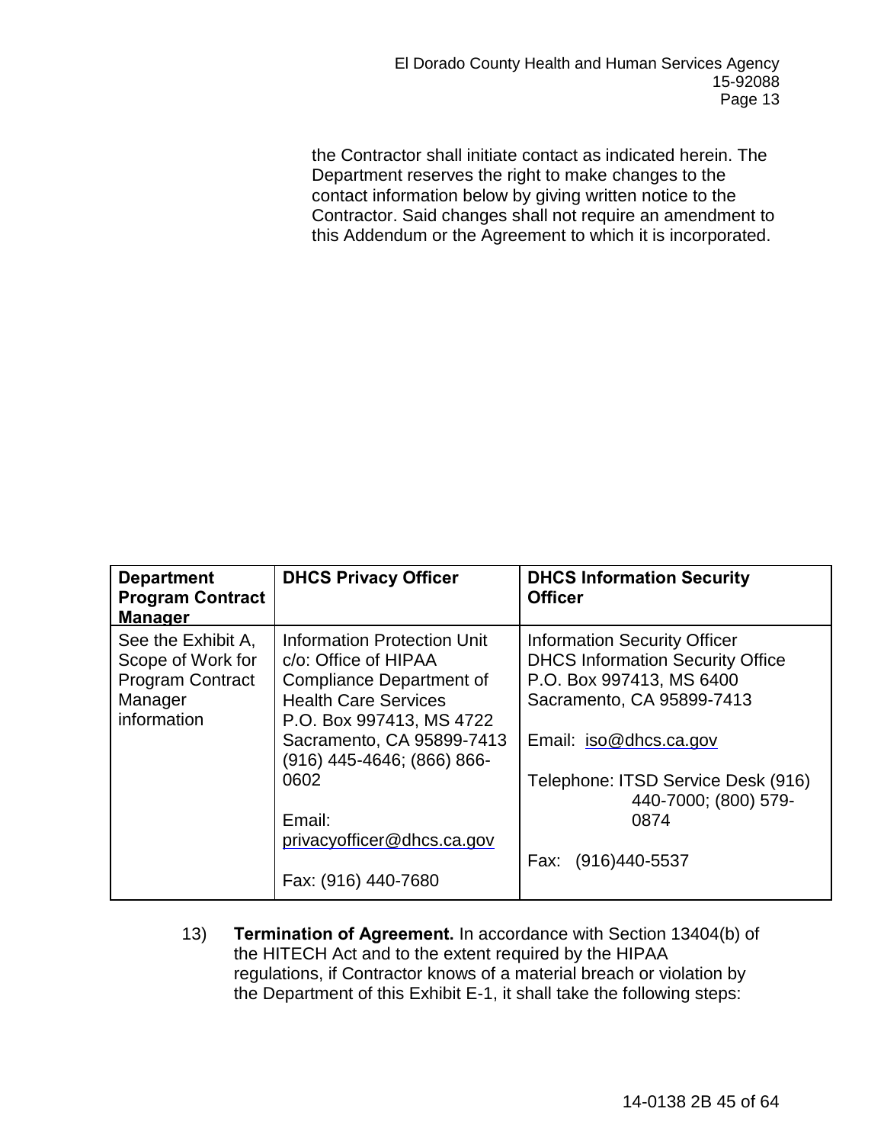the Contractor shall initiate contact as indicated herein. The Department reserves the right to make changes to the contact information below by giving written notice to the Contractor. Said changes shall not require an amendment to this Addendum or the Agreement to which it is incorporated.

| <b>Department</b><br><b>Program Contract</b><br><b>Manager</b>                               | <b>DHCS Privacy Officer</b>                                                                                                                                                                                                                                                         | <b>DHCS Information Security</b><br><b>Officer</b>                                                                                                                                                                                                                   |
|----------------------------------------------------------------------------------------------|-------------------------------------------------------------------------------------------------------------------------------------------------------------------------------------------------------------------------------------------------------------------------------------|----------------------------------------------------------------------------------------------------------------------------------------------------------------------------------------------------------------------------------------------------------------------|
| See the Exhibit A,<br>Scope of Work for<br><b>Program Contract</b><br>Manager<br>information | Information Protection Unit<br>c/o: Office of HIPAA<br><b>Compliance Department of</b><br><b>Health Care Services</b><br>P.O. Box 997413, MS 4722<br>Sacramento, CA 95899-7413<br>(916) 445-4646; (866) 866-<br>0602<br>Email:<br>privacyofficer@dhcs.ca.gov<br>Fax: (916) 440-7680 | <b>Information Security Officer</b><br><b>DHCS Information Security Office</b><br>P.O. Box 997413, MS 6400<br>Sacramento, CA 95899-7413<br>Email: iso@dhcs.ca.gov<br>Telephone: ITSD Service Desk (916)<br>440-7000; (800) 579-<br>0874<br>$(916)440 - 5537$<br>Fax: |

13) **Termination of Agreement.** In accordance with Section 13404(b) of the HITECH Act and to the extent required by the HIPAA regulations, if Contractor knows of a material breach or violation by the Department of this Exhibit E-1, it shall take the following steps: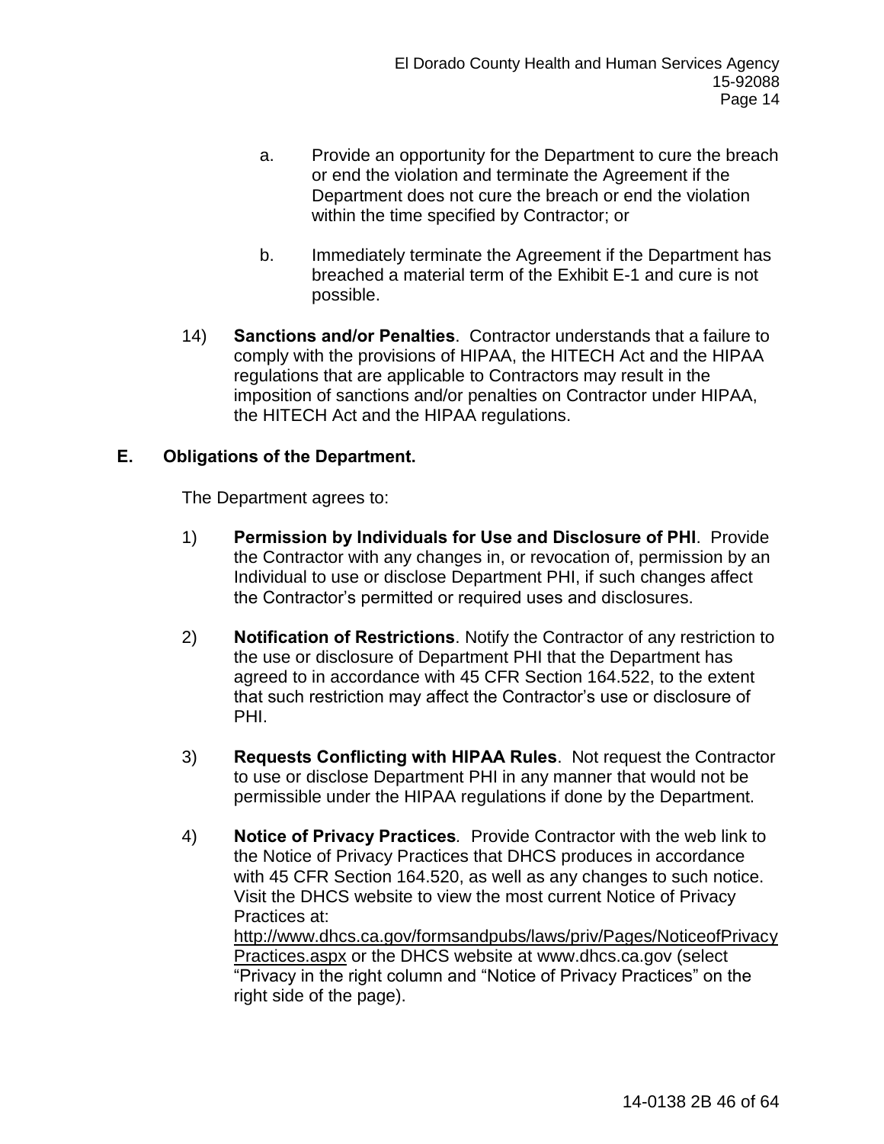- a. Provide an opportunity for the Department to cure the breach or end the violation and terminate the Agreement if the Department does not cure the breach or end the violation within the time specified by Contractor; or
- b. Immediately terminate the Agreement if the Department has breached a material term of the Exhibit E-1 and cure is not possible.
- 14) **Sanctions and/or Penalties**. Contractor understands that a failure to comply with the provisions of HIPAA, the HITECH Act and the HIPAA regulations that are applicable to Contractors may result in the imposition of sanctions and/or penalties on Contractor under HIPAA, the HITECH Act and the HIPAA regulations.

## **E. Obligations of the Department.**

The Department agrees to:

- 1) **Permission by Individuals for Use and Disclosure of PHI**. Provide the Contractor with any changes in, or revocation of, permission by an Individual to use or disclose Department PHI, if such changes affect the Contractor's permitted or required uses and disclosures.
- 2) **Notification of Restrictions**. Notify the Contractor of any restriction to the use or disclosure of Department PHI that the Department has agreed to in accordance with 45 CFR Section 164.522, to the extent that such restriction may affect the Contractor's use or disclosure of PHI.
- 3) **Requests Conflicting with HIPAA Rules**. Not request the Contractor to use or disclose Department PHI in any manner that would not be permissible under the HIPAA regulations if done by the Department.
- 4) **Notice of Privacy Practices***.* Provide Contractor with the web link to the Notice of Privacy Practices that DHCS produces in accordance with 45 CFR Section 164.520, as well as any changes to such notice. Visit the DHCS website to view the most current Notice of Privacy Practices at:

http://www.dhcs.ca.gov/formsandpubs/laws/priv/Pages/NoticeofPrivacy Practices.aspx or the DHCS website at [www.dhcs.ca.gov](http://www.dhcs.ca.gov/) (select "Privacy in the right column and "Notice of Privacy Practices" on the right side of the page).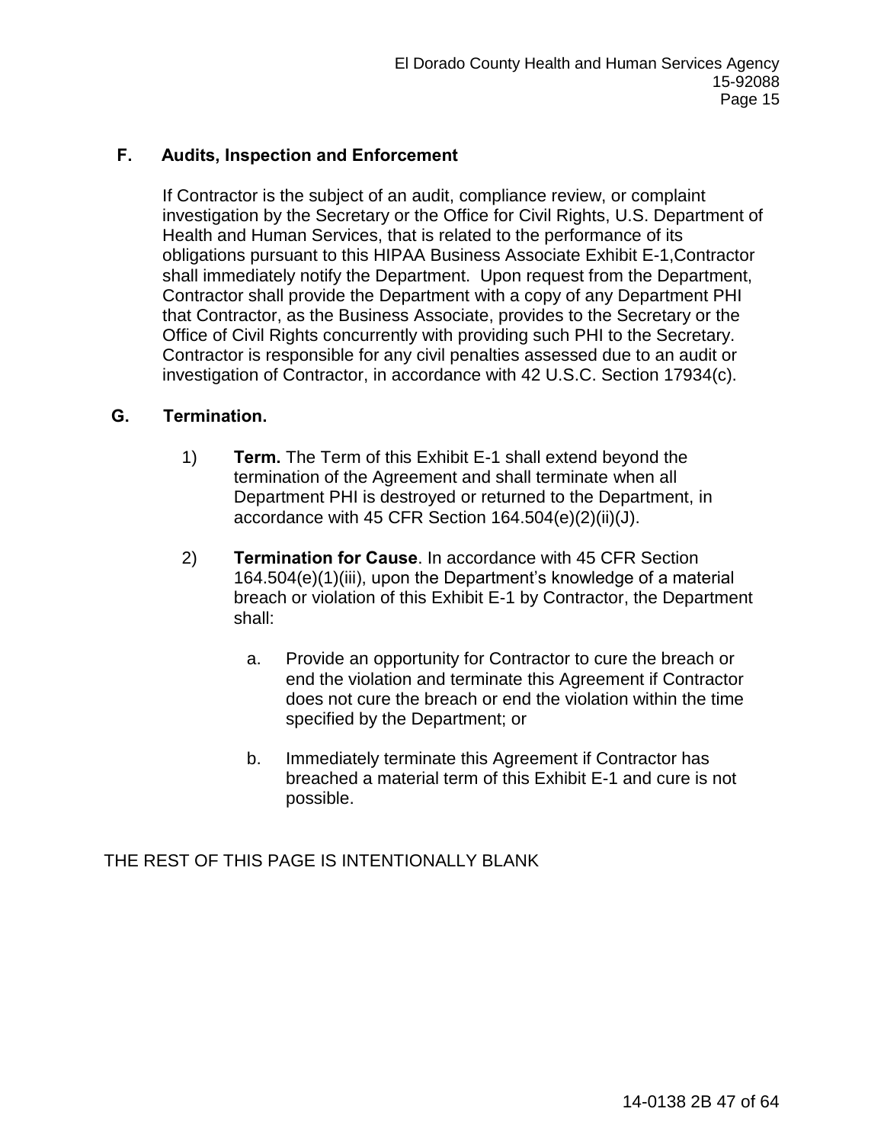## **F. Audits, Inspection and Enforcement**

If Contractor is the subject of an audit, compliance review, or complaint investigation by the Secretary or the Office for Civil Rights, U.S. Department of Health and Human Services, that is related to the performance of its obligations pursuant to this HIPAA Business Associate Exhibit E-1,Contractor shall immediately notify the Department. Upon request from the Department, Contractor shall provide the Department with a copy of any Department PHI that Contractor, as the Business Associate, provides to the Secretary or the Office of Civil Rights concurrently with providing such PHI to the Secretary. Contractor is responsible for any civil penalties assessed due to an audit or investigation of Contractor, in accordance with 42 U.S.C. Section 17934(c).

## **G. Termination.**

- 1) **Term.** The Term of this Exhibit E-1 shall extend beyond the termination of the Agreement and shall terminate when all Department PHI is destroyed or returned to the Department, in accordance with 45 CFR Section 164.504(e)(2)(ii)(J).
- 2) **Termination for Cause**. In accordance with 45 CFR Section 164.504(e)(1)(iii), upon the Department's knowledge of a material breach or violation of this Exhibit E-1 by Contractor, the Department shall:
	- a. Provide an opportunity for Contractor to cure the breach or end the violation and terminate this Agreement if Contractor does not cure the breach or end the violation within the time specified by the Department; or
	- b. Immediately terminate this Agreement if Contractor has breached a material term of this Exhibit E-1 and cure is not possible.

THE REST OF THIS PAGE IS INTENTIONALLY BLANK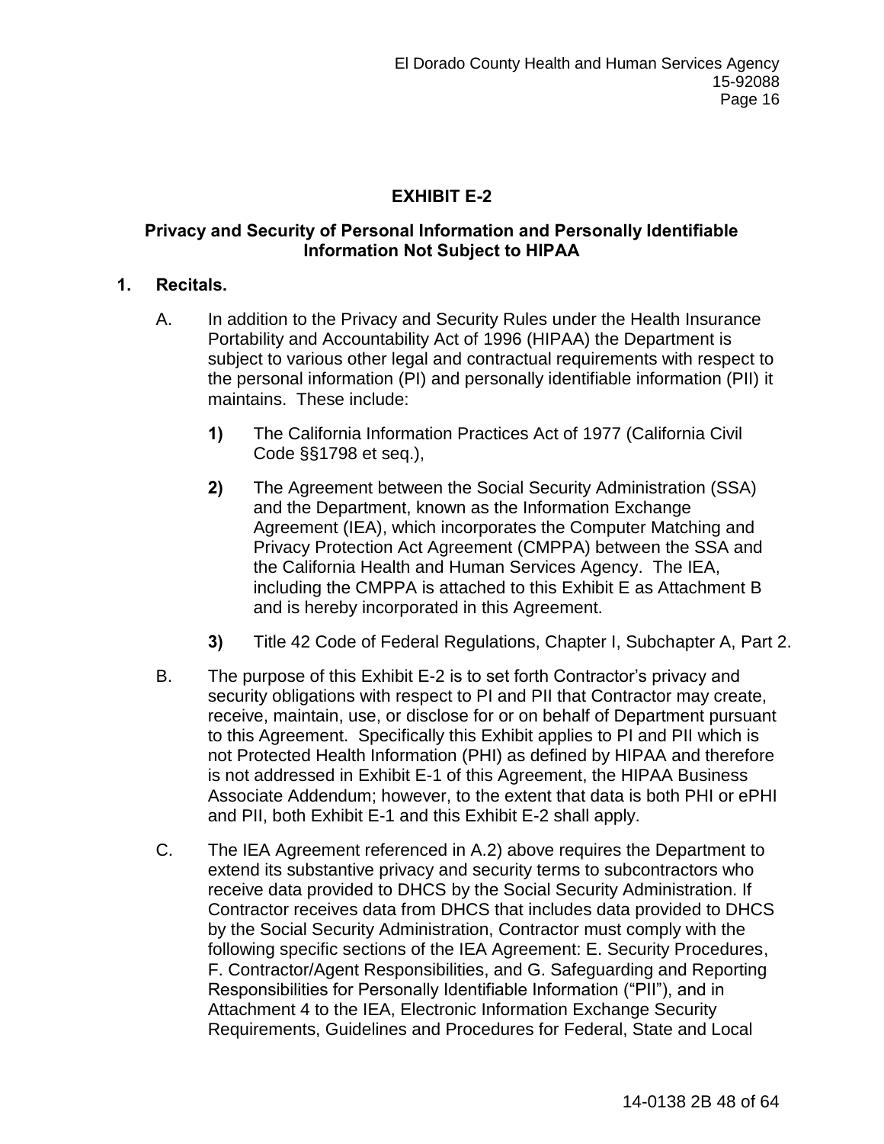# **EXHIBIT E-2**

## **Privacy and Security of Personal Information and Personally Identifiable Information Not Subject to HIPAA**

## **1. Recitals.**

- A. In addition to the Privacy and Security Rules under the Health Insurance Portability and Accountability Act of 1996 (HIPAA) the Department is subject to various other legal and contractual requirements with respect to the personal information (PI) and personally identifiable information (PII) it maintains. These include:
	- **1)** The California Information Practices Act of 1977 (California Civil Code §§1798 et seq.),
	- **2)** The Agreement between the Social Security Administration (SSA) and the Department, known as the Information Exchange Agreement (IEA), which incorporates the Computer Matching and Privacy Protection Act Agreement (CMPPA) between the SSA and the California Health and Human Services Agency. The IEA, including the CMPPA is attached to this Exhibit E as Attachment B and is hereby incorporated in this Agreement.
	- **3)** Title 42 Code of Federal Regulations, Chapter I, Subchapter A, Part 2.
- B. The purpose of this Exhibit E-2 is to set forth Contractor's privacy and security obligations with respect to PI and PII that Contractor may create, receive, maintain, use, or disclose for or on behalf of Department pursuant to this Agreement. Specifically this Exhibit applies to PI and PII which is not Protected Health Information (PHI) as defined by HIPAA and therefore is not addressed in Exhibit E-1 of this Agreement, the HIPAA Business Associate Addendum; however, to the extent that data is both PHI or ePHI and PII, both Exhibit E-1 and this Exhibit E-2 shall apply.
- C. The IEA Agreement referenced in A.2) above requires the Department to extend its substantive privacy and security terms to subcontractors who receive data provided to DHCS by the Social Security Administration. If Contractor receives data from DHCS that includes data provided to DHCS by the Social Security Administration, Contractor must comply with the following specific sections of the IEA Agreement: E. Security Procedures, F. Contractor/Agent Responsibilities, and G. Safeguarding and Reporting Responsibilities for Personally Identifiable Information ("PII"), and in Attachment 4 to the IEA, Electronic Information Exchange Security Requirements, Guidelines and Procedures for Federal, State and Local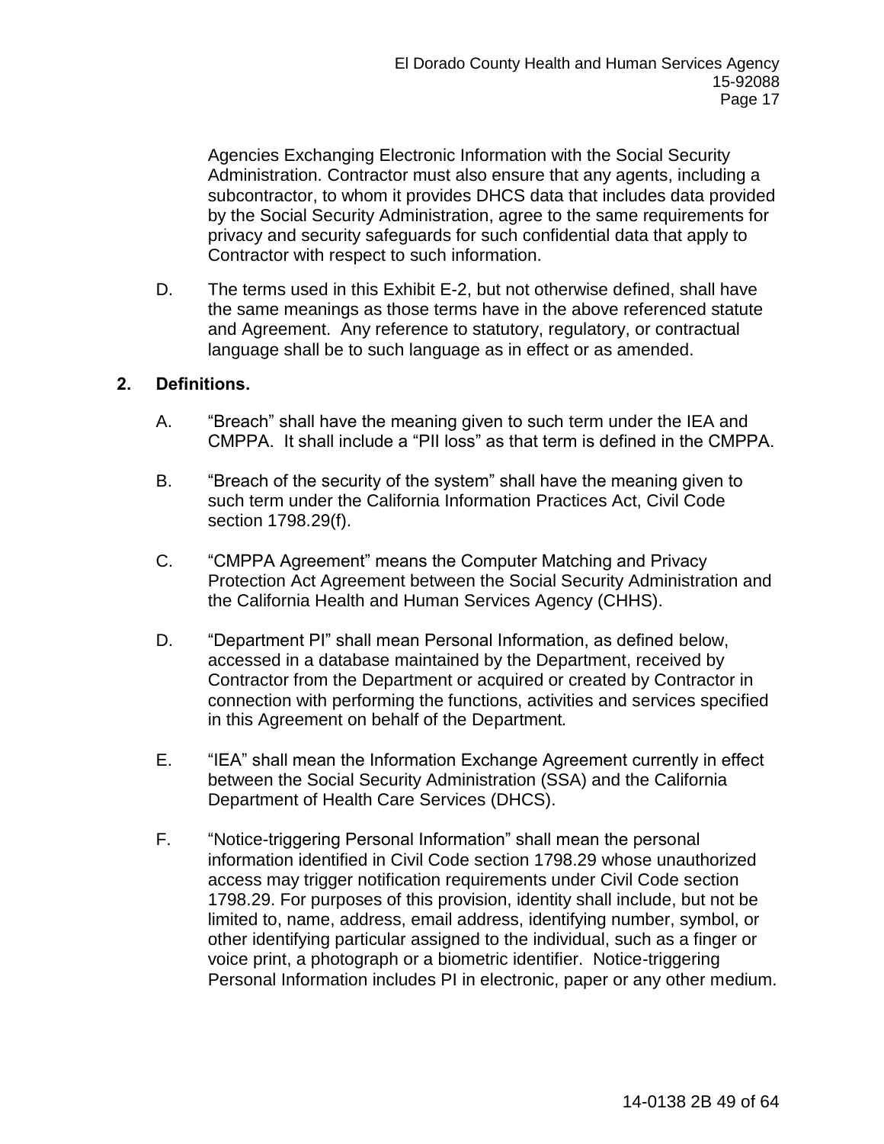Agencies Exchanging Electronic Information with the Social Security Administration. Contractor must also ensure that any agents, including a subcontractor, to whom it provides DHCS data that includes data provided by the Social Security Administration, agree to the same requirements for privacy and security safeguards for such confidential data that apply to Contractor with respect to such information.

D. The terms used in this Exhibit E-2, but not otherwise defined, shall have the same meanings as those terms have in the above referenced statute and Agreement. Any reference to statutory, regulatory, or contractual language shall be to such language as in effect or as amended.

## **2. Definitions.**

- A. "Breach" shall have the meaning given to such term under the IEA and CMPPA. It shall include a "PII loss" as that term is defined in the CMPPA.
- B. "Breach of the security of the system" shall have the meaning given to such term under the California Information Practices Act, Civil Code section 1798.29(f).
- C. "CMPPA Agreement" means the Computer Matching and Privacy Protection Act Agreement between the Social Security Administration and the California Health and Human Services Agency (CHHS).
- D. "Department PI" shall mean Personal Information, as defined below, accessed in a database maintained by the Department, received by Contractor from the Department or acquired or created by Contractor in connection with performing the functions, activities and services specified in this Agreement on behalf of the Department*.*
- E. "IEA" shall mean the Information Exchange Agreement currently in effect between the Social Security Administration (SSA) and the California Department of Health Care Services (DHCS).
- F. "Notice-triggering Personal Information" shall mean the personal information identified in Civil Code section 1798.29 whose unauthorized access may trigger notification requirements under Civil Code section 1798.29. For purposes of this provision, identity shall include, but not be limited to, name, address, email address, identifying number, symbol, or other identifying particular assigned to the individual, such as a finger or voice print, a photograph or a biometric identifier. Notice-triggering Personal Information includes PI in electronic, paper or any other medium.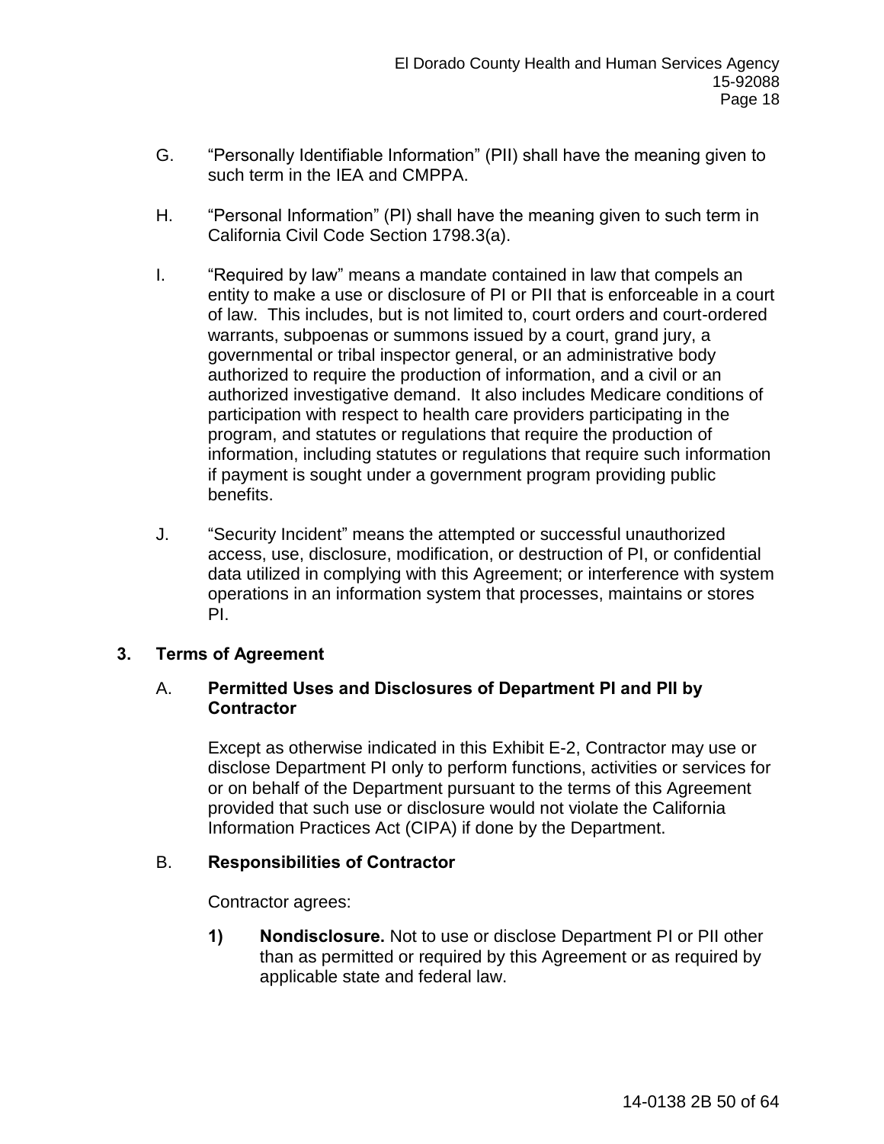- G. "Personally Identifiable Information" (PII) shall have the meaning given to such term in the IEA and CMPPA.
- H. "Personal Information" (PI) shall have the meaning given to such term in California Civil Code Section 1798.3(a).
- I. "Required by law" means a mandate contained in law that compels an entity to make a use or disclosure of PI or PII that is enforceable in a court of law. This includes, but is not limited to, court orders and court-ordered warrants, subpoenas or summons issued by a court, grand jury, a governmental or tribal inspector general, or an administrative body authorized to require the production of information, and a civil or an authorized investigative demand. It also includes Medicare conditions of participation with respect to health care providers participating in the program, and statutes or regulations that require the production of information, including statutes or regulations that require such information if payment is sought under a government program providing public benefits.
- J. "Security Incident" means the attempted or successful unauthorized access, use, disclosure, modification, or destruction of PI, or confidential data utilized in complying with this Agreement; or interference with system operations in an information system that processes, maintains or stores PI.

# **3. Terms of Agreement**

## A. **Permitted Uses and Disclosures of Department PI and PII by Contractor**

Except as otherwise indicated in this Exhibit E-2, Contractor may use or disclose Department PI only to perform functions, activities or services for or on behalf of the Department pursuant to the terms of this Agreement provided that such use or disclosure would not violate the California Information Practices Act (CIPA) if done by the Department.

## B. **Responsibilities of Contractor**

Contractor agrees:

**1) Nondisclosure.** Not to use or disclose Department PI or PII other than as permitted or required by this Agreement or as required by applicable state and federal law.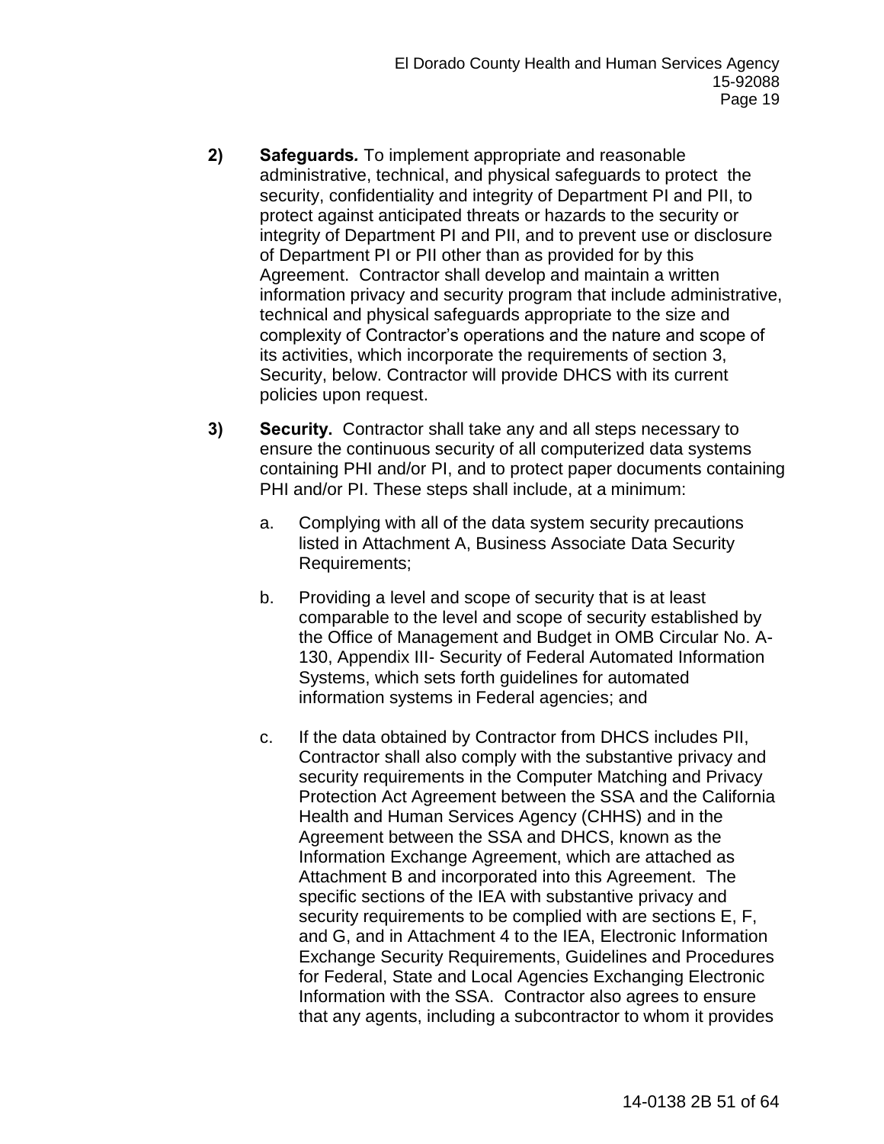- **2) Safeguards***.* To implement appropriate and reasonable administrative, technical, and physical safeguards to protect the security, confidentiality and integrity of Department PI and PII, to protect against anticipated threats or hazards to the security or integrity of Department PI and PII, and to prevent use or disclosure of Department PI or PII other than as provided for by this Agreement. Contractor shall develop and maintain a written information privacy and security program that include administrative, technical and physical safeguards appropriate to the size and complexity of Contractor's operations and the nature and scope of its activities, which incorporate the requirements of section 3, Security, below. Contractor will provide DHCS with its current policies upon request.
- **3) Security.**Contractor shall take any and all steps necessary to ensure the continuous security of all computerized data systems containing PHI and/or PI, and to protect paper documents containing PHI and/or PI. These steps shall include, at a minimum:
	- a. Complying with all of the data system security precautions listed in Attachment A, Business Associate Data Security Requirements;
	- b. Providing a level and scope of security that is at least comparable to the level and scope of security established by the Office of Management and Budget in OMB Circular No. A-130, Appendix III- Security of Federal Automated Information Systems, which sets forth guidelines for automated information systems in Federal agencies; and
	- c. If the data obtained by Contractor from DHCS includes PII, Contractor shall also comply with the substantive privacy and security requirements in the Computer Matching and Privacy Protection Act Agreement between the SSA and the California Health and Human Services Agency (CHHS) and in the Agreement between the SSA and DHCS, known as the Information Exchange Agreement, which are attached as Attachment B and incorporated into this Agreement. The specific sections of the IEA with substantive privacy and security requirements to be complied with are sections E, F, and G, and in Attachment 4 to the IEA, Electronic Information Exchange Security Requirements, Guidelines and Procedures for Federal, State and Local Agencies Exchanging Electronic Information with the SSA. Contractor also agrees to ensure that any agents, including a subcontractor to whom it provides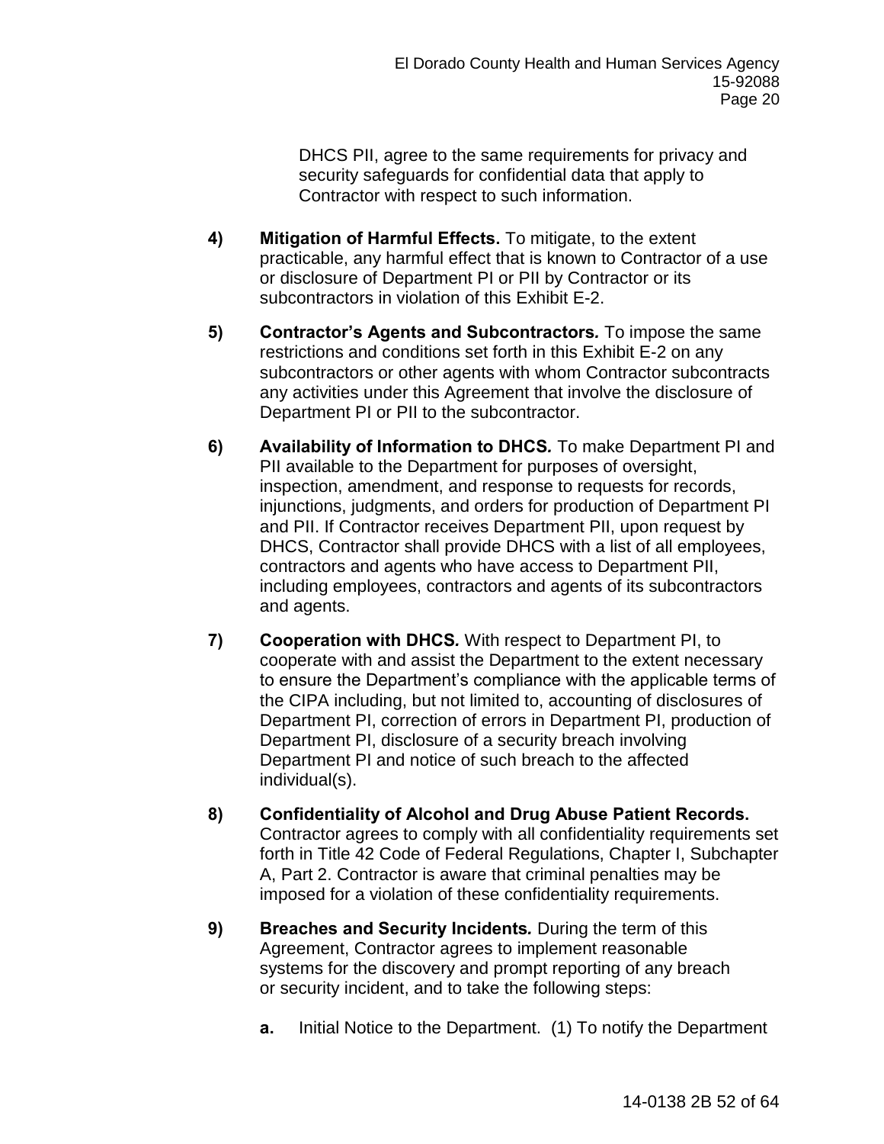DHCS PII, agree to the same requirements for privacy and security safeguards for confidential data that apply to Contractor with respect to such information.

- **4) Mitigation of Harmful Effects.** To mitigate, to the extent practicable, any harmful effect that is known to Contractor of a use or disclosure of Department PI or PII by Contractor or its subcontractors in violation of this Exhibit E-2.
- **5) Contractor's Agents and Subcontractors***.* To impose the same restrictions and conditions set forth in this Exhibit E-2 on any subcontractors or other agents with whom Contractor subcontracts any activities under this Agreement that involve the disclosure of Department PI or PII to the subcontractor.
- **6) Availability of Information to DHCS***.* To make Department PI and PII available to the Department for purposes of oversight, inspection, amendment, and response to requests for records, injunctions, judgments, and orders for production of Department PI and PII. If Contractor receives Department PII, upon request by DHCS, Contractor shall provide DHCS with a list of all employees, contractors and agents who have access to Department PII, including employees, contractors and agents of its subcontractors and agents.
- **7) Cooperation with DHCS***.* With respect to Department PI, to cooperate with and assist the Department to the extent necessary to ensure the Department's compliance with the applicable terms of the CIPA including, but not limited to, accounting of disclosures of Department PI, correction of errors in Department PI, production of Department PI, disclosure of a security breach involving Department PI and notice of such breach to the affected individual(s).
- **8) Confidentiality of Alcohol and Drug Abuse Patient Records.**  Contractor agrees to comply with all confidentiality requirements set forth in Title 42 Code of Federal Regulations, Chapter I, Subchapter A, Part 2. Contractor is aware that criminal penalties may be imposed for a violation of these confidentiality requirements.
- **9) Breaches and Security Incidents.** During the term of this Agreement, Contractor agrees to implement reasonable systems for the discovery and prompt reporting of any breach or security incident, and to take the following steps:
	- **a.** Initial Notice to the Department.(1) To notify the Department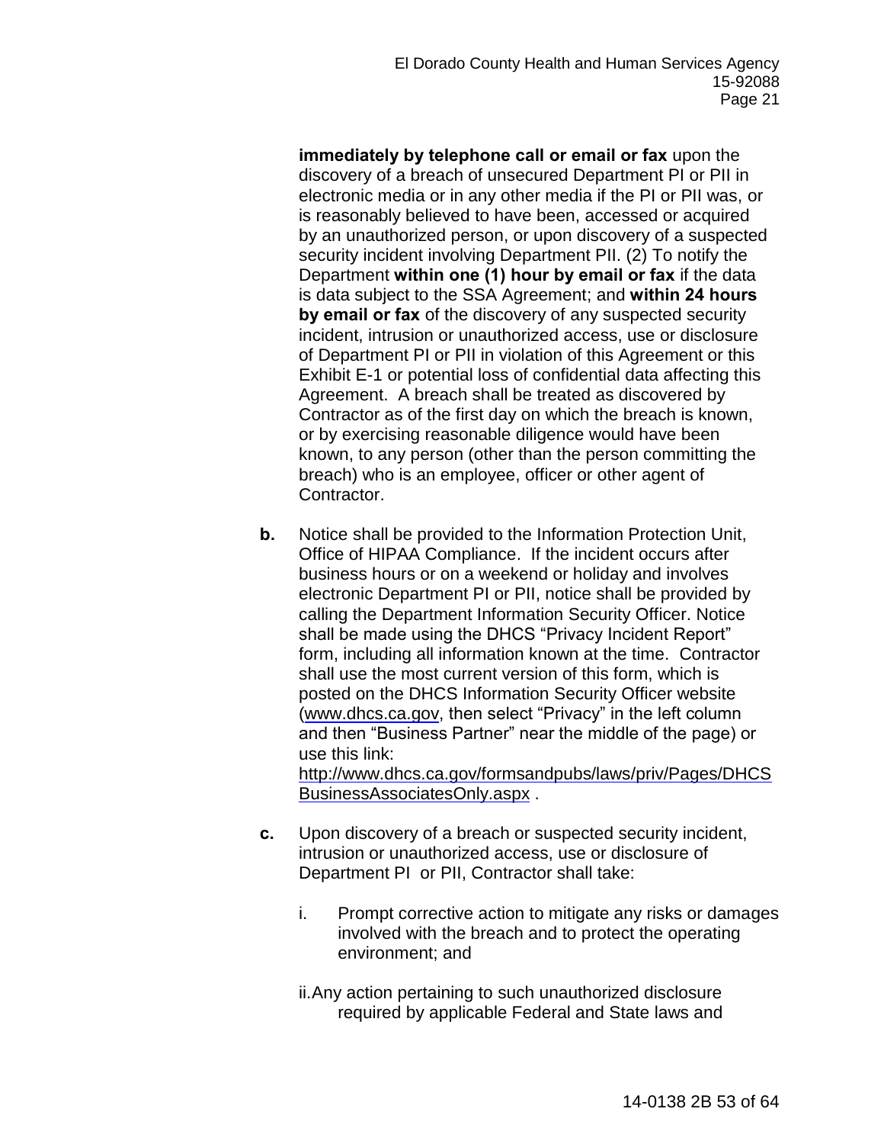**immediately by telephone call or email or fax** upon the discovery of a breach of unsecured Department PI or PII in electronic media or in any other media if the PI or PII was, or is reasonably believed to have been, accessed or acquired by an unauthorized person, or upon discovery of a suspected security incident involving Department PII. (2) To notify the Department **within one (1) hour by email or fax** if the data is data subject to the SSA Agreement; and **within 24 hours by email or fax** of the discovery of any suspected security incident, intrusion or unauthorized access, use or disclosure of Department PI or PII in violation of this Agreement or this Exhibit E-1 or potential loss of confidential data affecting this Agreement. A breach shall be treated as discovered by Contractor as of the first day on which the breach is known, or by exercising reasonable diligence would have been known, to any person (other than the person committing the breach) who is an employee, officer or other agent of Contractor.

**b.** Notice shall be provided to the Information Protection Unit, Office of HIPAA Compliance. If the incident occurs after business hours or on a weekend or holiday and involves electronic Department PI or PII, notice shall be provided by calling the Department Information Security Officer. Notice shall be made using the DHCS "Privacy Incident Report" form, including all information known at the time. Contractor shall use the most current version of this form, which is posted on the DHCS Information Security Officer website [\(www.dhcs.ca.gov,](http://www.dhcs.ca.gov/) then select "Privacy" in the left column and then "Business Partner" near the middle of the page) or use this link: [http://www.dhcs.ca.gov/formsandpubs/laws/priv/Pages/DHCS](http://www.dhcs.ca.gov/formsandpubs/laws/priv/Pages/DHCSBusinessAssociatesOnly.aspx)

[BusinessAssociatesOnly.aspx](http://www.dhcs.ca.gov/formsandpubs/laws/priv/Pages/DHCSBusinessAssociatesOnly.aspx) .

- **c.** Upon discovery of a breach or suspected security incident, intrusion or unauthorized access, use or disclosure of Department PI or PII, Contractor shall take:
	- i. Prompt corrective action to mitigate any risks or damages involved with the breach and to protect the operating environment; and

ii. Any action pertaining to such unauthorized disclosure required by applicable Federal and State laws and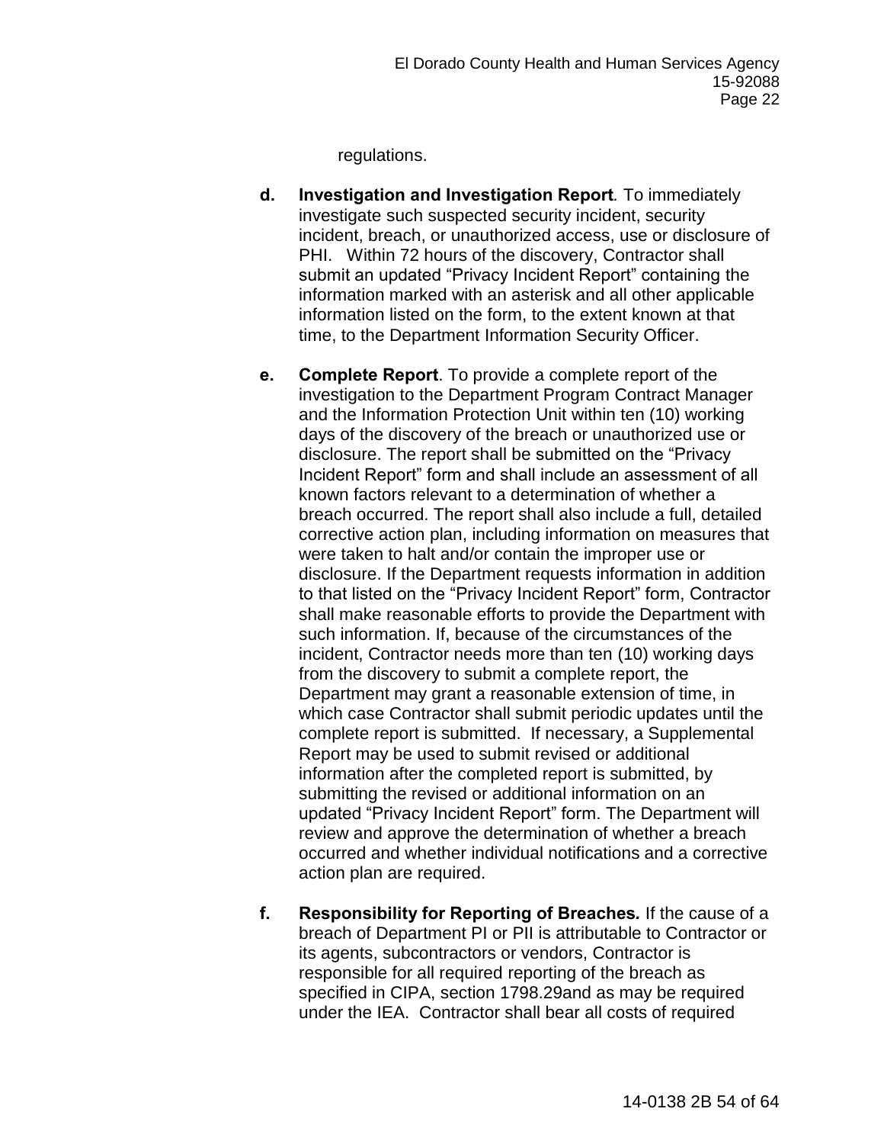regulations.

- **d. Investigation and Investigation Report***.* To immediately investigate such suspected security incident, security incident, breach, or unauthorized access, use or disclosure of PHI. Within 72 hours of the discovery, Contractor shall submit an updated "Privacy Incident Report" containing the information marked with an asterisk and all other applicable information listed on the form, to the extent known at that time, to the Department Information Security Officer.
- **e. Complete Report**. To provide a complete report of the investigation to the Department Program Contract Manager and the Information Protection Unit within ten (10) working days of the discovery of the breach or unauthorized use or disclosure. The report shall be submitted on the "Privacy Incident Report" form and shall include an assessment of all known factors relevant to a determination of whether a breach occurred. The report shall also include a full, detailed corrective action plan, including information on measures that were taken to halt and/or contain the improper use or disclosure. If the Department requests information in addition to that listed on the "Privacy Incident Report" form, Contractor shall make reasonable efforts to provide the Department with such information. If, because of the circumstances of the incident, Contractor needs more than ten (10) working days from the discovery to submit a complete report, the Department may grant a reasonable extension of time, in which case Contractor shall submit periodic updates until the complete report is submitted. If necessary, a Supplemental Report may be used to submit revised or additional information after the completed report is submitted, by submitting the revised or additional information on an updated "Privacy Incident Report" form. The Department will review and approve the determination of whether a breach occurred and whether individual notifications and a corrective action plan are required.
- **f. Responsibility for Reporting of Breaches***.* If the cause of a breach of Department PI or PII is attributable to Contractor or its agents, subcontractors or vendors, Contractor is responsible for all required reporting of the breach as specified in CIPA, section 1798.29and as may be required under the IEA. Contractor shall bear all costs of required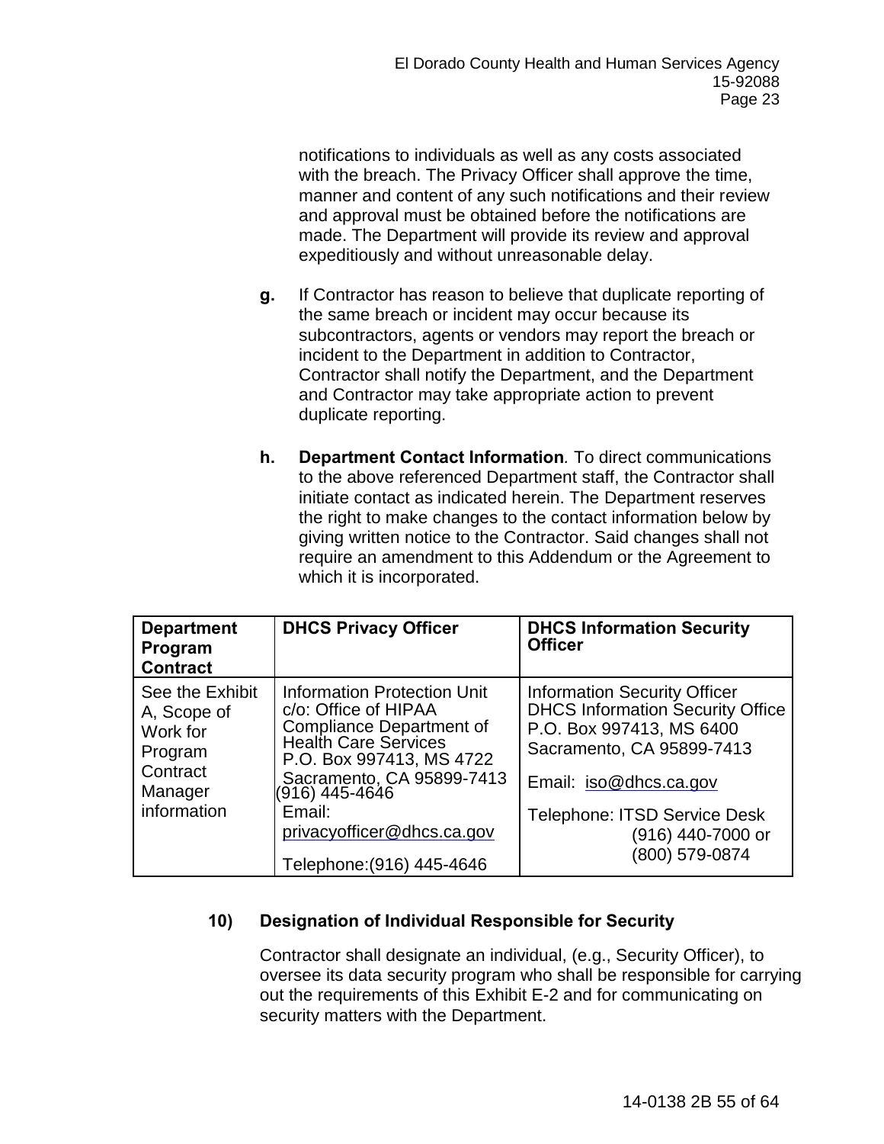notifications to individuals as well as any costs associated with the breach. The Privacy Officer shall approve the time, manner and content of any such notifications and their review and approval must be obtained before the notifications are made. The Department will provide its review and approval expeditiously and without unreasonable delay.

- **g.** If Contractor has reason to believe that duplicate reporting of the same breach or incident may occur because its subcontractors, agents or vendors may report the breach or incident to the Department in addition to Contractor, Contractor shall notify the Department, and the Department and Contractor may take appropriate action to prevent duplicate reporting.
- **h. Department Contact Information***.* To direct communications to the above referenced Department staff, the Contractor shall initiate contact as indicated herein. The Department reserves the right to make changes to the contact information below by giving written notice to the Contractor. Said changes shall not require an amendment to this Addendum or the Agreement to which it is incorporated.

| <b>Department</b><br>Program<br><b>Contract</b>                                             | <b>DHCS Privacy Officer</b>                                                                                                                                                                                                                                                  | <b>DHCS Information Security</b><br><b>Officer</b>                                                                                                                                                                                              |
|---------------------------------------------------------------------------------------------|------------------------------------------------------------------------------------------------------------------------------------------------------------------------------------------------------------------------------------------------------------------------------|-------------------------------------------------------------------------------------------------------------------------------------------------------------------------------------------------------------------------------------------------|
| See the Exhibit<br>A, Scope of<br>Work for<br>Program<br>Contract<br>Manager<br>information | <b>Information Protection Unit</b><br>c/o: Office of HIPAA<br><b>Compliance Department of</b><br><b>Health Care Services</b><br>P.O. Box 997413, MS 4722<br>Sacramento, CA 95899-7413<br>(916) 445-4646<br>Email:<br>privacyofficer@dhcs.ca.gov<br>Telephone: (916) 445-4646 | <b>Information Security Officer</b><br><b>DHCS Information Security Office</b><br>P.O. Box 997413, MS 6400<br>Sacramento, CA 95899-7413<br>Email: iso@dhcs.ca.gov<br><b>Telephone: ITSD Service Desk</b><br>(916) 440-7000 or<br>(800) 579-0874 |

# **10) Designation of Individual Responsible for Security**

Contractor shall designate an individual, (e.g., Security Officer), to oversee its data security program who shall be responsible for carrying out the requirements of this Exhibit E-2 and for communicating on security matters with the Department.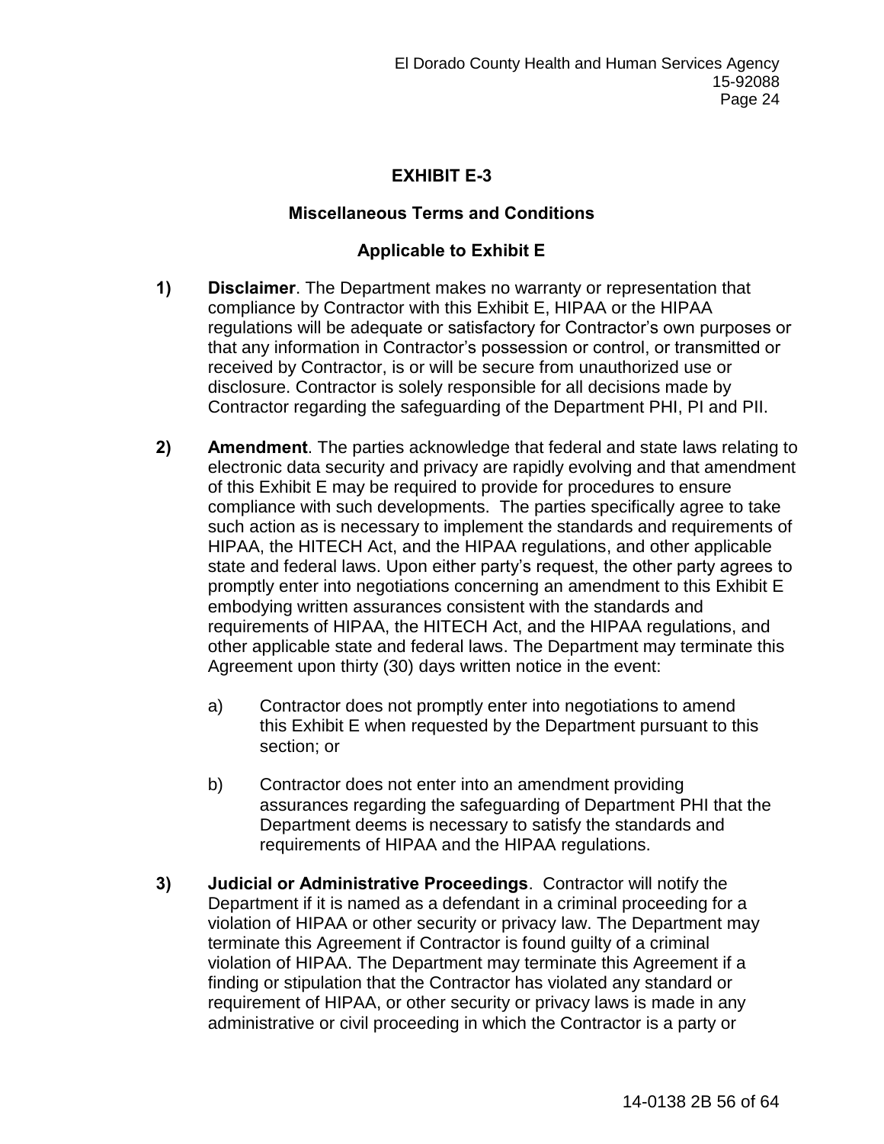# **EXHIBIT E-3**

## **Miscellaneous Terms and Conditions**

# **Applicable to Exhibit E**

- **1) Disclaimer**. The Department makes no warranty or representation that compliance by Contractor with this Exhibit E, HIPAA or the HIPAA regulations will be adequate or satisfactory for Contractor's own purposes or that any information in Contractor's possession or control, or transmitted or received by Contractor, is or will be secure from unauthorized use or disclosure. Contractor is solely responsible for all decisions made by Contractor regarding the safeguarding of the Department PHI, PI and PII.
- **2) Amendment**. The parties acknowledge that federal and state laws relating to electronic data security and privacy are rapidly evolving and that amendment of this Exhibit E may be required to provide for procedures to ensure compliance with such developments. The parties specifically agree to take such action as is necessary to implement the standards and requirements of HIPAA, the HITECH Act, and the HIPAA regulations, and other applicable state and federal laws. Upon either party's request, the other party agrees to promptly enter into negotiations concerning an amendment to this Exhibit E embodying written assurances consistent with the standards and requirements of HIPAA, the HITECH Act, and the HIPAA regulations, and other applicable state and federal laws. The Department may terminate this Agreement upon thirty (30) days written notice in the event:
	- a) Contractor does not promptly enter into negotiations to amend this Exhibit E when requested by the Department pursuant to this section; or
	- b) Contractor does not enter into an amendment providing assurances regarding the safeguarding of Department PHI that the Department deems is necessary to satisfy the standards and requirements of HIPAA and the HIPAA regulations.
- **3) Judicial or Administrative Proceedings**. Contractor will notify the Department if it is named as a defendant in a criminal proceeding for a violation of HIPAA or other security or privacy law. The Department may terminate this Agreement if Contractor is found guilty of a criminal violation of HIPAA. The Department may terminate this Agreement if a finding or stipulation that the Contractor has violated any standard or requirement of HIPAA, or other security or privacy laws is made in any administrative or civil proceeding in which the Contractor is a party or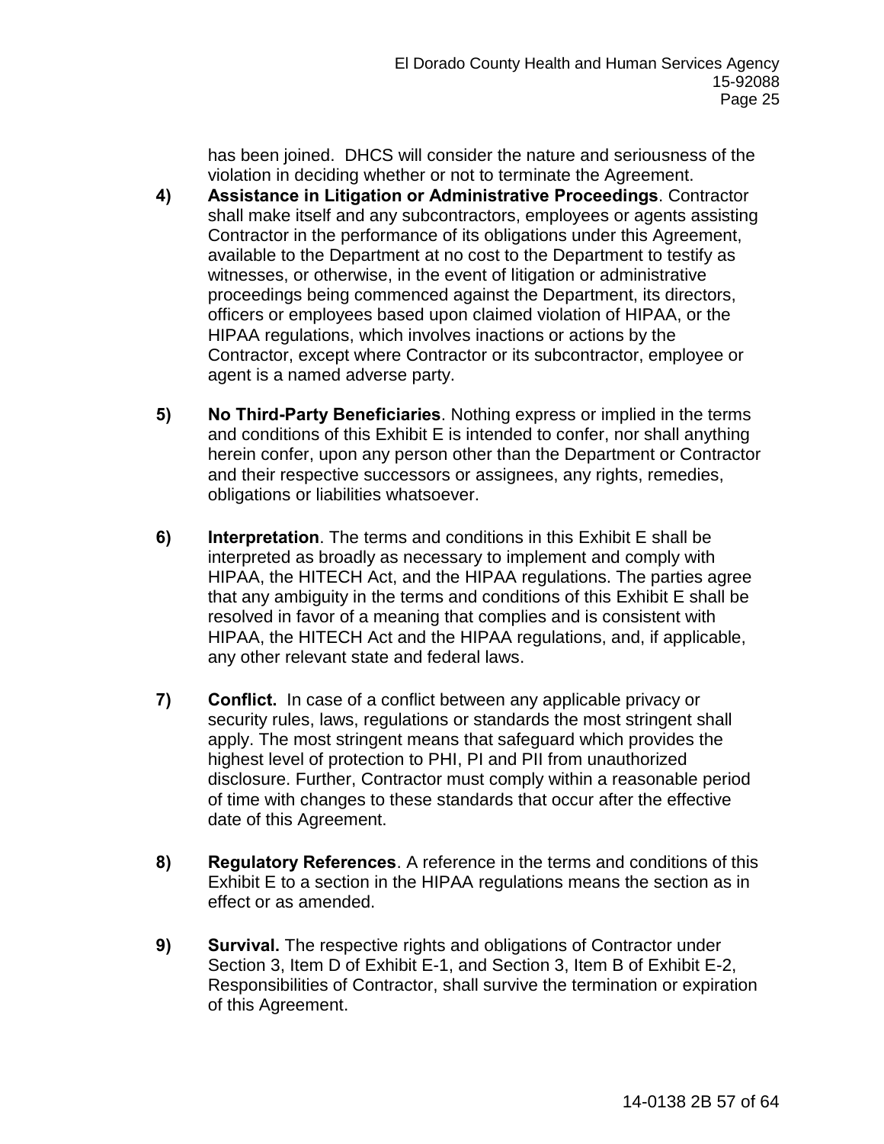has been joined. DHCS will consider the nature and seriousness of the violation in deciding whether or not to terminate the Agreement.

- **4) Assistance in Litigation or Administrative Proceedings**. Contractor shall make itself and any subcontractors, employees or agents assisting Contractor in the performance of its obligations under this Agreement, available to the Department at no cost to the Department to testify as witnesses, or otherwise, in the event of litigation or administrative proceedings being commenced against the Department, its directors, officers or employees based upon claimed violation of HIPAA, or the HIPAA regulations, which involves inactions or actions by the Contractor, except where Contractor or its subcontractor, employee or agent is a named adverse party.
- **5) No Third-Party Beneficiaries**. Nothing express or implied in the terms and conditions of this Exhibit E is intended to confer, nor shall anything herein confer, upon any person other than the Department or Contractor and their respective successors or assignees, any rights, remedies, obligations or liabilities whatsoever.
- **6) Interpretation**. The terms and conditions in this Exhibit E shall be interpreted as broadly as necessary to implement and comply with HIPAA, the HITECH Act, and the HIPAA regulations. The parties agree that any ambiguity in the terms and conditions of this Exhibit E shall be resolved in favor of a meaning that complies and is consistent with HIPAA, the HITECH Act and the HIPAA regulations, and, if applicable, any other relevant state and federal laws.
- **7) Conflict.** In case of a conflict between any applicable privacy or security rules, laws, regulations or standards the most stringent shall apply. The most stringent means that safeguard which provides the highest level of protection to PHI, PI and PII from unauthorized disclosure. Further, Contractor must comply within a reasonable period of time with changes to these standards that occur after the effective date of this Agreement.
- **8) Regulatory References**. A reference in the terms and conditions of this Exhibit E to a section in the HIPAA regulations means the section as in effect or as amended.
- **9) Survival.** The respective rights and obligations of Contractor under Section 3, Item D of Exhibit E-1, and Section 3, Item B of Exhibit E-2, Responsibilities of Contractor, shall survive the termination or expiration of this Agreement.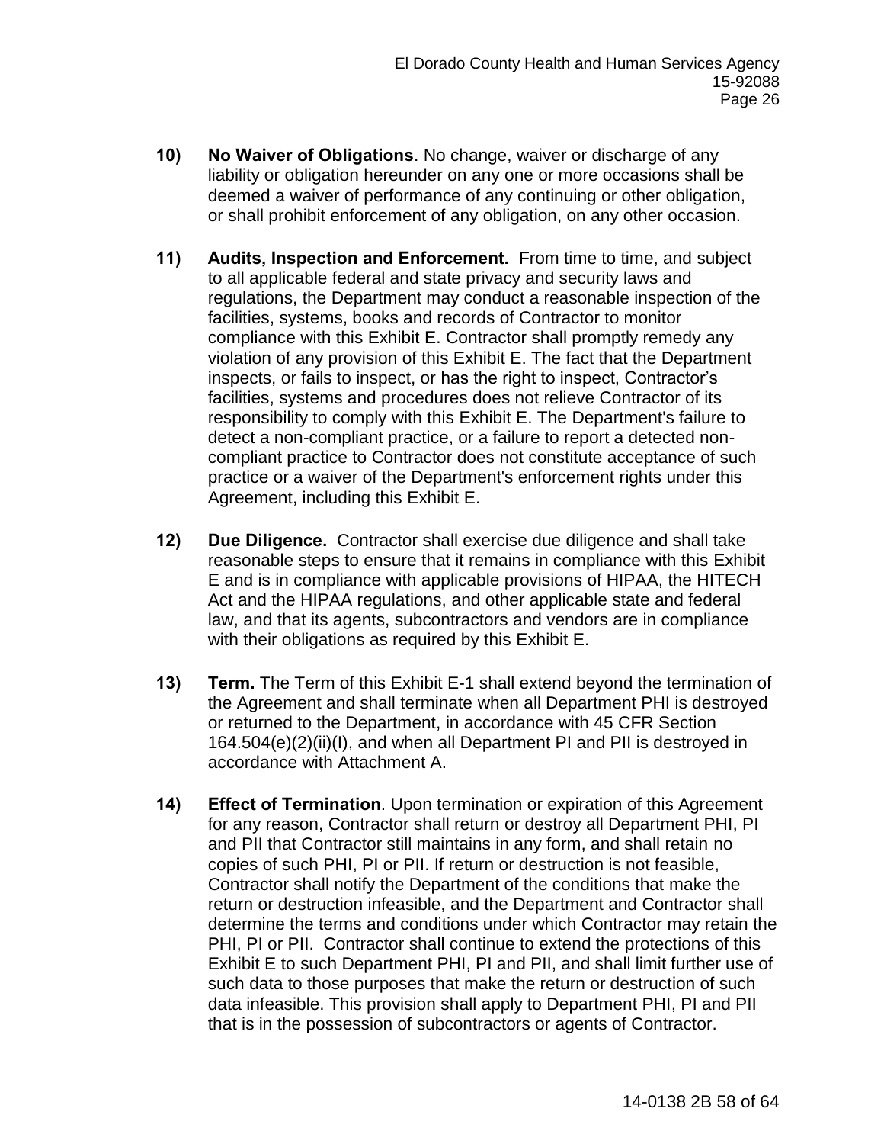- **10) No Waiver of Obligations**. No change, waiver or discharge of any liability or obligation hereunder on any one or more occasions shall be deemed a waiver of performance of any continuing or other obligation, or shall prohibit enforcement of any obligation, on any other occasion.
- **11) Audits, Inspection and Enforcement.** From time to time, and subject to all applicable federal and state privacy and security laws and regulations, the Department may conduct a reasonable inspection of the facilities, systems, books and records of Contractor to monitor compliance with this Exhibit E. Contractor shall promptly remedy any violation of any provision of this Exhibit E. The fact that the Department inspects, or fails to inspect, or has the right to inspect, Contractor's facilities, systems and procedures does not relieve Contractor of its responsibility to comply with this Exhibit E. The Department's failure to detect a non-compliant practice, or a failure to report a detected noncompliant practice to Contractor does not constitute acceptance of such practice or a waiver of the Department's enforcement rights under this Agreement, including this Exhibit E.
- **12) Due Diligence.** Contractor shall exercise due diligence and shall take reasonable steps to ensure that it remains in compliance with this Exhibit E and is in compliance with applicable provisions of HIPAA, the HITECH Act and the HIPAA regulations, and other applicable state and federal law, and that its agents, subcontractors and vendors are in compliance with their obligations as required by this Exhibit E.
- **13) Term.** The Term of this Exhibit E-1 shall extend beyond the termination of the Agreement and shall terminate when all Department PHI is destroyed or returned to the Department, in accordance with 45 CFR Section 164.504(e)(2)(ii)(I), and when all Department PI and PII is destroyed in accordance with Attachment A.
- **14) Effect of Termination**. Upon termination or expiration of this Agreement for any reason, Contractor shall return or destroy all Department PHI, PI and PII that Contractor still maintains in any form, and shall retain no copies of such PHI, PI or PII. If return or destruction is not feasible, Contractor shall notify the Department of the conditions that make the return or destruction infeasible, and the Department and Contractor shall determine the terms and conditions under which Contractor may retain the PHI, PI or PII. Contractor shall continue to extend the protections of this Exhibit E to such Department PHI, PI and PII, and shall limit further use of such data to those purposes that make the return or destruction of such data infeasible. This provision shall apply to Department PHI, PI and PII that is in the possession of subcontractors or agents of Contractor.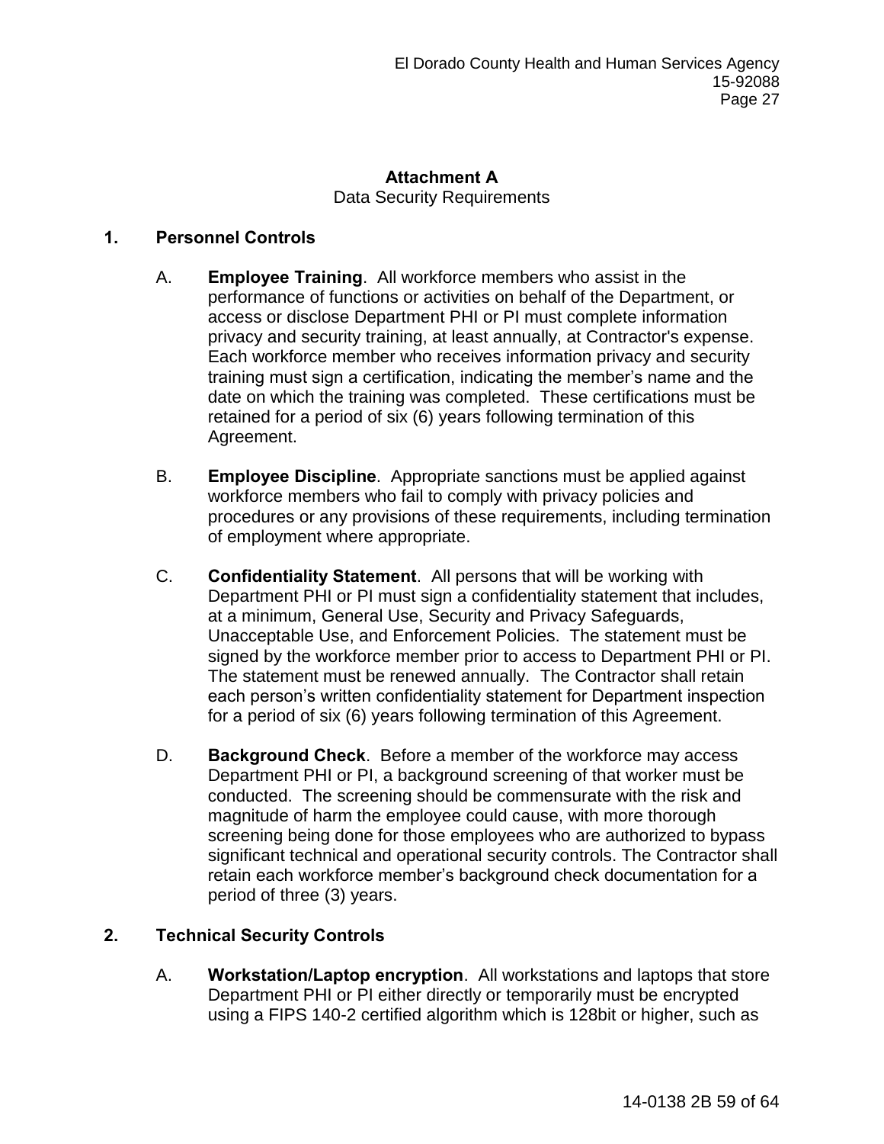# **Attachment A** Data Security Requirements

## **1. Personnel Controls**

- A. **Employee Training**.All workforce members who assist in the performance of functions or activities on behalf of the Department, or access or disclose Department PHI or PI must complete information privacy and security training, at least annually, at Contractor's expense. Each workforce member who receives information privacy and security training must sign a certification, indicating the member's name and the date on which the training was completed. These certifications must be retained for a period of six (6) years following termination of this Agreement.
- B. **Employee Discipline**.Appropriate sanctions must be applied against workforce members who fail to comply with privacy policies and procedures or any provisions of these requirements, including termination of employment where appropriate.
- C. **Confidentiality Statement**. All persons that will be working with Department PHI or PI must sign a confidentiality statement that includes, at a minimum, General Use, Security and Privacy Safeguards, Unacceptable Use, and Enforcement Policies. The statement must be signed by the workforce member prior to access to Department PHI or PI. The statement must be renewed annually. The Contractor shall retain each person's written confidentiality statement for Department inspection for a period of six (6) years following termination of this Agreement.
- D. **Background Check**. Before a member of the workforce may access Department PHI or PI, a background screening of that worker must be conducted. The screening should be commensurate with the risk and magnitude of harm the employee could cause, with more thorough screening being done for those employees who are authorized to bypass significant technical and operational security controls. The Contractor shall retain each workforce member's background check documentation for a period of three (3) years.

## **2. Technical Security Controls**

A. **Workstation/Laptop encryption**. All workstations and laptops that store Department PHI or PI either directly or temporarily must be encrypted using a FIPS 140-2 certified algorithm which is 128bit or higher, such as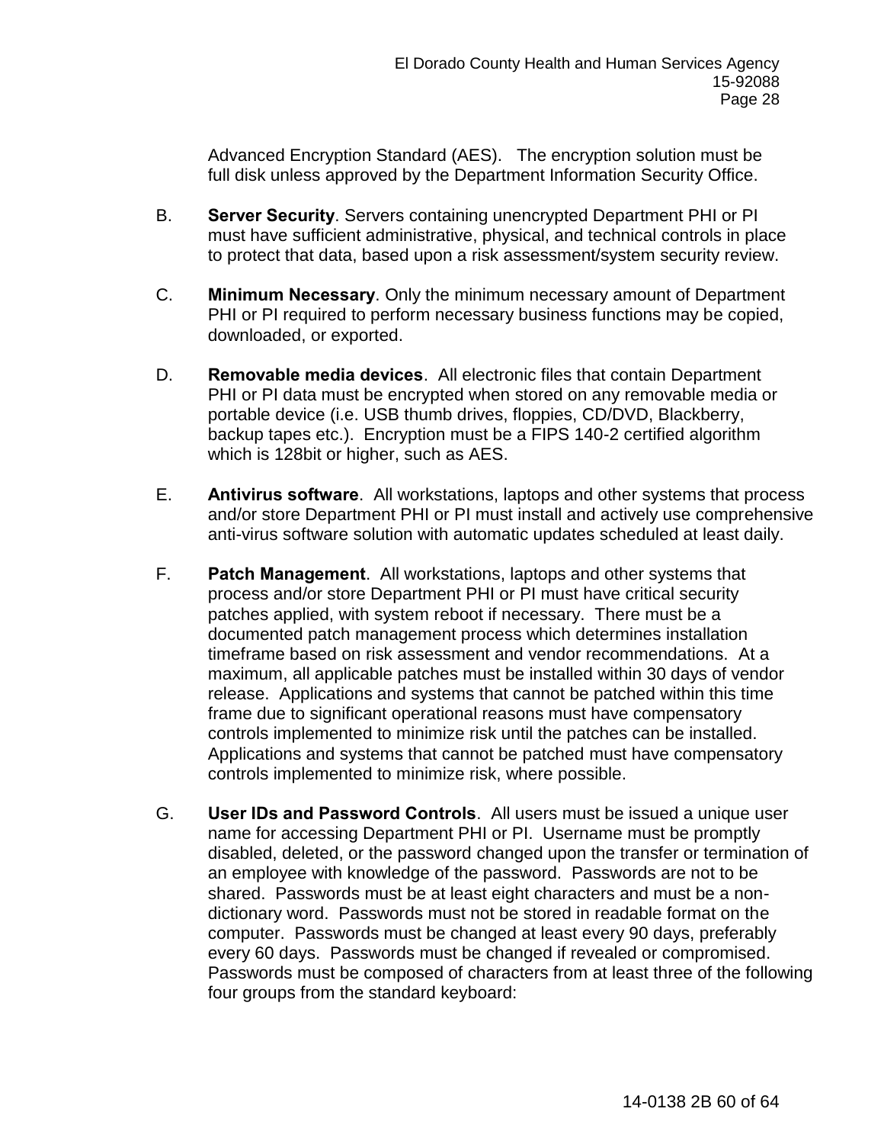Advanced Encryption Standard (AES). The encryption solution must be full disk unless approved by the Department Information Security Office.

- B. **Server Security**. Servers containing unencrypted Department PHI or PI must have sufficient administrative, physical, and technical controls in place to protect that data, based upon a risk assessment/system security review.
- C. **Minimum Necessary**. Only the minimum necessary amount of Department PHI or PI required to perform necessary business functions may be copied, downloaded, or exported.
- D. **Removable media devices**. All electronic files that contain Department PHI or PI data must be encrypted when stored on any removable media or portable device (i.e. USB thumb drives, floppies, CD/DVD, Blackberry, backup tapes etc.). Encryption must be a FIPS 140-2 certified algorithm which is 128bit or higher, such as AES.
- E. **Antivirus software**. All workstations, laptops and other systems that process and/or store Department PHI or PI must install and actively use comprehensive anti-virus software solution with automatic updates scheduled at least daily.
- F. **Patch Management**. All workstations, laptops and other systems that process and/or store Department PHI or PI must have critical security patches applied, with system reboot if necessary. There must be a documented patch management process which determines installation timeframe based on risk assessment and vendor recommendations. At a maximum, all applicable patches must be installed within 30 days of vendor release. Applications and systems that cannot be patched within this time frame due to significant operational reasons must have compensatory controls implemented to minimize risk until the patches can be installed. Applications and systems that cannot be patched must have compensatory controls implemented to minimize risk, where possible.
- G. **User IDs and Password Controls**. All users must be issued a unique user name for accessing Department PHI or PI. Username must be promptly disabled, deleted, or the password changed upon the transfer or termination of an employee with knowledge of the password. Passwords are not to be shared. Passwords must be at least eight characters and must be a nondictionary word. Passwords must not be stored in readable format on the computer. Passwords must be changed at least every 90 days, preferably every 60 days. Passwords must be changed if revealed or compromised. Passwords must be composed of characters from at least three of the following four groups from the standard keyboard: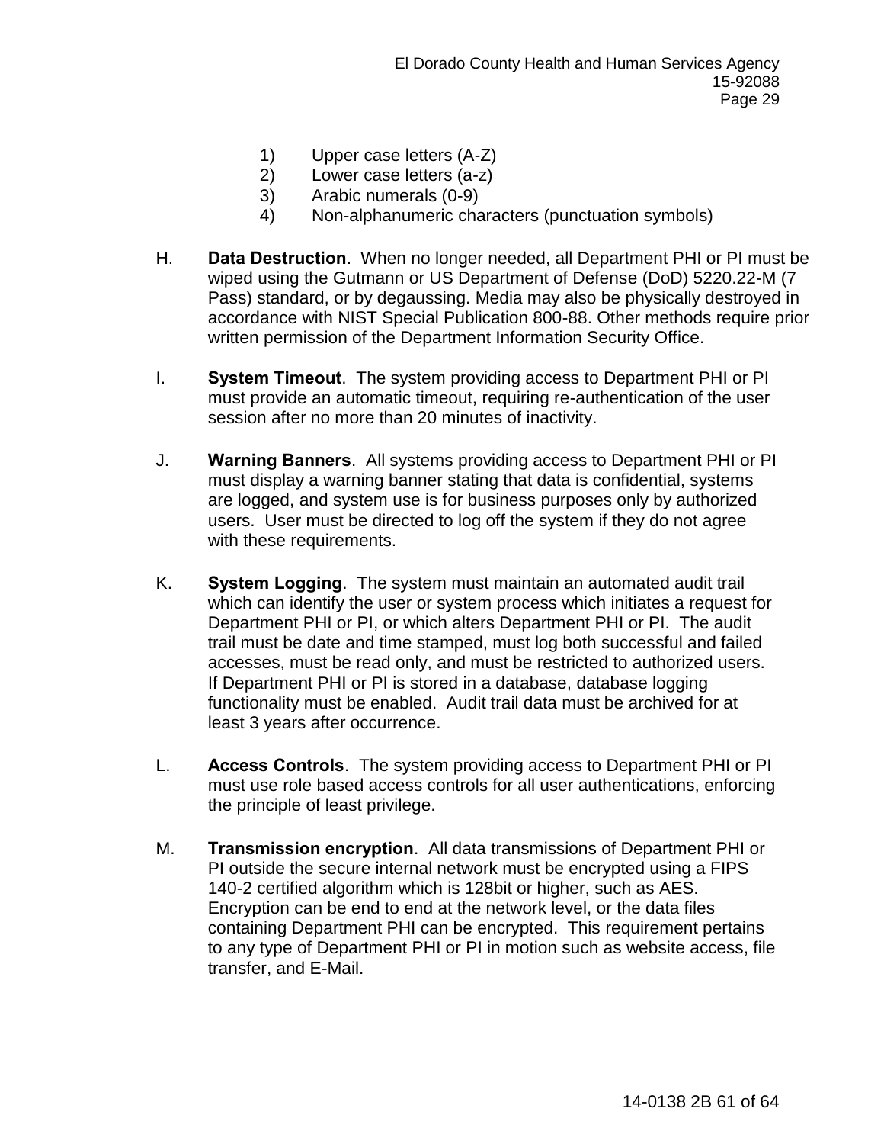- 1) Upper case letters (A-Z)
- 2) Lower case letters (a-z)
- 3) Arabic numerals (0-9)
- 4) Non-alphanumeric characters (punctuation symbols)
- H. **Data Destruction**. When no longer needed, all Department PHI or PI must be wiped using the Gutmann or US Department of Defense (DoD) 5220.22-M (7 Pass) standard, or by degaussing. Media may also be physically destroyed in accordance with NIST Special Publication 800-88. Other methods require prior written permission of the Department Information Security Office.
- I. **System Timeout**. The system providing access to Department PHI or PI must provide an automatic timeout, requiring re-authentication of the user session after no more than 20 minutes of inactivity.
- J. **Warning Banners**. All systems providing access to Department PHI or PI must display a warning banner stating that data is confidential, systems are logged, and system use is for business purposes only by authorized users. User must be directed to log off the system if they do not agree with these requirements.
- K. **System Logging**. The system must maintain an automated audit trail which can identify the user or system process which initiates a request for Department PHI or PI, or which alters Department PHI or PI. The audit trail must be date and time stamped, must log both successful and failed accesses, must be read only, and must be restricted to authorized users. If Department PHI or PI is stored in a database, database logging functionality must be enabled. Audit trail data must be archived for at least 3 years after occurrence.
- L. **Access Controls**. The system providing access to Department PHI or PI must use role based access controls for all user authentications, enforcing the principle of least privilege.
- M. **Transmission encryption**. All data transmissions of Department PHI or PI outside the secure internal network must be encrypted using a FIPS 140-2 certified algorithm which is 128bit or higher, such as AES. Encryption can be end to end at the network level, or the data files containing Department PHI can be encrypted. This requirement pertains to any type of Department PHI or PI in motion such as website access, file transfer, and E-Mail.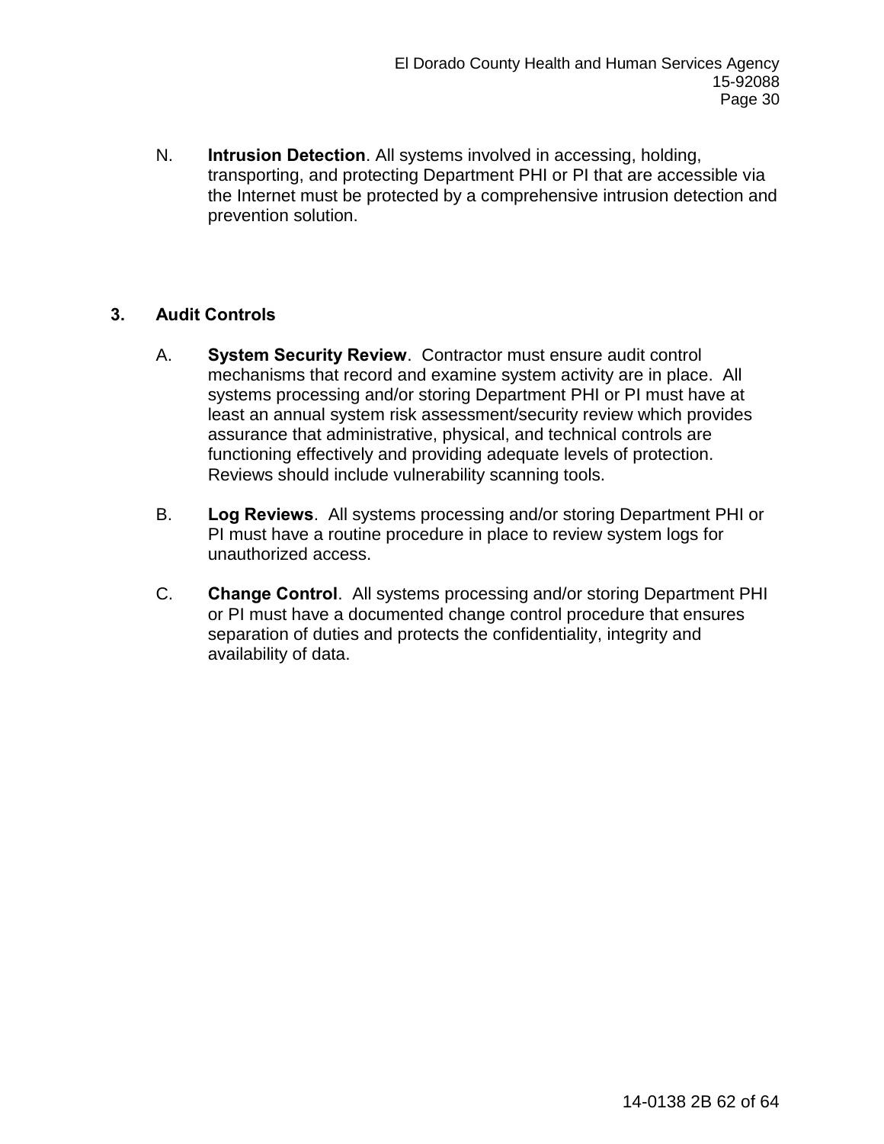N. **Intrusion Detection**. All systems involved in accessing, holding, transporting, and protecting Department PHI or PI that are accessible via the Internet must be protected by a comprehensive intrusion detection and prevention solution.

## **3. Audit Controls**

- A. **System Security Review**. Contractor must ensure audit control mechanisms that record and examine system activity are in place. All systems processing and/or storing Department PHI or PI must have at least an annual system risk assessment/security review which provides assurance that administrative, physical, and technical controls are functioning effectively and providing adequate levels of protection. Reviews should include vulnerability scanning tools.
- B. **Log Reviews**.All systems processing and/or storing Department PHI or PI must have a routine procedure in place to review system logs for unauthorized access.
- C. **Change Control**. All systems processing and/or storing Department PHI or PI must have a documented change control procedure that ensures separation of duties and protects the confidentiality, integrity and availability of data.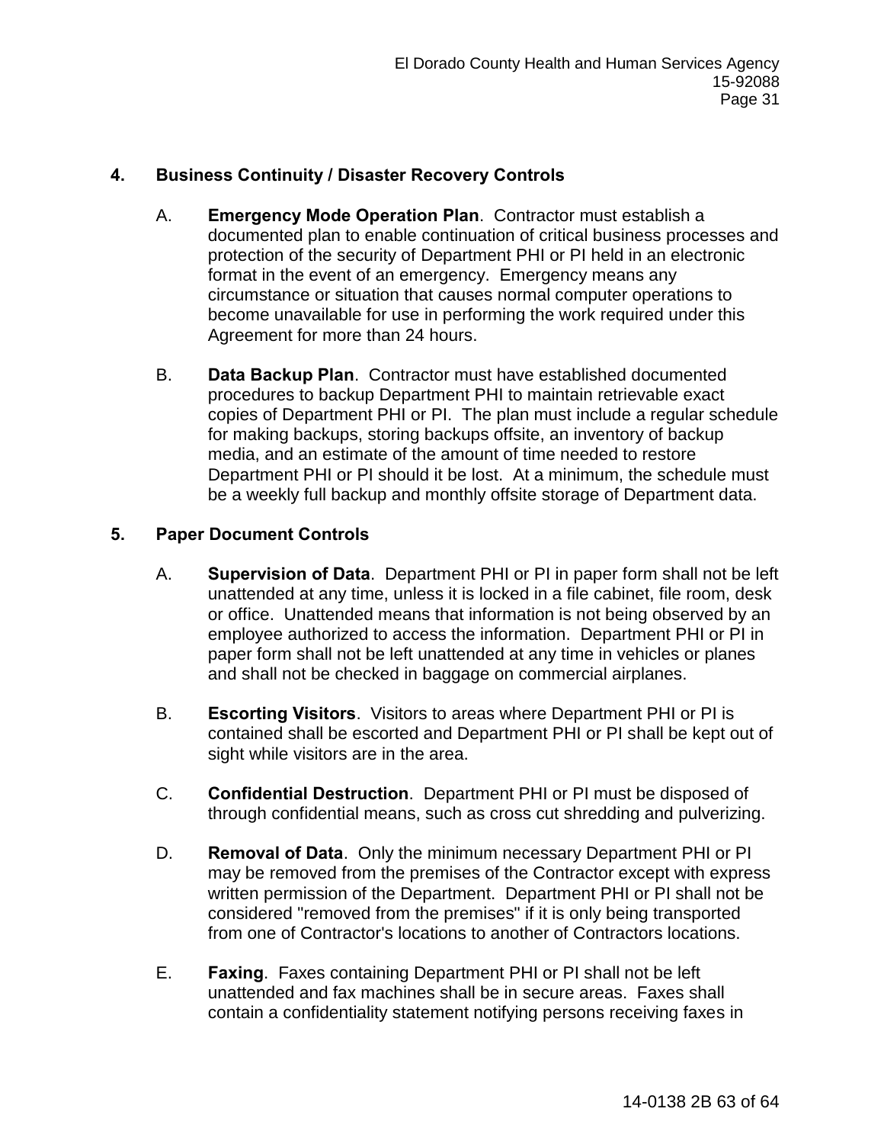## **4. Business Continuity / Disaster Recovery Controls**

- A. **Emergency Mode Operation Plan**. Contractor must establish a documented plan to enable continuation of critical business processes and protection of the security of Department PHI or PI held in an electronic format in the event of an emergency. Emergency means any circumstance or situation that causes normal computer operations to become unavailable for use in performing the work required under this Agreement for more than 24 hours.
- B. **Data Backup Plan**. Contractor must have established documented procedures to backup Department PHI to maintain retrievable exact copies of Department PHI or PI. The plan must include a regular schedule for making backups, storing backups offsite, an inventory of backup media, and an estimate of the amount of time needed to restore Department PHI or PI should it be lost. At a minimum, the schedule must be a weekly full backup and monthly offsite storage of Department data.

## **5. Paper Document Controls**

- A. **Supervision of Data**. Department PHI or PI in paper form shall not be left unattended at any time, unless it is locked in a file cabinet, file room, desk or office. Unattended means that information is not being observed by an employee authorized to access the information. Department PHI or PI in paper form shall not be left unattended at any time in vehicles or planes and shall not be checked in baggage on commercial airplanes.
- B. **Escorting Visitors**.Visitors to areas where Department PHI or PI is contained shall be escorted and Department PHI or PI shall be kept out of sight while visitors are in the area.
- C. **Confidential Destruction**. Department PHI or PI must be disposed of through confidential means, such as cross cut shredding and pulverizing.
- D. **Removal of Data**.Only the minimum necessary Department PHI or PI may be removed from the premises of the Contractor except with express written permission of the Department. Department PHI or PI shall not be considered "removed from the premises" if it is only being transported from one of Contractor's locations to another of Contractors locations.
- E. **Faxing**. Faxes containing Department PHI or PI shall not be left unattended and fax machines shall be in secure areas. Faxes shall contain a confidentiality statement notifying persons receiving faxes in